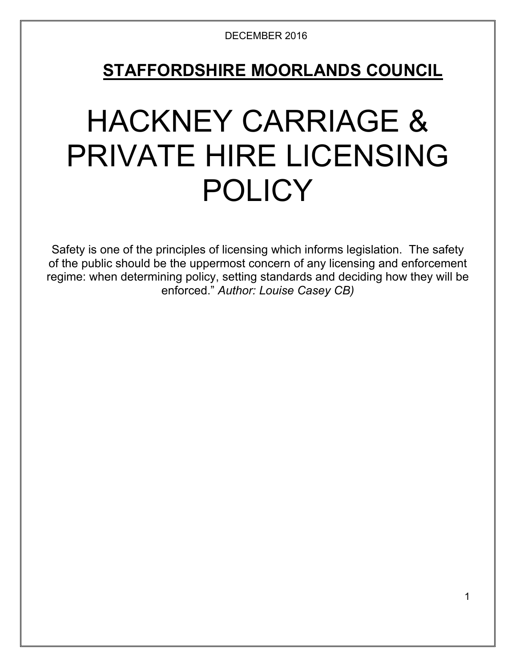## **STAFFORDSHIRE MOORLANDS COUNCIL**

# HACKNEY CARRIAGE & PRIVATE HIRE LICENSING **POLICY**

Safety is one of the principles of licensing which informs legislation. The safety of the public should be the uppermost concern of any licensing and enforcement regime: when determining policy, setting standards and deciding how they will be enforced." *Author: Louise Casey CB)*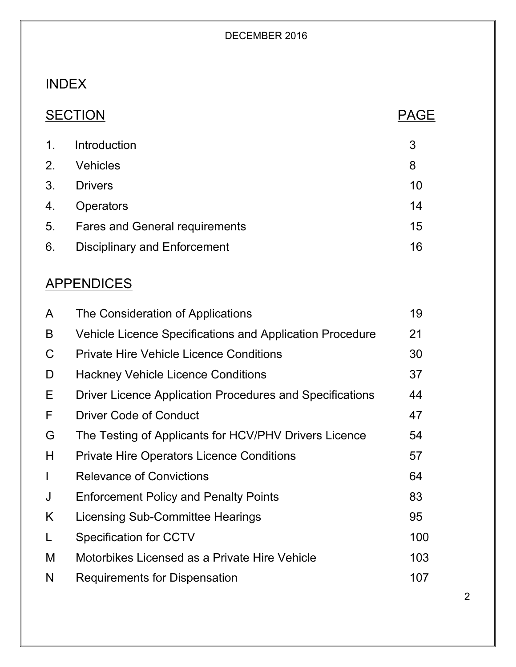### INDEX

| 'Oı<br>Г<br>にしし |  |
|-----------------|--|
|                 |  |

### PAGE

| $1_{\cdot}$    | Introduction                          | 3  |
|----------------|---------------------------------------|----|
| 2 <sub>1</sub> | <b>Vehicles</b>                       | 8  |
| 3 <sub>1</sub> | <b>Drivers</b>                        | 10 |
| 4.             | <b>Operators</b>                      | 14 |
| 5 <sub>1</sub> | <b>Fares and General requirements</b> | 15 |
| 6.             | <b>Disciplinary and Enforcement</b>   | 16 |

### **APPENDICES**

| A            | The Consideration of Applications                        | 19  |
|--------------|----------------------------------------------------------|-----|
| B            | Vehicle Licence Specifications and Application Procedure | 21  |
| C            | <b>Private Hire Vehicle Licence Conditions</b>           | 30  |
| D            | <b>Hackney Vehicle Licence Conditions</b>                | 37  |
| Е            | Driver Licence Application Procedures and Specifications | 44  |
| F            | <b>Driver Code of Conduct</b>                            | 47  |
| G            | The Testing of Applicants for HCV/PHV Drivers Licence    | 54  |
| H            | <b>Private Hire Operators Licence Conditions</b>         | 57  |
| $\mathbf{I}$ | <b>Relevance of Convictions</b>                          | 64  |
| J            | <b>Enforcement Policy and Penalty Points</b>             | 83  |
| K            | Licensing Sub-Committee Hearings                         | 95  |
| L            | Specification for CCTV                                   | 100 |
| M            | Motorbikes Licensed as a Private Hire Vehicle            | 103 |
| N            | Requirements for Dispensation                            | 107 |
|              |                                                          |     |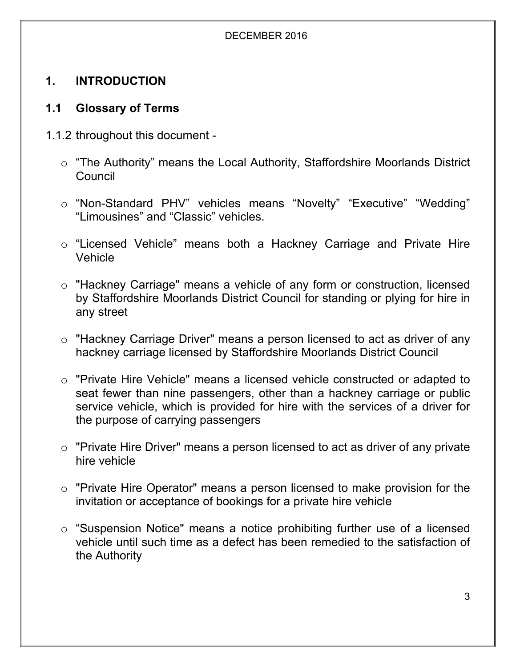#### **1. INTRODUCTION**

#### **1.1 Glossary of Terms**

- 1.1.2 throughout this document
	- o "The Authority" means the Local Authority, Staffordshire Moorlands District Council
	- o "Non-Standard PHV" vehicles means "Novelty" "Executive" "Wedding" "Limousines" and "Classic" vehicles.
	- o "Licensed Vehicle" means both a Hackney Carriage and Private Hire Vehicle
	- o "Hackney Carriage" means a vehicle of any form or construction, licensed by Staffordshire Moorlands District Council for standing or plying for hire in any street
	- o "Hackney Carriage Driver" means a person licensed to act as driver of any hackney carriage licensed by Staffordshire Moorlands District Council
	- o "Private Hire Vehicle" means a licensed vehicle constructed or adapted to seat fewer than nine passengers, other than a hackney carriage or public service vehicle, which is provided for hire with the services of a driver for the purpose of carrying passengers
	- o "Private Hire Driver" means a person licensed to act as driver of any private hire vehicle
	- o "Private Hire Operator" means a person licensed to make provision for the invitation or acceptance of bookings for a private hire vehicle
	- o "Suspension Notice" means a notice prohibiting further use of a licensed vehicle until such time as a defect has been remedied to the satisfaction of the Authority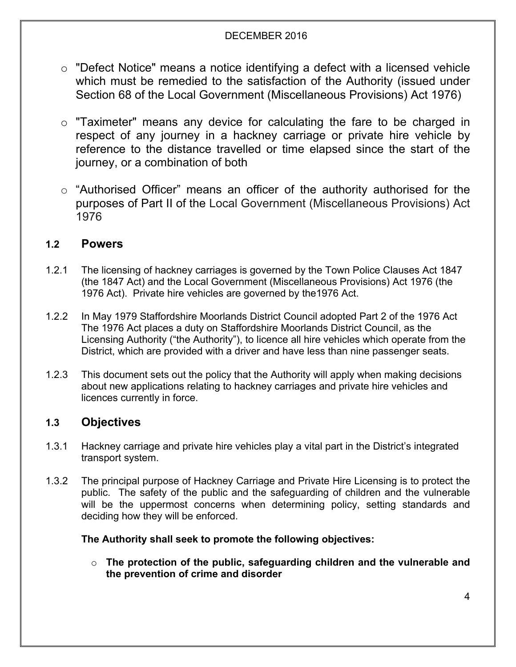- o "Defect Notice" means a notice identifying a defect with a licensed vehicle which must be remedied to the satisfaction of the Authority (issued under Section 68 of the Local Government (Miscellaneous Provisions) Act 1976)
- o "Taximeter" means any device for calculating the fare to be charged in respect of any journey in a hackney carriage or private hire vehicle by reference to the distance travelled or time elapsed since the start of the journey, or a combination of both
- o "Authorised Officer" means an officer of the authority authorised for the purposes of Part II of the Local Government (Miscellaneous Provisions) Act 1976

#### **1.2 Powers**

- 1.2.1 The licensing of hackney carriages is governed by the Town Police Clauses Act 1847 (the 1847 Act) and the Local Government (Miscellaneous Provisions) Act 1976 (the 1976 Act). Private hire vehicles are governed by the1976 Act.
- 1.2.2 In May 1979 Staffordshire Moorlands District Council adopted Part 2 of the 1976 Act The 1976 Act places a duty on Staffordshire Moorlands District Council, as the Licensing Authority ("the Authority"), to licence all hire vehicles which operate from the District, which are provided with a driver and have less than nine passenger seats.
- 1.2.3 This document sets out the policy that the Authority will apply when making decisions about new applications relating to hackney carriages and private hire vehicles and licences currently in force.

#### **1.3 Objectives**

- 1.3.1 Hackney carriage and private hire vehicles play a vital part in the District's integrated transport system.
- 1.3.2 The principal purpose of Hackney Carriage and Private Hire Licensing is to protect the public. The safety of the public and the safeguarding of children and the vulnerable will be the uppermost concerns when determining policy, setting standards and deciding how they will be enforced.

#### **The Authority shall seek to promote the following objectives:**

o **The protection of the public, safeguarding children and the vulnerable and the prevention of crime and disorder**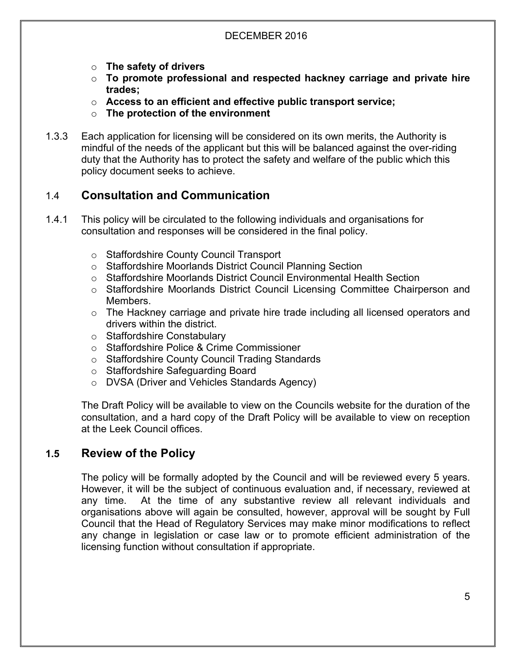- o **The safety of drivers**
- o **To promote professional and respected hackney carriage and private hire trades;**
- o **Access to an efficient and effective public transport service;**
- o **The protection of the environment**
- 1.3.3 Each application for licensing will be considered on its own merits, the Authority is mindful of the needs of the applicant but this will be balanced against the over-riding duty that the Authority has to protect the safety and welfare of the public which this policy document seeks to achieve.

#### 1.4 **Consultation and Communication**

- 1.4.1 This policy will be circulated to the following individuals and organisations for consultation and responses will be considered in the final policy.
	- o Staffordshire County Council Transport
	- o Staffordshire Moorlands District Council Planning Section
	- o Staffordshire Moorlands District Council Environmental Health Section
	- o Staffordshire Moorlands District Council Licensing Committee Chairperson and Members.
	- o The Hackney carriage and private hire trade including all licensed operators and drivers within the district.
	- o Staffordshire Constabulary
	- o Staffordshire Police & Crime Commissioner
	- o Staffordshire County Council Trading Standards
	- o Staffordshire Safeguarding Board
	- o DVSA (Driver and Vehicles Standards Agency)

The Draft Policy will be available to view on the Councils website for the duration of the consultation, and a hard copy of the Draft Policy will be available to view on reception at the Leek Council offices.

#### **1.5 Review of the Policy**

The policy will be formally adopted by the Council and will be reviewed every 5 years. However, it will be the subject of continuous evaluation and, if necessary, reviewed at any time. At the time of any substantive review all relevant individuals and organisations above will again be consulted, however, approval will be sought by Full Council that the Head of Regulatory Services may make minor modifications to reflect any change in legislation or case law or to promote efficient administration of the licensing function without consultation if appropriate.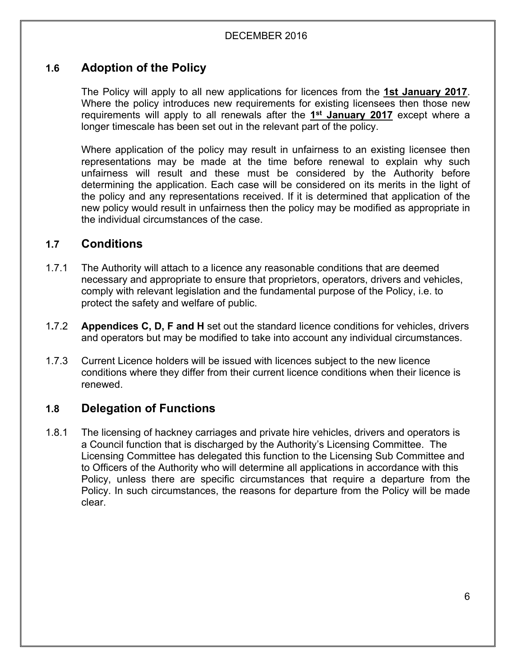#### **1.6 Adoption of the Policy**

The Policy will apply to all new applications for licences from the **1st January 2017**. Where the policy introduces new requirements for existing licensees then those new requirements will apply to all renewals after the **1 st January 2017** except where a longer timescale has been set out in the relevant part of the policy.

Where application of the policy may result in unfairness to an existing licensee then representations may be made at the time before renewal to explain why such unfairness will result and these must be considered by the Authority before determining the application. Each case will be considered on its merits in the light of the policy and any representations received. If it is determined that application of the new policy would result in unfairness then the policy may be modified as appropriate in the individual circumstances of the case.

#### **1.7 Conditions**

- 1.7.1 The Authority will attach to a licence any reasonable conditions that are deemed necessary and appropriate to ensure that proprietors, operators, drivers and vehicles, comply with relevant legislation and the fundamental purpose of the Policy, i.e. to protect the safety and welfare of public.
- 1**.**7.2 **Appendices C, D, F and H** set out the standard licence conditions for vehicles, drivers and operators but may be modified to take into account any individual circumstances.
- 1.7.3 Current Licence holders will be issued with licences subject to the new licence conditions where they differ from their current licence conditions when their licence is renewed.

#### **1.8 Delegation of Functions**

1.8.1 The licensing of hackney carriages and private hire vehicles, drivers and operators is a Council function that is discharged by the Authority's Licensing Committee. The Licensing Committee has delegated this function to the Licensing Sub Committee and to Officers of the Authority who will determine all applications in accordance with this Policy, unless there are specific circumstances that require a departure from the Policy. In such circumstances, the reasons for departure from the Policy will be made clear.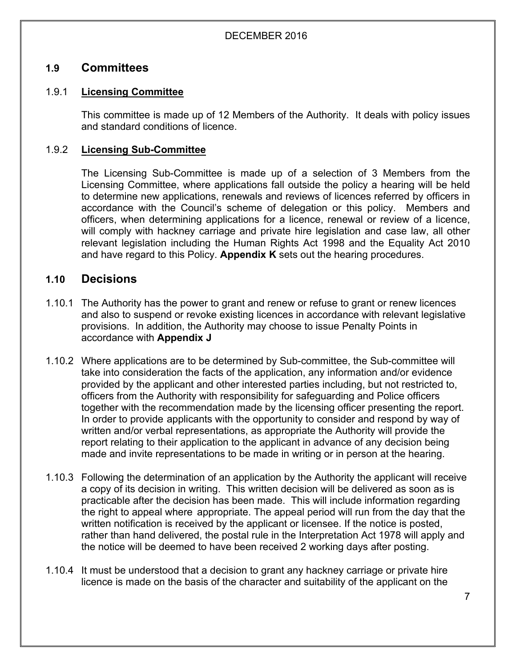#### **1.9 Committees**

#### 1.9.1 **Licensing Committee**

This committee is made up of 12 Members of the Authority. It deals with policy issues and standard conditions of licence.

#### 1.9.2 **Licensing Sub-Committee**

The Licensing Sub-Committee is made up of a selection of 3 Members from the Licensing Committee, where applications fall outside the policy a hearing will be held to determine new applications, renewals and reviews of licences referred by officers in accordance with the Council's scheme of delegation or this policy. Members and officers, when determining applications for a licence, renewal or review of a licence, will comply with hackney carriage and private hire legislation and case law, all other relevant legislation including the Human Rights Act 1998 and the Equality Act 2010 and have regard to this Policy. **Appendix K** sets out the hearing procedures.

#### **1.10 Decisions**

- 1.10.1 The Authority has the power to grant and renew or refuse to grant or renew licences and also to suspend or revoke existing licences in accordance with relevant legislative provisions. In addition, the Authority may choose to issue Penalty Points in accordance with **Appendix J**
- 1.10.2 Where applications are to be determined by Sub-committee, the Sub-committee will take into consideration the facts of the application, any information and/or evidence provided by the applicant and other interested parties including, but not restricted to, officers from the Authority with responsibility for safeguarding and Police officers together with the recommendation made by the licensing officer presenting the report. In order to provide applicants with the opportunity to consider and respond by way of written and/or verbal representations, as appropriate the Authority will provide the report relating to their application to the applicant in advance of any decision being made and invite representations to be made in writing or in person at the hearing.
- 1.10.3 Following the determination of an application by the Authority the applicant will receive a copy of its decision in writing. This written decision will be delivered as soon as is practicable after the decision has been made. This will include information regarding the right to appeal where appropriate. The appeal period will run from the day that the written notification is received by the applicant or licensee. If the notice is posted, rather than hand delivered, the postal rule in the Interpretation Act 1978 will apply and the notice will be deemed to have been received 2 working days after posting.
- 1.10.4 It must be understood that a decision to grant any hackney carriage or private hire licence is made on the basis of the character and suitability of the applicant on the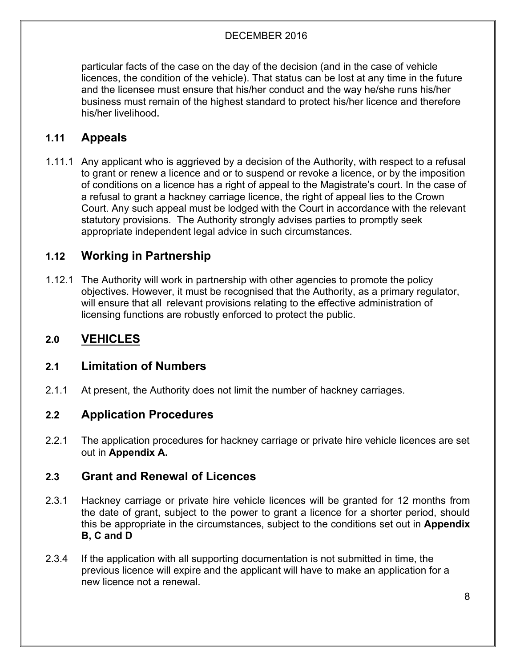particular facts of the case on the day of the decision (and in the case of vehicle licences, the condition of the vehicle). That status can be lost at any time in the future and the licensee must ensure that his/her conduct and the way he/she runs his/her business must remain of the highest standard to protect his/her licence and therefore his/her livelihood.

#### **1.11 Appeals**

1.11.1 Any applicant who is aggrieved by a decision of the Authority, with respect to a refusal to grant or renew a licence and or to suspend or revoke a licence, or by the imposition of conditions on a licence has a right of appeal to the Magistrate's court. In the case of a refusal to grant a hackney carriage licence, the right of appeal lies to the Crown Court. Any such appeal must be lodged with the Court in accordance with the relevant statutory provisions. The Authority strongly advises parties to promptly seek appropriate independent legal advice in such circumstances.

#### **1.12 Working in Partnership**

1.12.1 The Authority will work in partnership with other agencies to promote the policy objectives. However, it must be recognised that the Authority, as a primary regulator, will ensure that all relevant provisions relating to the effective administration of licensing functions are robustly enforced to protect the public.

#### **2.0 VEHICLES**

#### **2.1 Limitation of Numbers**

2.1.1 At present, the Authority does not limit the number of hackney carriages.

#### **2.2 Application Procedures**

2.2.1 The application procedures for hackney carriage or private hire vehicle licences are set out in **Appendix A.**

#### **2.3 Grant and Renewal of Licences**

- 2.3.1 Hackney carriage or private hire vehicle licences will be granted for 12 months from the date of grant, subject to the power to grant a licence for a shorter period, should this be appropriate in the circumstances, subject to the conditions set out in **Appendix B, C and D**
- 2.3.4 If the application with all supporting documentation is not submitted in time, the previous licence will expire and the applicant will have to make an application for a new licence not a renewal.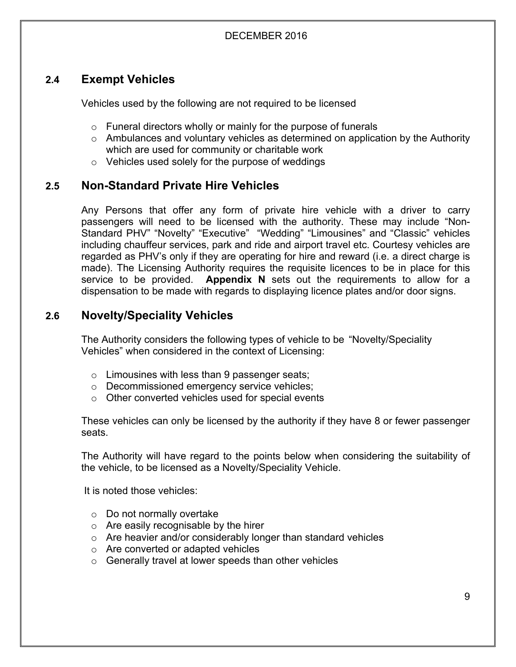#### **2.4 Exempt Vehicles**

Vehicles used by the following are not required to be licensed

- $\circ$  Funeral directors wholly or mainly for the purpose of funerals
- o Ambulances and voluntary vehicles as determined on application by the Authority which are used for community or charitable work
- o Vehicles used solely for the purpose of weddings

#### **2.5 Non-Standard Private Hire Vehicles**

Any Persons that offer any form of private hire vehicle with a driver to carry passengers will need to be licensed with the authority. These may include "Non-Standard PHV" "Novelty" "Executive" "Wedding" "Limousines" and "Classic" vehicles including chauffeur services, park and ride and airport travel etc. Courtesy vehicles are regarded as PHV's only if they are operating for hire and reward (i.e. a direct charge is made). The Licensing Authority requires the requisite licences to be in place for this service to be provided. **Appendix N** sets out the requirements to allow for a dispensation to be made with regards to displaying licence plates and/or door signs.

#### **2.6 Novelty/Speciality Vehicles**

The Authority considers the following types of vehicle to be "Novelty/Speciality Vehicles" when considered in the context of Licensing:

- o Limousines with less than 9 passenger seats;
- o Decommissioned emergency service vehicles;
- o Other converted vehicles used for special events

These vehicles can only be licensed by the authority if they have 8 or fewer passenger seats.

The Authority will have regard to the points below when considering the suitability of the vehicle, to be licensed as a Novelty/Speciality Vehicle.

It is noted those vehicles:

- o Do not normally overtake
- $\circ$  Are easily recognisable by the hirer
- o Are heavier and/or considerably longer than standard vehicles
- o Are converted or adapted vehicles
- o Generally travel at lower speeds than other vehicles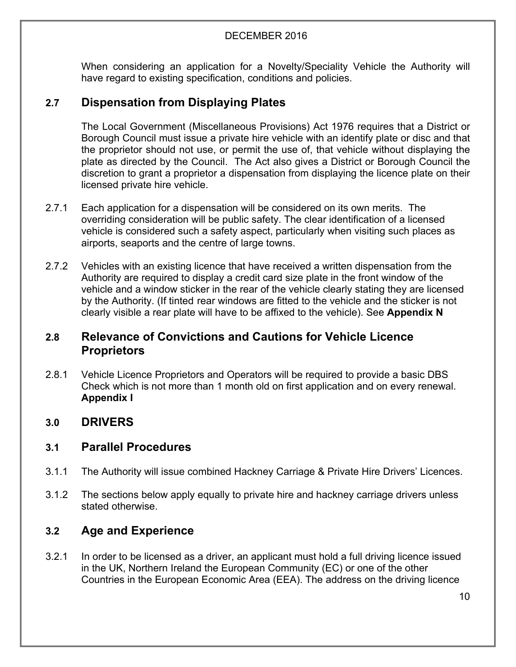When considering an application for a Novelty/Speciality Vehicle the Authority will have regard to existing specification, conditions and policies.

#### **2.7 Dispensation from Displaying Plates**

The Local Government (Miscellaneous Provisions) Act 1976 requires that a District or Borough Council must issue a private hire vehicle with an identify plate or disc and that the proprietor should not use, or permit the use of, that vehicle without displaying the plate as directed by the Council. The Act also gives a District or Borough Council the discretion to grant a proprietor a dispensation from displaying the licence plate on their licensed private hire vehicle.

- 2.7.1 Each application for a dispensation will be considered on its own merits. The overriding consideration will be public safety. The clear identification of a licensed vehicle is considered such a safety aspect, particularly when visiting such places as airports, seaports and the centre of large towns.
- 2.7.2 Vehicles with an existing licence that have received a written dispensation from the Authority are required to display a credit card size plate in the front window of the vehicle and a window sticker in the rear of the vehicle clearly stating they are licensed by the Authority. (If tinted rear windows are fitted to the vehicle and the sticker is not clearly visible a rear plate will have to be affixed to the vehicle). See **Appendix N**

#### **2.8 Relevance of Convictions and Cautions for Vehicle Licence Proprietors**

2.8.1 Vehicle Licence Proprietors and Operators will be required to provide a basic DBS Check which is not more than 1 month old on first application and on every renewal. **Appendix I**

#### **3.0 DRIVERS**

#### **3.1 Parallel Procedures**

- 3.1.1 The Authority will issue combined Hackney Carriage & Private Hire Drivers' Licences.
- 3.1.2 The sections below apply equally to private hire and hackney carriage drivers unless stated otherwise.

#### **3.2 Age and Experience**

3.2.1 In order to be licensed as a driver, an applicant must hold a full driving licence issued in the UK, Northern Ireland the European Community (EC) or one of the other Countries in the European Economic Area (EEA). The address on the driving licence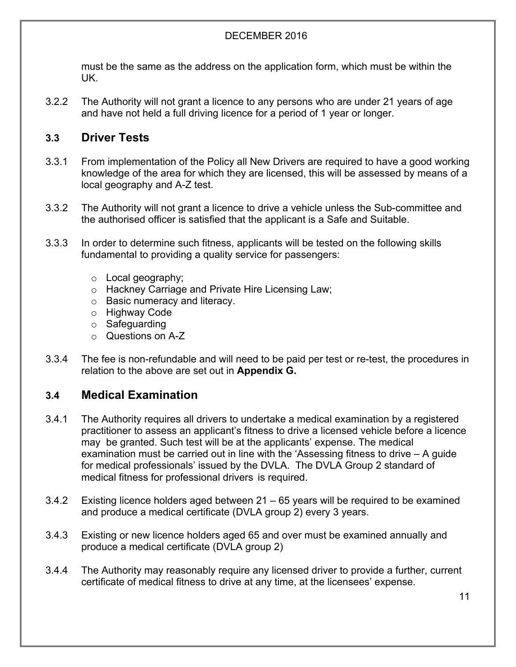must be the same as the address on the application form, which must be within the UK.

3.2.2 The Authority will not grant a licence to any persons who are under 21 years of age and have not held a full driving licence for a period of 1 year or longer.

#### **3.3 Driver Tests**

- 3.3.1 From implementation of the Policy all New Drivers are required to have a good working knowledge of the area for which they are licensed, this will be assessed by means of a local geography and A-Z test.
- 3.3.2 The Authority will not grant a licence to drive a vehicle unless the Sub-committee and the authorised officer is satisfied that the applicant is a Safe and Suitable.
- 3.3.3 In order to determine such fitness, applicants will be tested on the following skills fundamental to providing a quality service for passengers:
	- o Local geography;
	- o Hackney Carriage and Private Hire Licensing Law;
	- o Basic numeracy and literacy.
	- o Highway Code
	- o Safeguarding
	- o Questions on A-Z
- 3.3.4 The fee is non-refundable and will need to be paid per test or re-test, the procedures in relation to the above are set out in **Appendix G.**

#### **3.4 Medical Examination**

- 3.4.1 The Authority requires all drivers to undertake a medical examination by a registered practitioner to assess an applicant's fitness to drive a licensed vehicle before a licence may be granted. Such test will be at the applicants' expense. The medical examination must be carried out in line with the 'Assessing fitness to drive – A guide for medical professionals' issued by the DVLA. The DVLA Group 2 standard of medical fitness for professional drivers is required.
- 3.4.2 Existing licence holders aged between 21 65 years will be required to be examined and produce a medical certificate (DVLA group 2) every 3 years.
- 3.4.3 Existing or new licence holders aged 65 and over must be examined annually and produce a medical certificate (DVLA group 2)
- 3.4.4 The Authority may reasonably require any licensed driver to provide a further, current certificate of medical fitness to drive at any time, at the licensees' expense.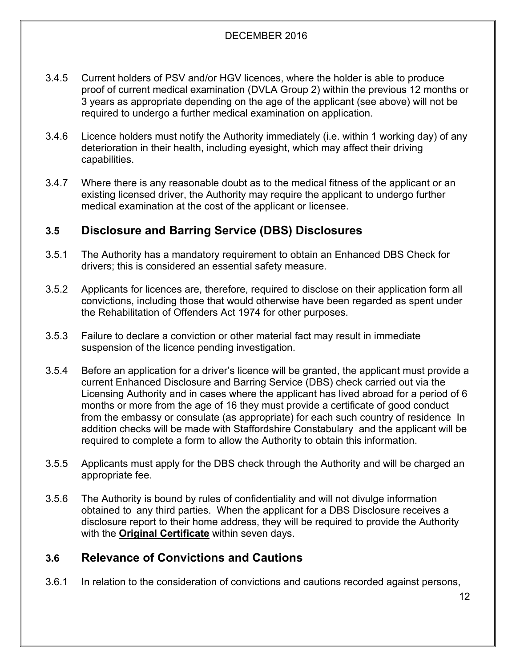- 3.4.5 Current holders of PSV and/or HGV licences, where the holder is able to produce proof of current medical examination (DVLA Group 2) within the previous 12 months or 3 years as appropriate depending on the age of the applicant (see above) will not be required to undergo a further medical examination on application.
- 3.4.6 Licence holders must notify the Authority immediately (i.e. within 1 working day) of any deterioration in their health, including eyesight, which may affect their driving capabilities.
- 3.4.7 Where there is any reasonable doubt as to the medical fitness of the applicant or an existing licensed driver, the Authority may require the applicant to undergo further medical examination at the cost of the applicant or licensee.

#### **3.5 Disclosure and Barring Service (DBS) Disclosures**

- 3.5.1 The Authority has a mandatory requirement to obtain an Enhanced DBS Check for drivers; this is considered an essential safety measure.
- 3.5.2 Applicants for licences are, therefore, required to disclose on their application form all convictions, including those that would otherwise have been regarded as spent under the Rehabilitation of Offenders Act 1974 for other purposes.
- 3.5.3 Failure to declare a conviction or other material fact may result in immediate suspension of the licence pending investigation.
- 3.5.4 Before an application for a driver's licence will be granted, the applicant must provide a current Enhanced Disclosure and Barring Service (DBS) check carried out via the Licensing Authority and in cases where the applicant has lived abroad for a period of 6 months or more from the age of 16 they must provide a certificate of good conduct from the embassy or consulate (as appropriate) for each such country of residence In addition checks will be made with Staffordshire Constabulary and the applicant will be required to complete a form to allow the Authority to obtain this information.
- 3.5.5 Applicants must apply for the DBS check through the Authority and will be charged an appropriate fee.
- 3.5.6 The Authority is bound by rules of confidentiality and will not divulge information obtained to any third parties. When the applicant for a DBS Disclosure receives a disclosure report to their home address, they will be required to provide the Authority with the **Original Certificate** within seven days.

#### **3.6 Relevance of Convictions and Cautions**

3.6.1 In relation to the consideration of convictions and cautions recorded against persons,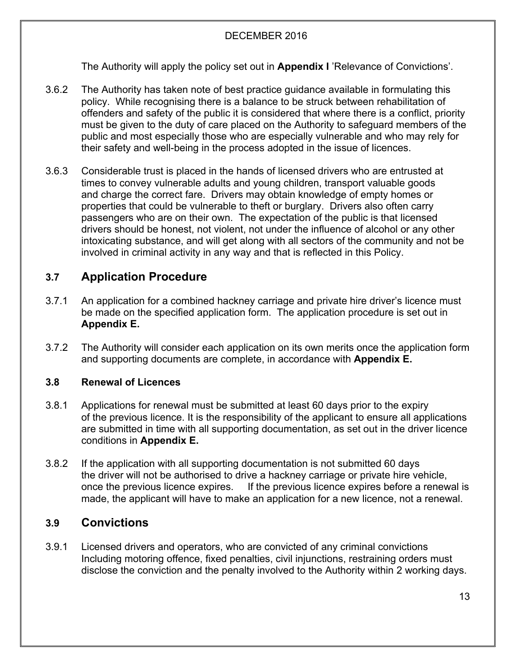The Authority will apply the policy set out in **Appendix I** 'Relevance of Convictions'.

- 3.6.2 The Authority has taken note of best practice guidance available in formulating this policy. While recognising there is a balance to be struck between rehabilitation of offenders and safety of the public it is considered that where there is a conflict, priority must be given to the duty of care placed on the Authority to safeguard members of the public and most especially those who are especially vulnerable and who may rely for their safety and well-being in the process adopted in the issue of licences.
- 3.6.3 Considerable trust is placed in the hands of licensed drivers who are entrusted at times to convey vulnerable adults and young children, transport valuable goods and charge the correct fare. Drivers may obtain knowledge of empty homes or properties that could be vulnerable to theft or burglary. Drivers also often carry passengers who are on their own. The expectation of the public is that licensed drivers should be honest, not violent, not under the influence of alcohol or any other intoxicating substance, and will get along with all sectors of the community and not be involved in criminal activity in any way and that is reflected in this Policy.

#### **3.7 Application Procedure**

- 3.7.1 An application for a combined hackney carriage and private hire driver's licence must be made on the specified application form. The application procedure is set out in **Appendix E.**
- 3.7.2 The Authority will consider each application on its own merits once the application form and supporting documents are complete, in accordance with **Appendix E.**

#### **3.8 Renewal of Licences**

- 3.8.1 Applications for renewal must be submitted at least 60 days prior to the expiry of the previous licence. It is the responsibility of the applicant to ensure all applications are submitted in time with all supporting documentation, as set out in the driver licence conditions in **Appendix E.**
- 3.8.2 If the application with all supporting documentation is not submitted 60 days the driver will not be authorised to drive a hackney carriage or private hire vehicle, once the previous licence expires. If the previous licence expires before a renewal is made, the applicant will have to make an application for a new licence, not a renewal.

#### **3.9 Convictions**

3.9.1 Licensed drivers and operators, who are convicted of any criminal convictions Including motoring offence, fixed penalties, civil injunctions, restraining orders must disclose the conviction and the penalty involved to the Authority within 2 working days.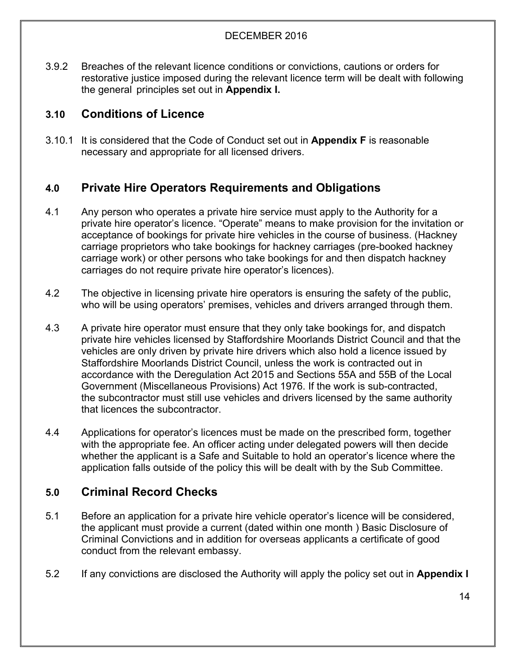3.9.2 Breaches of the relevant licence conditions or convictions, cautions or orders for restorative justice imposed during the relevant licence term will be dealt with following the general principles set out in **Appendix I.**

#### **3.10 Conditions of Licence**

3.10.1 It is considered that the Code of Conduct set out in **Appendix F** is reasonable necessary and appropriate for all licensed drivers.

#### **4.0 Private Hire Operators Requirements and Obligations**

- 4.1 Any person who operates a private hire service must apply to the Authority for a private hire operator's licence. "Operate" means to make provision for the invitation or acceptance of bookings for private hire vehicles in the course of business. (Hackney carriage proprietors who take bookings for hackney carriages (pre-booked hackney carriage work) or other persons who take bookings for and then dispatch hackney carriages do not require private hire operator's licences).
- 4.2 The objective in licensing private hire operators is ensuring the safety of the public, who will be using operators' premises, vehicles and drivers arranged through them.
- 4.3 A private hire operator must ensure that they only take bookings for, and dispatch private hire vehicles licensed by Staffordshire Moorlands District Council and that the vehicles are only driven by private hire drivers which also hold a licence issued by Staffordshire Moorlands District Council, unless the work is contracted out in accordance with the Deregulation Act 2015 and Sections 55A and 55B of the Local Government (Miscellaneous Provisions) Act 1976. If the work is sub-contracted, the subcontractor must still use vehicles and drivers licensed by the same authority that licences the subcontractor.
- 4.4 Applications for operator's licences must be made on the prescribed form, together with the appropriate fee. An officer acting under delegated powers will then decide whether the applicant is a Safe and Suitable to hold an operator's licence where the application falls outside of the policy this will be dealt with by the Sub Committee.

#### **5.0 Criminal Record Checks**

- 5.1 Before an application for a private hire vehicle operator's licence will be considered, the applicant must provide a current (dated within one month ) Basic Disclosure of Criminal Convictions and in addition for overseas applicants a certificate of good conduct from the relevant embassy.
- 5.2 If any convictions are disclosed the Authority will apply the policy set out in **Appendix I**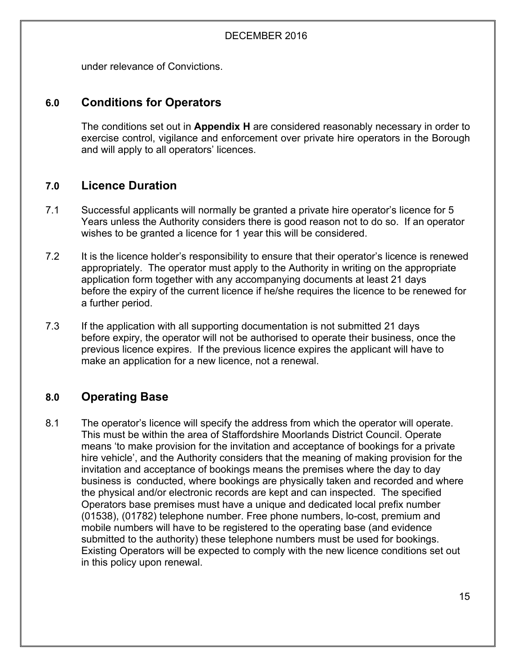under relevance of Convictions.

#### **6.0 Conditions for Operators**

The conditions set out in **Appendix H** are considered reasonably necessary in order to exercise control, vigilance and enforcement over private hire operators in the Borough and will apply to all operators' licences.

#### **7.0 Licence Duration**

- 7.1 Successful applicants will normally be granted a private hire operator's licence for 5 Years unless the Authority considers there is good reason not to do so. If an operator wishes to be granted a licence for 1 year this will be considered.
- 7.2 It is the licence holder's responsibility to ensure that their operator's licence is renewed appropriately. The operator must apply to the Authority in writing on the appropriate application form together with any accompanying documents at least 21 days before the expiry of the current licence if he/she requires the licence to be renewed for a further period.
- 7.3 If the application with all supporting documentation is not submitted 21 days before expiry, the operator will not be authorised to operate their business, once the previous licence expires. If the previous licence expires the applicant will have to make an application for a new licence, not a renewal.

#### **8.0 Operating Base**

8.1 The operator's licence will specify the address from which the operator will operate. This must be within the area of Staffordshire Moorlands District Council. Operate means 'to make provision for the invitation and acceptance of bookings for a private hire vehicle', and the Authority considers that the meaning of making provision for the invitation and acceptance of bookings means the premises where the day to day business is conducted, where bookings are physically taken and recorded and where the physical and/or electronic records are kept and can inspected. The specified Operators base premises must have a unique and dedicated local prefix number (01538), (01782) telephone number. Free phone numbers, lo-cost, premium and mobile numbers will have to be registered to the operating base (and evidence submitted to the authority) these telephone numbers must be used for bookings. Existing Operators will be expected to comply with the new licence conditions set out in this policy upon renewal.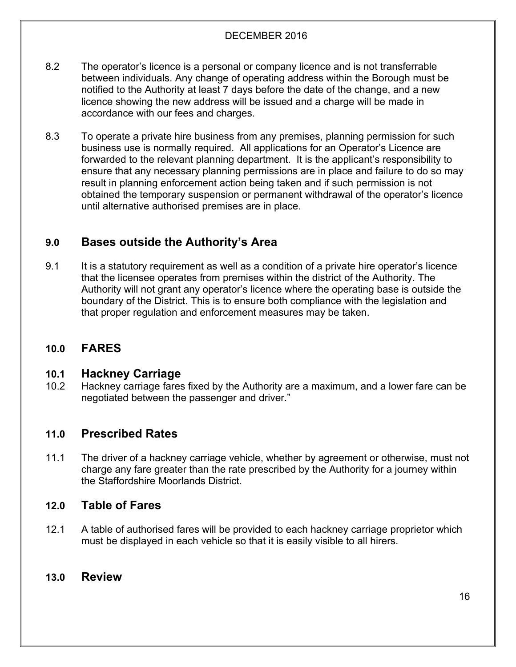- 8.2 The operator's licence is a personal or company licence and is not transferrable between individuals. Any change of operating address within the Borough must be notified to the Authority at least 7 days before the date of the change, and a new licence showing the new address will be issued and a charge will be made in accordance with our fees and charges.
- 8.3 To operate a private hire business from any premises, planning permission for such business use is normally required. All applications for an Operator's Licence are forwarded to the relevant planning department. It is the applicant's responsibility to ensure that any necessary planning permissions are in place and failure to do so may result in planning enforcement action being taken and if such permission is not obtained the temporary suspension or permanent withdrawal of the operator's licence until alternative authorised premises are in place.

#### **9.0 Bases outside the Authority's Area**

9.1 It is a statutory requirement as well as a condition of a private hire operator's licence that the licensee operates from premises within the district of the Authority. The Authority will not grant any operator's licence where the operating base is outside the boundary of the District. This is to ensure both compliance with the legislation and that proper regulation and enforcement measures may be taken.

#### **10.0 FARES**

#### **10.1 Hackney Carriage**

10.2 Hackney carriage fares fixed by the Authority are a maximum, and a lower fare can be negotiated between the passenger and driver."

#### **11.0 Prescribed Rates**

11.1 The driver of a hackney carriage vehicle, whether by agreement or otherwise, must not charge any fare greater than the rate prescribed by the Authority for a journey within the Staffordshire Moorlands District.

#### **12.0 Table of Fares**

12.1 A table of authorised fares will be provided to each hackney carriage proprietor which must be displayed in each vehicle so that it is easily visible to all hirers.

#### **13.0 Review**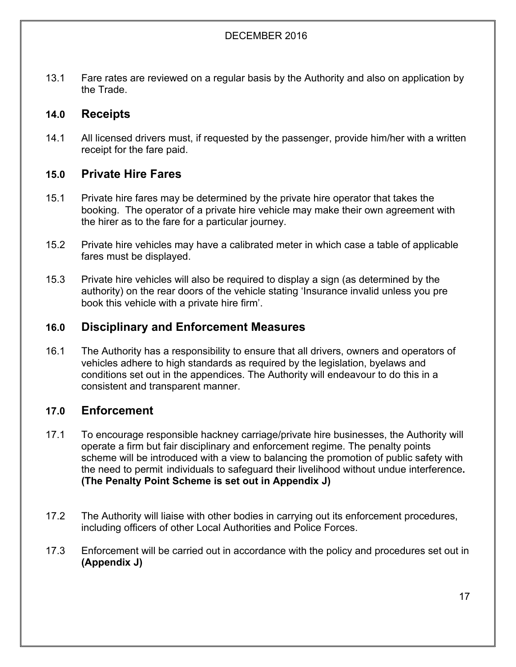13.1 Fare rates are reviewed on a regular basis by the Authority and also on application by the Trade.

#### **14.0 Receipts**

14.1 All licensed drivers must, if requested by the passenger, provide him/her with a written receipt for the fare paid.

#### **15.0 Private Hire Fares**

- 15.1 Private hire fares may be determined by the private hire operator that takes the booking. The operator of a private hire vehicle may make their own agreement with the hirer as to the fare for a particular journey.
- 15.2 Private hire vehicles may have a calibrated meter in which case a table of applicable fares must be displayed.
- 15.3 Private hire vehicles will also be required to display a sign (as determined by the authority) on the rear doors of the vehicle stating 'Insurance invalid unless you pre book this vehicle with a private hire firm'.

#### **16.0 Disciplinary and Enforcement Measures**

16.1 The Authority has a responsibility to ensure that all drivers, owners and operators of vehicles adhere to high standards as required by the legislation, byelaws and conditions set out in the appendices. The Authority will endeavour to do this in a consistent and transparent manner.

#### **17.0 Enforcement**

- 17.1 To encourage responsible hackney carriage/private hire businesses, the Authority will operate a firm but fair disciplinary and enforcement regime. The penalty points scheme will be introduced with a view to balancing the promotion of public safety with the need to permit individuals to safeguard their livelihood without undue interference**. (The Penalty Point Scheme is set out in Appendix J)**
- 17.2 The Authority will liaise with other bodies in carrying out its enforcement procedures, including officers of other Local Authorities and Police Forces.
- 17.3 Enforcement will be carried out in accordance with the policy and procedures set out in **(Appendix J)**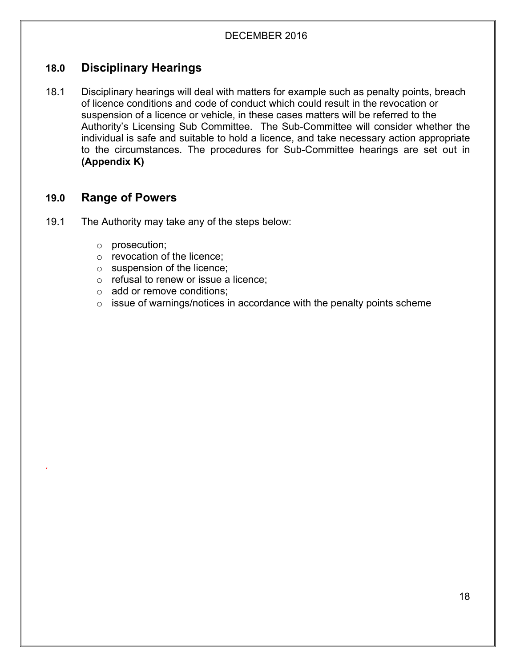#### **18.0 Disciplinary Hearings**

18.1 Disciplinary hearings will deal with matters for example such as penalty points, breach of licence conditions and code of conduct which could result in the revocation or suspension of a licence or vehicle, in these cases matters will be referred to the Authority's Licensing Sub Committee. The Sub-Committee will consider whether the individual is safe and suitable to hold a licence, and take necessary action appropriate to the circumstances. The procedures for Sub-Committee hearings are set out in **(Appendix K)**

#### **19.0 Range of Powers**

*.*

- 19.1 The Authority may take any of the steps below:
	- o prosecution;
	- o revocation of the licence;
	- o suspension of the licence;
	- o refusal to renew or issue a licence;
	- o add or remove conditions;
	- $\circ$  issue of warnings/notices in accordance with the penalty points scheme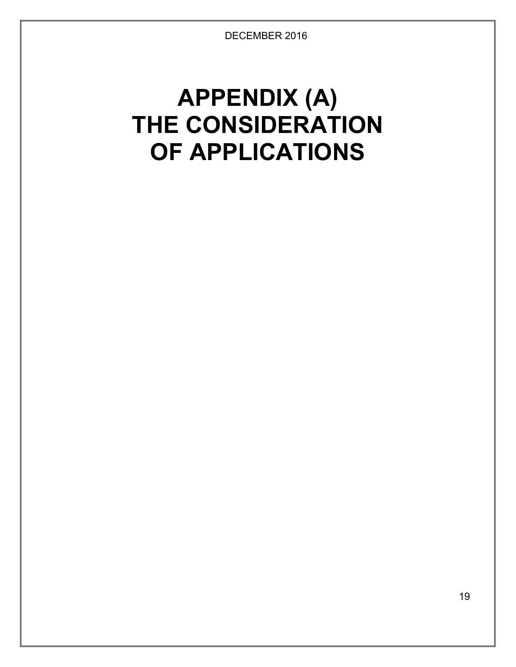## **APPENDIX (A) THE CONSIDERATION OF APPLICATIONS**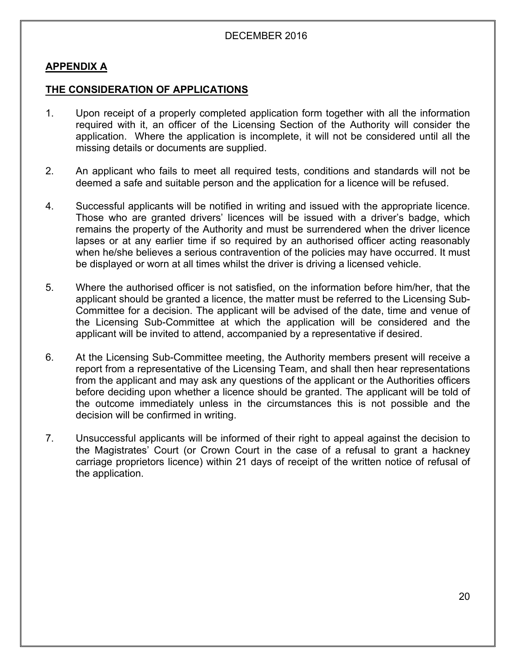#### **APPENDIX A**

#### **THE CONSIDERATION OF APPLICATIONS**

- 1. Upon receipt of a properly completed application form together with all the information required with it, an officer of the Licensing Section of the Authority will consider the application. Where the application is incomplete, it will not be considered until all the missing details or documents are supplied.
- 2. An applicant who fails to meet all required tests, conditions and standards will not be deemed a safe and suitable person and the application for a licence will be refused.
- 4. Successful applicants will be notified in writing and issued with the appropriate licence. Those who are granted drivers' licences will be issued with a driver's badge, which remains the property of the Authority and must be surrendered when the driver licence lapses or at any earlier time if so required by an authorised officer acting reasonably when he/she believes a serious contravention of the policies may have occurred. It must be displayed or worn at all times whilst the driver is driving a licensed vehicle.
- 5. Where the authorised officer is not satisfied, on the information before him/her, that the applicant should be granted a licence, the matter must be referred to the Licensing Sub-Committee for a decision. The applicant will be advised of the date, time and venue of the Licensing Sub-Committee at which the application will be considered and the applicant will be invited to attend, accompanied by a representative if desired.
- 6. At the Licensing Sub-Committee meeting, the Authority members present will receive a report from a representative of the Licensing Team, and shall then hear representations from the applicant and may ask any questions of the applicant or the Authorities officers before deciding upon whether a licence should be granted. The applicant will be told of the outcome immediately unless in the circumstances this is not possible and the decision will be confirmed in writing.
- 7. Unsuccessful applicants will be informed of their right to appeal against the decision to the Magistrates' Court (or Crown Court in the case of a refusal to grant a hackney carriage proprietors licence) within 21 days of receipt of the written notice of refusal of the application.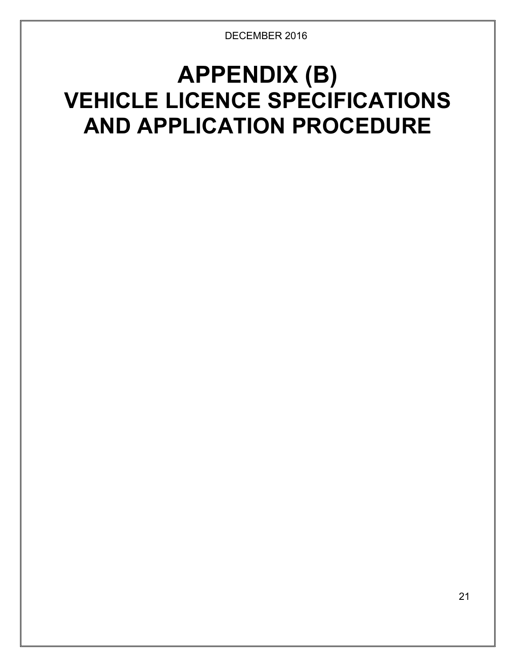## **APPENDIX (B) VEHICLE LICENCE SPECIFICATIONS AND APPLICATION PROCEDURE**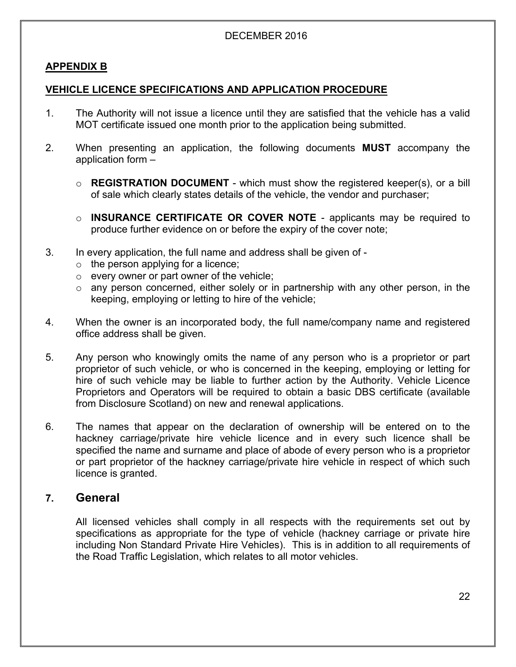#### **APPENDIX B**

#### **VEHICLE LICENCE SPECIFICATIONS AND APPLICATION PROCEDURE**

- 1. The Authority will not issue a licence until they are satisfied that the vehicle has a valid MOT certificate issued one month prior to the application being submitted.
- 2. When presenting an application, the following documents **MUST** accompany the application form –
	- o **REGISTRATION DOCUMENT** which must show the registered keeper(s), or a bill of sale which clearly states details of the vehicle, the vendor and purchaser;
	- o **INSURANCE CERTIFICATE OR COVER NOTE** applicants may be required to produce further evidence on or before the expiry of the cover note;
- 3. In every application, the full name and address shall be given of
	- $\circ$  the person applying for a licence;
	- o every owner or part owner of the vehicle;
	- $\circ$  any person concerned, either solely or in partnership with any other person, in the keeping, employing or letting to hire of the vehicle;
- 4. When the owner is an incorporated body, the full name/company name and registered office address shall be given.
- 5. Any person who knowingly omits the name of any person who is a proprietor or part proprietor of such vehicle, or who is concerned in the keeping, employing or letting for hire of such vehicle may be liable to further action by the Authority. Vehicle Licence Proprietors and Operators will be required to obtain a basic DBS certificate (available from Disclosure Scotland) on new and renewal applications.
- 6. The names that appear on the declaration of ownership will be entered on to the hackney carriage/private hire vehicle licence and in every such licence shall be specified the name and surname and place of abode of every person who is a proprietor or part proprietor of the hackney carriage/private hire vehicle in respect of which such licence is granted.

#### **7. General**

All licensed vehicles shall comply in all respects with the requirements set out by specifications as appropriate for the type of vehicle (hackney carriage or private hire including Non Standard Private Hire Vehicles). This is in addition to all requirements of the Road Traffic Legislation, which relates to all motor vehicles.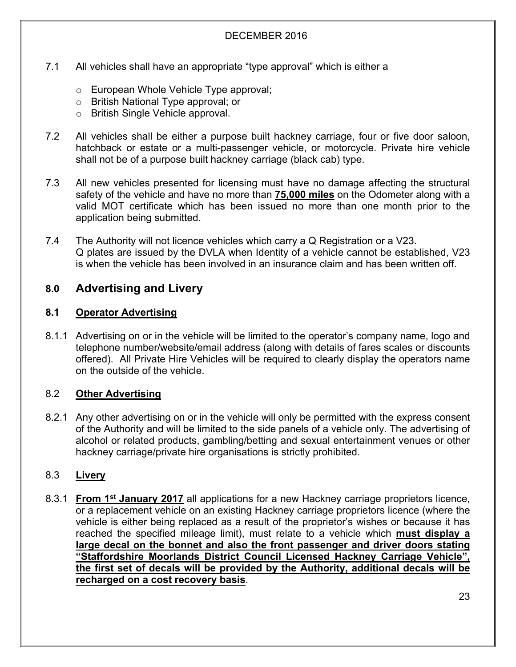- 7.1 All vehicles shall have an appropriate "type approval" which is either a
	- o European Whole Vehicle Type approval;
	- o British National Type approval; or
	- o British Single Vehicle approval.
- 7.2 All vehicles shall be either a purpose built hackney carriage, four or five door saloon, hatchback or estate or a multi-passenger vehicle, or motorcycle. Private hire vehicle shall not be of a purpose built hackney carriage (black cab) type.
- 7.3 All new vehicles presented for licensing must have no damage affecting the structural safety of the vehicle and have no more than **75,000 miles** on the Odometer along with a valid MOT certificate which has been issued no more than one month prior to the application being submitted.
- 7.4 The Authority will not licence vehicles which carry a Q Registration or a V23. Q plates are issued by the DVLA when Identity of a vehicle cannot be established, V23 is when the vehicle has been involved in an insurance claim and has been written off.

#### **8.0 Advertising and Livery**

#### **8.1 Operator Advertising**

8.1.1 Advertising on or in the vehicle will be limited to the operator's company name, logo and telephone number/website/email address (along with details of fares scales or discounts offered). All Private Hire Vehicles will be required to clearly display the operators name on the outside of the vehicle.

#### 8.2 **Other Advertising**

8.2.1 Any other advertising on or in the vehicle will only be permitted with the express consent of the Authority and will be limited to the side panels of a vehicle only. The advertising of alcohol or related products, gambling/betting and sexual entertainment venues or other hackney carriage/private hire organisations is strictly prohibited.

#### 8.3 **Livery**

8.3.1 **From 1 st January 2017** all applications for a new Hackney carriage proprietors licence, or a replacement vehicle on an existing Hackney carriage proprietors licence (where the vehicle is either being replaced as a result of the proprietor's wishes or because it has reached the specified mileage limit), must relate to a vehicle which **must display a large decal on the bonnet and also the front passenger and driver doors stating "Staffordshire Moorlands District Council Licensed Hackney Carriage Vehicle", the first set of decals will be provided by the Authority, additional decals will be recharged on a cost recovery basis**.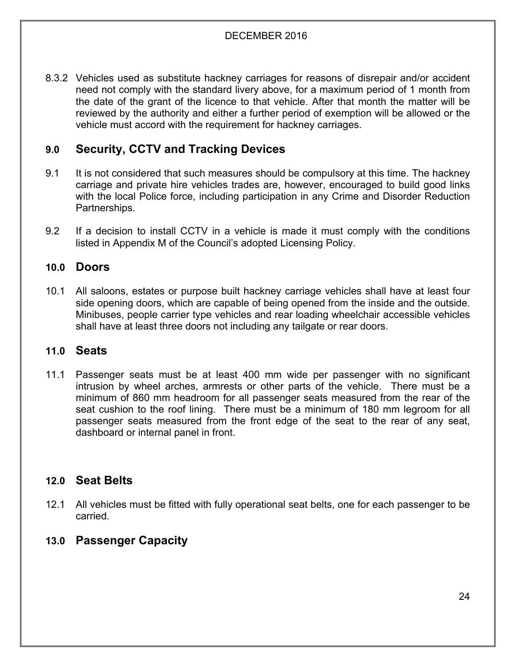8.3.2 Vehicles used as substitute hackney carriages for reasons of disrepair and/or accident need not comply with the standard livery above, for a maximum period of 1 month from the date of the grant of the licence to that vehicle. After that month the matter will be reviewed by the authority and either a further period of exemption will be allowed or the vehicle must accord with the requirement for hackney carriages.

#### **9.0 Security, CCTV and Tracking Devices**

- 9.1 It is not considered that such measures should be compulsory at this time. The hackney carriage and private hire vehicles trades are, however, encouraged to build good links with the local Police force, including participation in any Crime and Disorder Reduction Partnerships.
- 9.2 If a decision to install CCTV in a vehicle is made it must comply with the conditions listed in Appendix M of the Council's adopted Licensing Policy.

#### **10.0 Doors**

10.1 All saloons, estates or purpose built hackney carriage vehicles shall have at least four side opening doors, which are capable of being opened from the inside and the outside. Minibuses, people carrier type vehicles and rear loading wheelchair accessible vehicles shall have at least three doors not including any tailgate or rear doors.

#### **11.0 Seats**

11.1 Passenger seats must be at least 400 mm wide per passenger with no significant intrusion by wheel arches, armrests or other parts of the vehicle. There must be a minimum of 860 mm headroom for all passenger seats measured from the rear of the seat cushion to the roof lining. There must be a minimum of 180 mm legroom for all passenger seats measured from the front edge of the seat to the rear of any seat, dashboard or internal panel in front.

#### **12.0 Seat Belts**

12.1 All vehicles must be fitted with fully operational seat belts, one for each passenger to be carried.

#### **13.0 Passenger Capacity**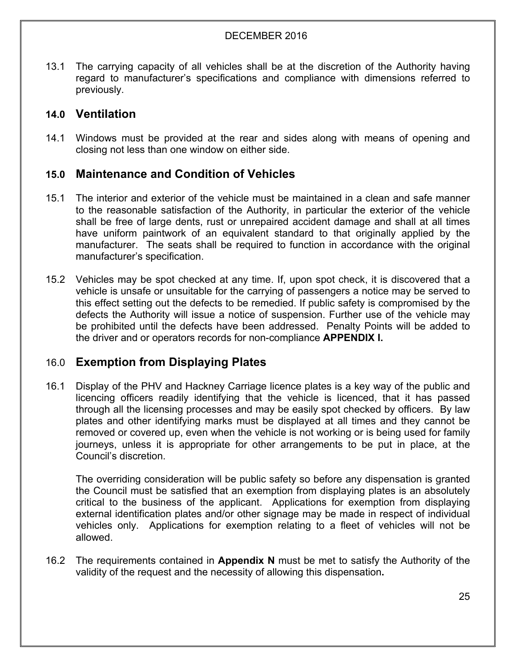13.1 The carrying capacity of all vehicles shall be at the discretion of the Authority having regard to manufacturer's specifications and compliance with dimensions referred to previously.

#### **14.0 Ventilation**

14.1 Windows must be provided at the rear and sides along with means of opening and closing not less than one window on either side.

#### **15.0 Maintenance and Condition of Vehicles**

- 15.1 The interior and exterior of the vehicle must be maintained in a clean and safe manner to the reasonable satisfaction of the Authority, in particular the exterior of the vehicle shall be free of large dents, rust or unrepaired accident damage and shall at all times have uniform paintwork of an equivalent standard to that originally applied by the manufacturer. The seats shall be required to function in accordance with the original manufacturer's specification.
- 15.2 Vehicles may be spot checked at any time. If, upon spot check, it is discovered that a vehicle is unsafe or unsuitable for the carrying of passengers a notice may be served to this effect setting out the defects to be remedied. If public safety is compromised by the defects the Authority will issue a notice of suspension. Further use of the vehicle may be prohibited until the defects have been addressed. Penalty Points will be added to the driver and or operators records for non-compliance **APPENDIX I.**

#### 16.0 **Exemption from Displaying Plates**

16.1 Display of the PHV and Hackney Carriage licence plates is a key way of the public and licencing officers readily identifying that the vehicle is licenced, that it has passed through all the licensing processes and may be easily spot checked by officers. By law plates and other identifying marks must be displayed at all times and they cannot be removed or covered up, even when the vehicle is not working or is being used for family journeys, unless it is appropriate for other arrangements to be put in place, at the Council's discretion.

The overriding consideration will be public safety so before any dispensation is granted the Council must be satisfied that an exemption from displaying plates is an absolutely critical to the business of the applicant. Applications for exemption from displaying external identification plates and/or other signage may be made in respect of individual vehicles only. Applications for exemption relating to a fleet of vehicles will not be allowed.

16.2 The requirements contained in **Appendix N** must be met to satisfy the Authority of the validity of the request and the necessity of allowing this dispensation**.**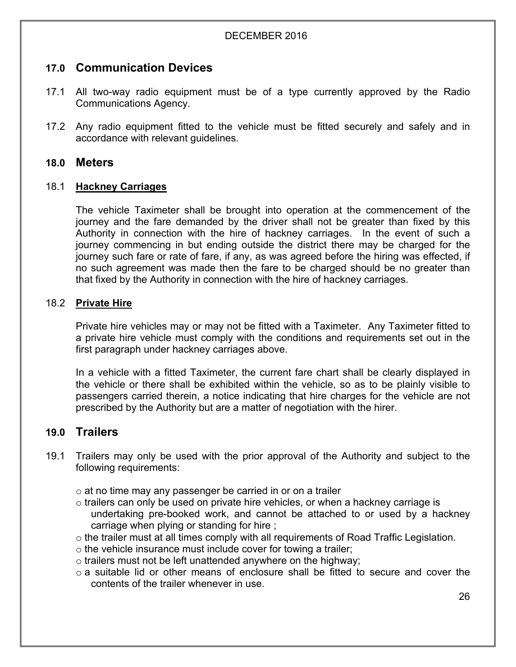#### **17.0 Communication Devices**

- 17.1 All two-way radio equipment must be of a type currently approved by the Radio Communications Agency.
- 17.2 Any radio equipment fitted to the vehicle must be fitted securely and safely and in accordance with relevant guidelines.

#### **18.0 Meters**

#### 18.1 **Hackney Carriages**

The vehicle Taximeter shall be brought into operation at the commencement of the journey and the fare demanded by the driver shall not be greater than fixed by this Authority in connection with the hire of hackney carriages. In the event of such a journey commencing in but ending outside the district there may be charged for the journey such fare or rate of fare, if any, as was agreed before the hiring was effected, if no such agreement was made then the fare to be charged should be no greater than that fixed by the Authority in connection with the hire of hackney carriages.

#### 18.2 **Private Hire**

Private hire vehicles may or may not be fitted with a Taximeter. Any Taximeter fitted to a private hire vehicle must comply with the conditions and requirements set out in the first paragraph under hackney carriages above.

In a vehicle with a fitted Taximeter, the current fare chart shall be clearly displayed in the vehicle or there shall be exhibited within the vehicle, so as to be plainly visible to passengers carried therein, a notice indicating that hire charges for the vehicle are not prescribed by the Authority but are a matter of negotiation with the hirer.

#### **19.0 Trailers**

- 19.1 Trailers may only be used with the prior approval of the Authority and subject to the following requirements:
	- $\circ$  at no time may any passenger be carried in or on a trailer
	- $\circ$  trailers can only be used on private hire vehicles, or when a hackney carriage is undertaking pre-booked work, and cannot be attached to or used by a hackney carriage when plying or standing for hire ;
	- o the trailer must at all times comply with all requirements of Road Traffic Legislation.
	- o the vehicle insurance must include cover for towing a trailer;
	- o trailers must not be left unattended anywhere on the highway;
	- $\circ$  a suitable lid or other means of enclosure shall be fitted to secure and cover the contents of the trailer whenever in use.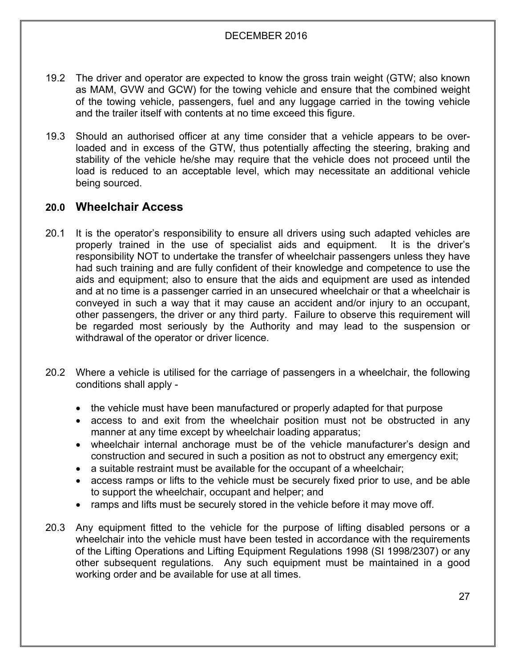- 19.2 The driver and operator are expected to know the gross train weight (GTW; also known as MAM, GVW and GCW) for the towing vehicle and ensure that the combined weight of the towing vehicle, passengers, fuel and any luggage carried in the towing vehicle and the trailer itself with contents at no time exceed this figure.
- 19.3 Should an authorised officer at any time consider that a vehicle appears to be overloaded and in excess of the GTW, thus potentially affecting the steering, braking and stability of the vehicle he/she may require that the vehicle does not proceed until the load is reduced to an acceptable level, which may necessitate an additional vehicle being sourced.

#### **20.0 Wheelchair Access**

- 20.1 It is the operator's responsibility to ensure all drivers using such adapted vehicles are properly trained in the use of specialist aids and equipment. It is the driver's responsibility NOT to undertake the transfer of wheelchair passengers unless they have had such training and are fully confident of their knowledge and competence to use the aids and equipment; also to ensure that the aids and equipment are used as intended and at no time is a passenger carried in an unsecured wheelchair or that a wheelchair is conveyed in such a way that it may cause an accident and/or injury to an occupant, other passengers, the driver or any third party. Failure to observe this requirement will be regarded most seriously by the Authority and may lead to the suspension or withdrawal of the operator or driver licence.
- 20.2 Where a vehicle is utilised for the carriage of passengers in a wheelchair, the following conditions shall apply -
	- the vehicle must have been manufactured or properly adapted for that purpose
	- access to and exit from the wheelchair position must not be obstructed in any manner at any time except by wheelchair loading apparatus;
	- wheelchair internal anchorage must be of the vehicle manufacturer's design and construction and secured in such a position as not to obstruct any emergency exit;
	- a suitable restraint must be available for the occupant of a wheelchair;
	- access ramps or lifts to the vehicle must be securely fixed prior to use, and be able to support the wheelchair, occupant and helper; and
	- ramps and lifts must be securely stored in the vehicle before it may move off.
- 20.3 Any equipment fitted to the vehicle for the purpose of lifting disabled persons or a wheelchair into the vehicle must have been tested in accordance with the requirements of the Lifting Operations and Lifting Equipment Regulations 1998 (SI 1998/2307) or any other subsequent regulations. Any such equipment must be maintained in a good working order and be available for use at all times.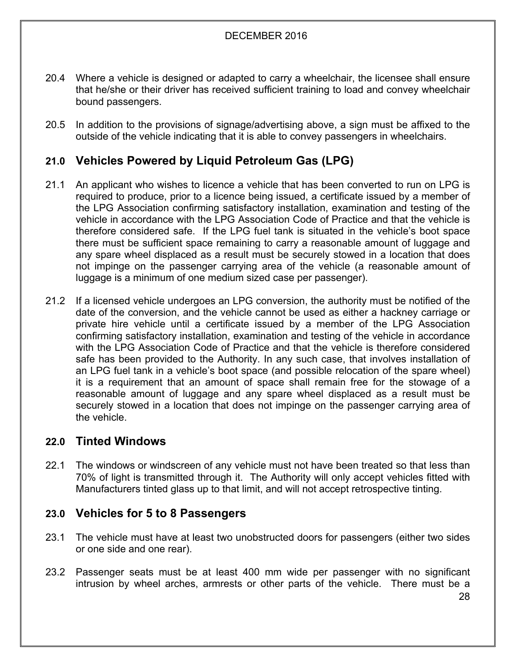- 20.4 Where a vehicle is designed or adapted to carry a wheelchair, the licensee shall ensure that he/she or their driver has received sufficient training to load and convey wheelchair bound passengers.
- 20.5 In addition to the provisions of signage/advertising above, a sign must be affixed to the outside of the vehicle indicating that it is able to convey passengers in wheelchairs.

#### **21.0 Vehicles Powered by Liquid Petroleum Gas (LPG)**

- 21.1 An applicant who wishes to licence a vehicle that has been converted to run on LPG is required to produce, prior to a licence being issued, a certificate issued by a member of the LPG Association confirming satisfactory installation, examination and testing of the vehicle in accordance with the LPG Association Code of Practice and that the vehicle is therefore considered safe. If the LPG fuel tank is situated in the vehicle's boot space there must be sufficient space remaining to carry a reasonable amount of luggage and any spare wheel displaced as a result must be securely stowed in a location that does not impinge on the passenger carrying area of the vehicle (a reasonable amount of luggage is a minimum of one medium sized case per passenger).
- 21.2 If a licensed vehicle undergoes an LPG conversion, the authority must be notified of the date of the conversion, and the vehicle cannot be used as either a hackney carriage or private hire vehicle until a certificate issued by a member of the LPG Association confirming satisfactory installation, examination and testing of the vehicle in accordance with the LPG Association Code of Practice and that the vehicle is therefore considered safe has been provided to the Authority. In any such case, that involves installation of an LPG fuel tank in a vehicle's boot space (and possible relocation of the spare wheel) it is a requirement that an amount of space shall remain free for the stowage of a reasonable amount of luggage and any spare wheel displaced as a result must be securely stowed in a location that does not impinge on the passenger carrying area of the vehicle.

#### **22.0 Tinted Windows**

22.1 The windows or windscreen of any vehicle must not have been treated so that less than 70% of light is transmitted through it. The Authority will only accept vehicles fitted with Manufacturers tinted glass up to that limit, and will not accept retrospective tinting.

#### **23.0 Vehicles for 5 to 8 Passengers**

- 23.1 The vehicle must have at least two unobstructed doors for passengers (either two sides or one side and one rear).
- 23.2 Passenger seats must be at least 400 mm wide per passenger with no significant intrusion by wheel arches, armrests or other parts of the vehicle. There must be a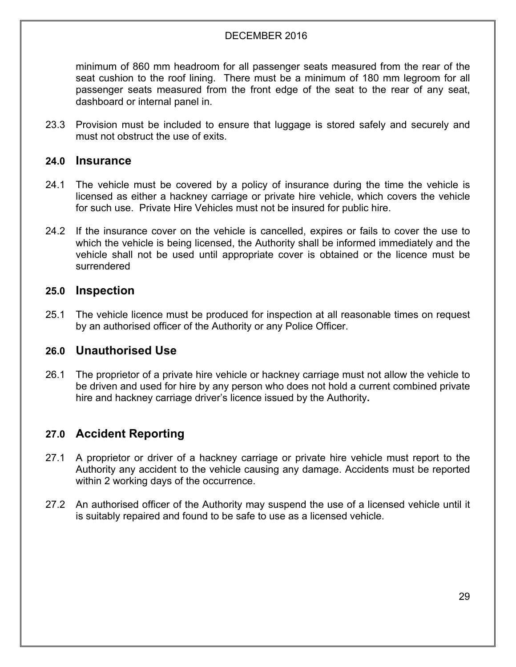minimum of 860 mm headroom for all passenger seats measured from the rear of the seat cushion to the roof lining. There must be a minimum of 180 mm legroom for all passenger seats measured from the front edge of the seat to the rear of any seat, dashboard or internal panel in.

23.3 Provision must be included to ensure that luggage is stored safely and securely and must not obstruct the use of exits.

#### **24.0 Insurance**

- 24.1 The vehicle must be covered by a policy of insurance during the time the vehicle is licensed as either a hackney carriage or private hire vehicle, which covers the vehicle for such use. Private Hire Vehicles must not be insured for public hire.
- 24.2 If the insurance cover on the vehicle is cancelled, expires or fails to cover the use to which the vehicle is being licensed, the Authority shall be informed immediately and the vehicle shall not be used until appropriate cover is obtained or the licence must be surrendered

#### **25.0 Inspection**

25.1 The vehicle licence must be produced for inspection at all reasonable times on request by an authorised officer of the Authority or any Police Officer.

#### **26.0 Unauthorised Use**

26.1 The proprietor of a private hire vehicle or hackney carriage must not allow the vehicle to be driven and used for hire by any person who does not hold a current combined private hire and hackney carriage driver's licence issued by the Authority**.**

#### **27.0 Accident Reporting**

- 27.1 A proprietor or driver of a hackney carriage or private hire vehicle must report to the Authority any accident to the vehicle causing any damage. Accidents must be reported within 2 working days of the occurrence.
- 27.2 An authorised officer of the Authority may suspend the use of a licensed vehicle until it is suitably repaired and found to be safe to use as a licensed vehicle.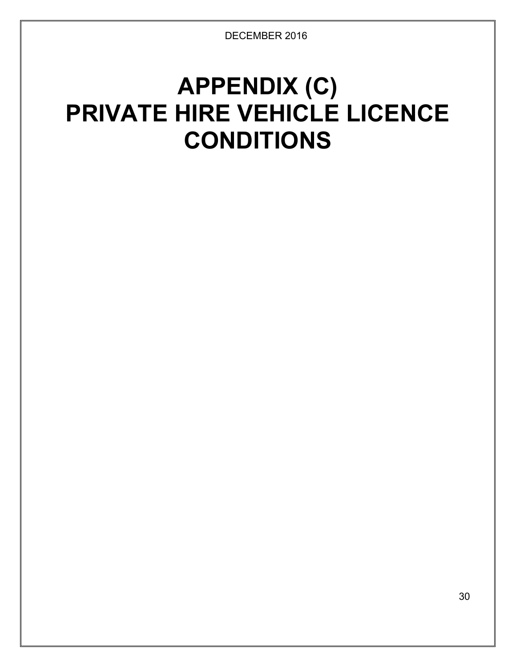## **APPENDIX (C) PRIVATE HIRE VEHICLE LICENCE CONDITIONS**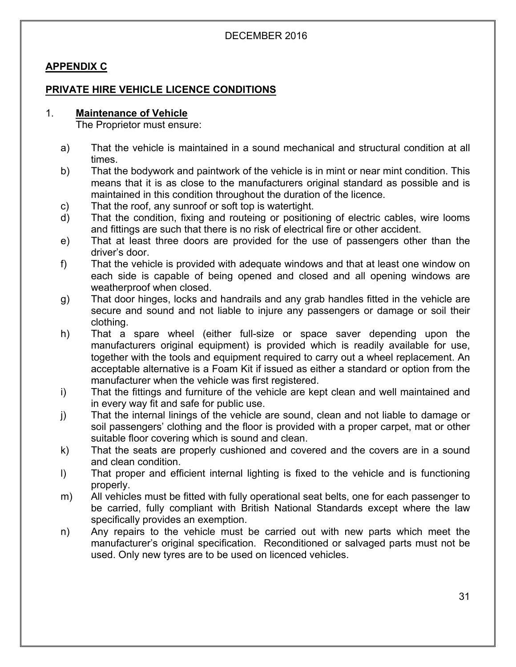#### **APPENDIX C**

#### **PRIVATE HIRE VEHICLE LICENCE CONDITIONS**

#### 1. **Maintenance of Vehicle**

The Proprietor must ensure:

- a) That the vehicle is maintained in a sound mechanical and structural condition at all times.
- b) That the bodywork and paintwork of the vehicle is in mint or near mint condition. This means that it is as close to the manufacturers original standard as possible and is maintained in this condition throughout the duration of the licence.
- c) That the roof, any sunroof or soft top is watertight.
- d) That the condition, fixing and routeing or positioning of electric cables, wire looms and fittings are such that there is no risk of electrical fire or other accident.
- e) That at least three doors are provided for the use of passengers other than the driver's door.
- f) That the vehicle is provided with adequate windows and that at least one window on each side is capable of being opened and closed and all opening windows are weatherproof when closed.
- g) That door hinges, locks and handrails and any grab handles fitted in the vehicle are secure and sound and not liable to injure any passengers or damage or soil their clothing.
- h) That a spare wheel (either full-size or space saver depending upon the manufacturers original equipment) is provided which is readily available for use, together with the tools and equipment required to carry out a wheel replacement. An acceptable alternative is a Foam Kit if issued as either a standard or option from the manufacturer when the vehicle was first registered.
- i) That the fittings and furniture of the vehicle are kept clean and well maintained and in every way fit and safe for public use.
- j) That the internal linings of the vehicle are sound, clean and not liable to damage or soil passengers' clothing and the floor is provided with a proper carpet, mat or other suitable floor covering which is sound and clean.
- k) That the seats are properly cushioned and covered and the covers are in a sound and clean condition.
- l) That proper and efficient internal lighting is fixed to the vehicle and is functioning properly.
- m) All vehicles must be fitted with fully operational seat belts, one for each passenger to be carried, fully compliant with British National Standards except where the law specifically provides an exemption.
- n) Any repairs to the vehicle must be carried out with new parts which meet the manufacturer's original specification. Reconditioned or salvaged parts must not be used. Only new tyres are to be used on licenced vehicles.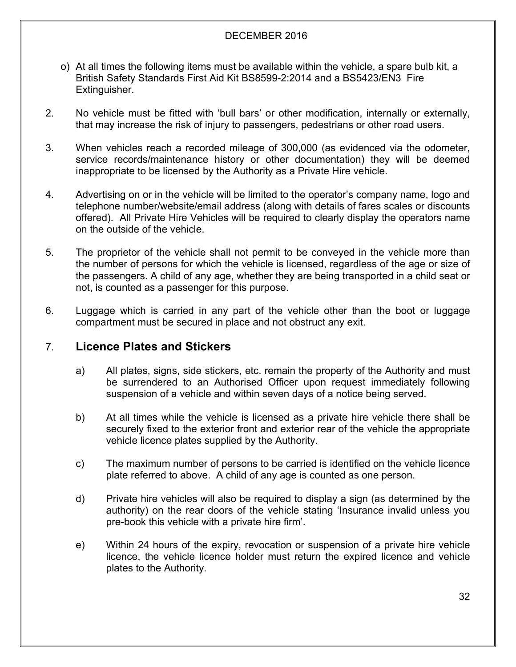- o) At all times the following items must be available within the vehicle, a spare bulb kit, a British Safety Standards First Aid Kit BS8599-2:2014 and a BS5423/EN3 Fire Extinguisher.
- 2. No vehicle must be fitted with 'bull bars' or other modification, internally or externally, that may increase the risk of injury to passengers, pedestrians or other road users.
- 3. When vehicles reach a recorded mileage of 300,000 (as evidenced via the odometer, service records/maintenance history or other documentation) they will be deemed inappropriate to be licensed by the Authority as a Private Hire vehicle.
- 4. Advertising on or in the vehicle will be limited to the operator's company name, logo and telephone number/website/email address (along with details of fares scales or discounts offered). All Private Hire Vehicles will be required to clearly display the operators name on the outside of the vehicle.
- 5. The proprietor of the vehicle shall not permit to be conveyed in the vehicle more than the number of persons for which the vehicle is licensed, regardless of the age or size of the passengers. A child of any age, whether they are being transported in a child seat or not, is counted as a passenger for this purpose.
- 6. Luggage which is carried in any part of the vehicle other than the boot or luggage compartment must be secured in place and not obstruct any exit.

#### 7. **Licence Plates and Stickers**

- a) All plates, signs, side stickers, etc. remain the property of the Authority and must be surrendered to an Authorised Officer upon request immediately following suspension of a vehicle and within seven days of a notice being served.
- b) At all times while the vehicle is licensed as a private hire vehicle there shall be securely fixed to the exterior front and exterior rear of the vehicle the appropriate vehicle licence plates supplied by the Authority.
- c) The maximum number of persons to be carried is identified on the vehicle licence plate referred to above. A child of any age is counted as one person.
- d) Private hire vehicles will also be required to display a sign (as determined by the authority) on the rear doors of the vehicle stating 'Insurance invalid unless you pre-book this vehicle with a private hire firm'.
- e) Within 24 hours of the expiry, revocation or suspension of a private hire vehicle licence, the vehicle licence holder must return the expired licence and vehicle plates to the Authority.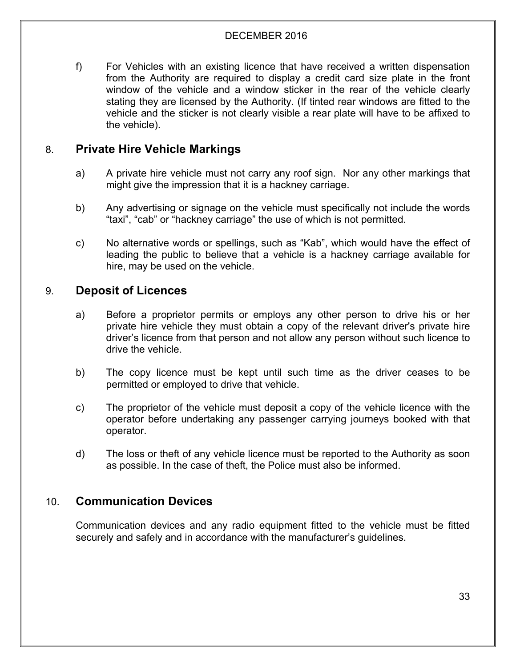f) For Vehicles with an existing licence that have received a written dispensation from the Authority are required to display a credit card size plate in the front window of the vehicle and a window sticker in the rear of the vehicle clearly stating they are licensed by the Authority. (If tinted rear windows are fitted to the vehicle and the sticker is not clearly visible a rear plate will have to be affixed to the vehicle).

#### 8. **Private Hire Vehicle Markings**

- a) A private hire vehicle must not carry any roof sign. Nor any other markings that might give the impression that it is a hackney carriage.
- b) Any advertising or signage on the vehicle must specifically not include the words "taxi", "cab" or "hackney carriage" the use of which is not permitted.
- c) No alternative words or spellings, such as "Kab", which would have the effect of leading the public to believe that a vehicle is a hackney carriage available for hire, may be used on the vehicle.

#### 9. **Deposit of Licences**

- a) Before a proprietor permits or employs any other person to drive his or her private hire vehicle they must obtain a copy of the relevant driver's private hire driver's licence from that person and not allow any person without such licence to drive the vehicle.
- b) The copy licence must be kept until such time as the driver ceases to be permitted or employed to drive that vehicle.
- c) The proprietor of the vehicle must deposit a copy of the vehicle licence with the operator before undertaking any passenger carrying journeys booked with that operator.
- d) The loss or theft of any vehicle licence must be reported to the Authority as soon as possible. In the case of theft, the Police must also be informed.

#### 10. **Communication Devices**

Communication devices and any radio equipment fitted to the vehicle must be fitted securely and safely and in accordance with the manufacturer's guidelines.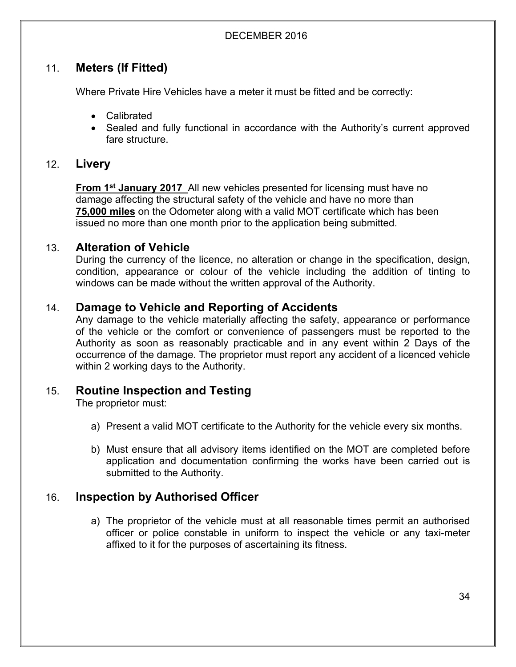#### 11. **Meters (If Fitted)**

Where Private Hire Vehicles have a meter it must be fitted and be correctly:

- Calibrated
- Sealed and fully functional in accordance with the Authority's current approved fare structure.

#### 12. **Livery**

**From 1 st January 2017** All new vehicles presented for licensing must have no damage affecting the structural safety of the vehicle and have no more than **75,000 miles** on the Odometer along with a valid MOT certificate which has been issued no more than one month prior to the application being submitted.

#### 13. **Alteration of Vehicle**

During the currency of the licence, no alteration or change in the specification, design, condition, appearance or colour of the vehicle including the addition of tinting to windows can be made without the written approval of the Authority.

#### 14. **Damage to Vehicle and Reporting of Accidents**

Any damage to the vehicle materially affecting the safety, appearance or performance of the vehicle or the comfort or convenience of passengers must be reported to the Authority as soon as reasonably practicable and in any event within 2 Days of the occurrence of the damage. The proprietor must report any accident of a licenced vehicle within 2 working days to the Authority.

#### 15. **Routine Inspection and Testing**

The proprietor must:

- a) Present a valid MOT certificate to the Authority for the vehicle every six months.
- b) Must ensure that all advisory items identified on the MOT are completed before application and documentation confirming the works have been carried out is submitted to the Authority.

#### 16. **Inspection by Authorised Officer**

a) The proprietor of the vehicle must at all reasonable times permit an authorised officer or police constable in uniform to inspect the vehicle or any taxi-meter affixed to it for the purposes of ascertaining its fitness.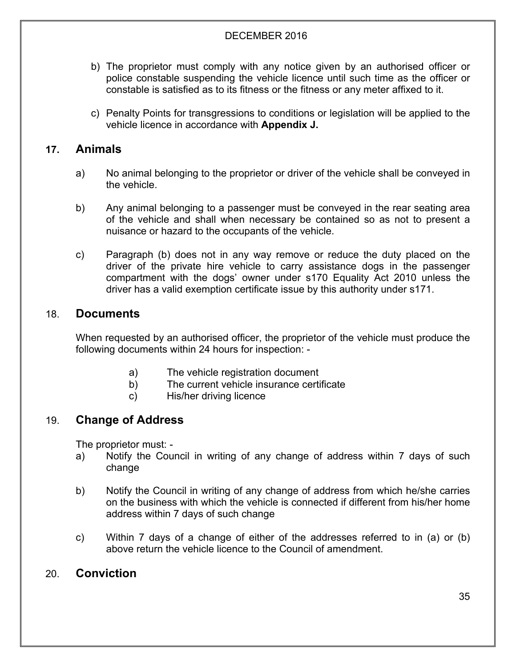- b) The proprietor must comply with any notice given by an authorised officer or police constable suspending the vehicle licence until such time as the officer or constable is satisfied as to its fitness or the fitness or any meter affixed to it.
- c) Penalty Points for transgressions to conditions or legislation will be applied to the vehicle licence in accordance with **Appendix J.**

#### **17. Animals**

- a) No animal belonging to the proprietor or driver of the vehicle shall be conveyed in the vehicle.
- b) Any animal belonging to a passenger must be conveyed in the rear seating area of the vehicle and shall when necessary be contained so as not to present a nuisance or hazard to the occupants of the vehicle.
- c) Paragraph (b) does not in any way remove or reduce the duty placed on the driver of the private hire vehicle to carry assistance dogs in the passenger compartment with the dogs' owner under s170 Equality Act 2010 unless the driver has a valid exemption certificate issue by this authority under s171.

#### 18. **Documents**

When requested by an authorised officer, the proprietor of the vehicle must produce the following documents within 24 hours for inspection: -

- a) The vehicle registration document
- b) The current vehicle insurance certificate
- c) His/her driving licence

#### 19. **Change of Address**

The proprietor must: -

- a) Notify the Council in writing of any change of address within 7 days of such change
- b) Notify the Council in writing of any change of address from which he/she carries on the business with which the vehicle is connected if different from his/her home address within 7 days of such change
- c) Within 7 days of a change of either of the addresses referred to in (a) or (b) above return the vehicle licence to the Council of amendment.

#### 20. **Conviction**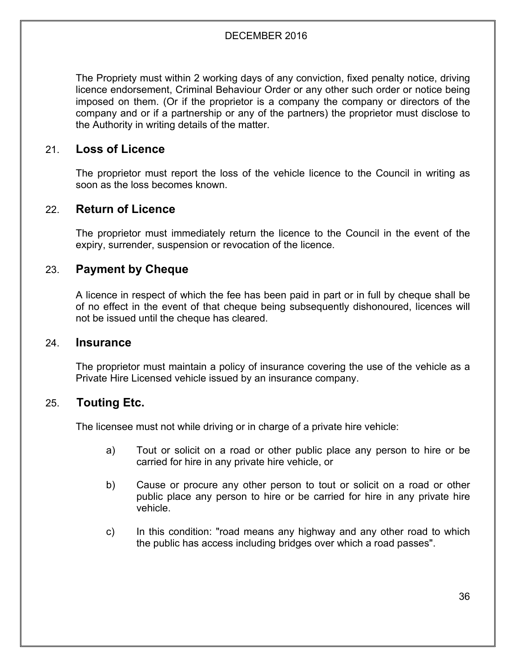The Propriety must within 2 working days of any conviction, fixed penalty notice, driving licence endorsement, Criminal Behaviour Order or any other such order or notice being imposed on them. (Or if the proprietor is a company the company or directors of the company and or if a partnership or any of the partners) the proprietor must disclose to the Authority in writing details of the matter.

#### 21. **Loss of Licence**

The proprietor must report the loss of the vehicle licence to the Council in writing as soon as the loss becomes known.

#### 22. **Return of Licence**

The proprietor must immediately return the licence to the Council in the event of the expiry, surrender, suspension or revocation of the licence.

#### 23. **Payment by Cheque**

A licence in respect of which the fee has been paid in part or in full by cheque shall be of no effect in the event of that cheque being subsequently dishonoured, licences will not be issued until the cheque has cleared.

#### 24. **Insurance**

The proprietor must maintain a policy of insurance covering the use of the vehicle as a Private Hire Licensed vehicle issued by an insurance company.

#### 25. **Touting Etc.**

The licensee must not while driving or in charge of a private hire vehicle:

- a) Tout or solicit on a road or other public place any person to hire or be carried for hire in any private hire vehicle, or
- b) Cause or procure any other person to tout or solicit on a road or other public place any person to hire or be carried for hire in any private hire vehicle.
- c) In this condition: "road means any highway and any other road to which the public has access including bridges over which a road passes".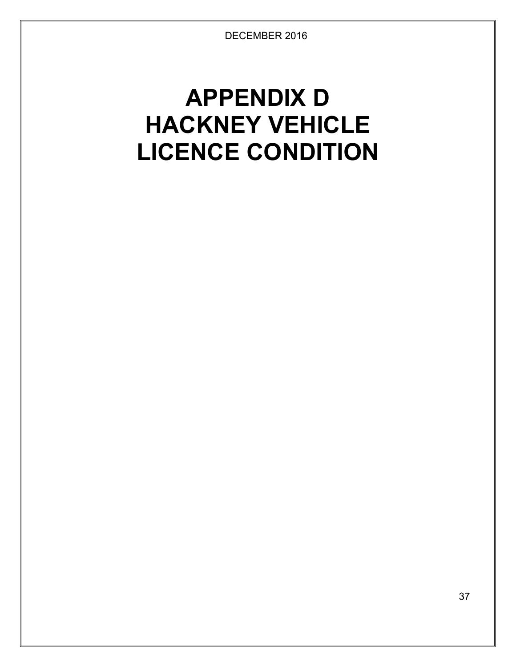# **APPENDIX D HACKNEY VEHICLE LICENCE CONDITION**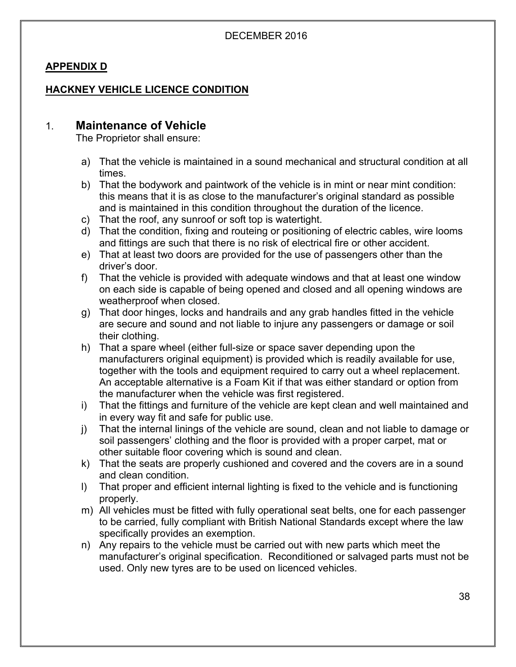## **APPENDIX D**

## **HACKNEY VEHICLE LICENCE CONDITION**

## 1. **Maintenance of Vehicle**

The Proprietor shall ensure:

- a) That the vehicle is maintained in a sound mechanical and structural condition at all times.
- b) That the bodywork and paintwork of the vehicle is in mint or near mint condition: this means that it is as close to the manufacturer's original standard as possible and is maintained in this condition throughout the duration of the licence.
- c) That the roof, any sunroof or soft top is watertight.
- d) That the condition, fixing and routeing or positioning of electric cables, wire looms and fittings are such that there is no risk of electrical fire or other accident.
- e) That at least two doors are provided for the use of passengers other than the driver's door.
- f) That the vehicle is provided with adequate windows and that at least one window on each side is capable of being opened and closed and all opening windows are weatherproof when closed.
- g) That door hinges, locks and handrails and any grab handles fitted in the vehicle are secure and sound and not liable to injure any passengers or damage or soil their clothing.
- h) That a spare wheel (either full-size or space saver depending upon the manufacturers original equipment) is provided which is readily available for use, together with the tools and equipment required to carry out a wheel replacement. An acceptable alternative is a Foam Kit if that was either standard or option from the manufacturer when the vehicle was first registered.
- i) That the fittings and furniture of the vehicle are kept clean and well maintained and in every way fit and safe for public use.
- j) That the internal linings of the vehicle are sound, clean and not liable to damage or soil passengers' clothing and the floor is provided with a proper carpet, mat or other suitable floor covering which is sound and clean.
- k) That the seats are properly cushioned and covered and the covers are in a sound and clean condition.
- l) That proper and efficient internal lighting is fixed to the vehicle and is functioning properly.
- m) All vehicles must be fitted with fully operational seat belts, one for each passenger to be carried, fully compliant with British National Standards except where the law specifically provides an exemption.
- n) Any repairs to the vehicle must be carried out with new parts which meet the manufacturer's original specification. Reconditioned or salvaged parts must not be used. Only new tyres are to be used on licenced vehicles.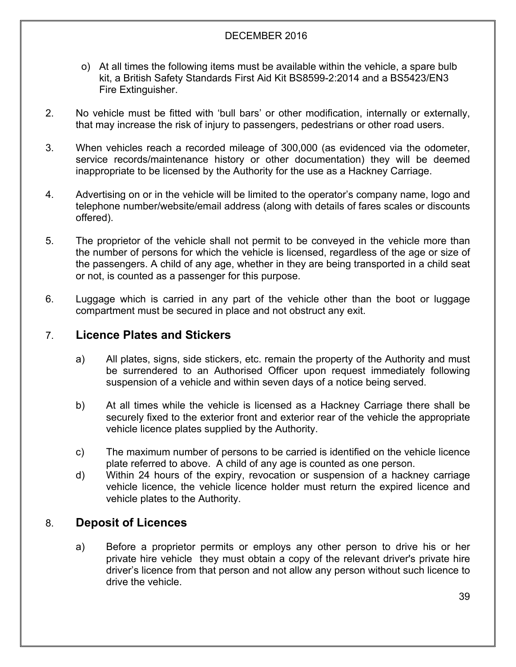- o) At all times the following items must be available within the vehicle, a spare bulb kit, a British Safety Standards First Aid Kit BS8599-2:2014 and a BS5423/EN3 Fire Extinguisher.
- 2. No vehicle must be fitted with 'bull bars' or other modification, internally or externally, that may increase the risk of injury to passengers, pedestrians or other road users.
- 3. When vehicles reach a recorded mileage of 300,000 (as evidenced via the odometer, service records/maintenance history or other documentation) they will be deemed inappropriate to be licensed by the Authority for the use as a Hackney Carriage.
- 4. Advertising on or in the vehicle will be limited to the operator's company name, logo and telephone number/website/email address (along with details of fares scales or discounts offered).
- 5. The proprietor of the vehicle shall not permit to be conveyed in the vehicle more than the number of persons for which the vehicle is licensed, regardless of the age or size of the passengers. A child of any age, whether in they are being transported in a child seat or not, is counted as a passenger for this purpose.
- 6. Luggage which is carried in any part of the vehicle other than the boot or luggage compartment must be secured in place and not obstruct any exit.

# 7. **Licence Plates and Stickers**

- a) All plates, signs, side stickers, etc. remain the property of the Authority and must be surrendered to an Authorised Officer upon request immediately following suspension of a vehicle and within seven days of a notice being served.
- b) At all times while the vehicle is licensed as a Hackney Carriage there shall be securely fixed to the exterior front and exterior rear of the vehicle the appropriate vehicle licence plates supplied by the Authority.
- c) The maximum number of persons to be carried is identified on the vehicle licence plate referred to above. A child of any age is counted as one person.
- d) Within 24 hours of the expiry, revocation or suspension of a hackney carriage vehicle licence, the vehicle licence holder must return the expired licence and vehicle plates to the Authority.

# 8. **Deposit of Licences**

a) Before a proprietor permits or employs any other person to drive his or her private hire vehicle they must obtain a copy of the relevant driver's private hire driver's licence from that person and not allow any person without such licence to drive the vehicle.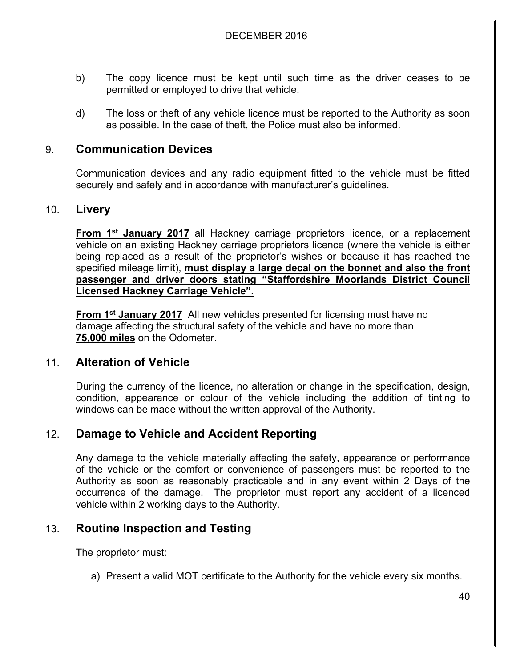- b) The copy licence must be kept until such time as the driver ceases to be permitted or employed to drive that vehicle.
- d) The loss or theft of any vehicle licence must be reported to the Authority as soon as possible. In the case of theft, the Police must also be informed.

# 9. **Communication Devices**

Communication devices and any radio equipment fitted to the vehicle must be fitted securely and safely and in accordance with manufacturer's guidelines.

## 10. **Livery**

**From 1 st January 2017** all Hackney carriage proprietors licence, or a replacement vehicle on an existing Hackney carriage proprietors licence (where the vehicle is either being replaced as a result of the proprietor's wishes or because it has reached the specified mileage limit), **must display a large decal on the bonnet and also the front passenger and driver doors stating "Staffordshire Moorlands District Council Licensed Hackney Carriage Vehicle".**

**From 1 st January 2017** All new vehicles presented for licensing must have no damage affecting the structural safety of the vehicle and have no more than **75,000 miles** on the Odometer.

# 11. **Alteration of Vehicle**

During the currency of the licence, no alteration or change in the specification, design, condition, appearance or colour of the vehicle including the addition of tinting to windows can be made without the written approval of the Authority.

# 12. **Damage to Vehicle and Accident Reporting**

Any damage to the vehicle materially affecting the safety, appearance or performance of the vehicle or the comfort or convenience of passengers must be reported to the Authority as soon as reasonably practicable and in any event within 2 Days of the occurrence of the damage. The proprietor must report any accident of a licenced vehicle within 2 working days to the Authority.

# 13. **Routine Inspection and Testing**

The proprietor must:

a) Present a valid MOT certificate to the Authority for the vehicle every six months.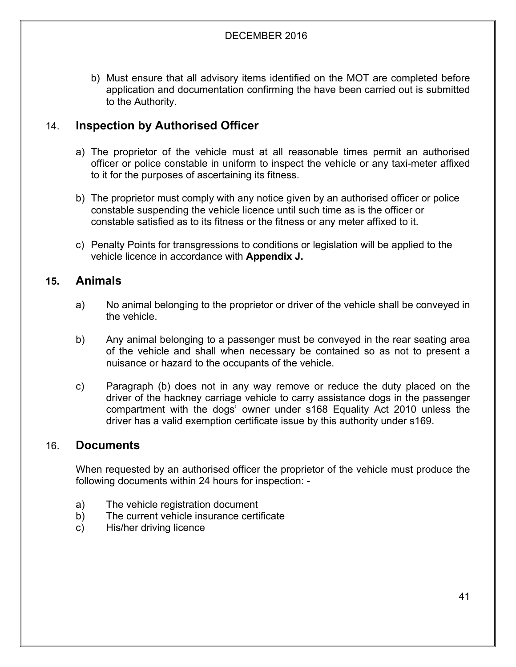b) Must ensure that all advisory items identified on the MOT are completed before application and documentation confirming the have been carried out is submitted to the Authority.

# 14. **Inspection by Authorised Officer**

- a) The proprietor of the vehicle must at all reasonable times permit an authorised officer or police constable in uniform to inspect the vehicle or any taxi-meter affixed to it for the purposes of ascertaining its fitness.
- b) The proprietor must comply with any notice given by an authorised officer or police constable suspending the vehicle licence until such time as is the officer or constable satisfied as to its fitness or the fitness or any meter affixed to it.
- c) Penalty Points for transgressions to conditions or legislation will be applied to the vehicle licence in accordance with **Appendix J.**

# **15. Animals**

- a) No animal belonging to the proprietor or driver of the vehicle shall be conveyed in the vehicle.
- b) Any animal belonging to a passenger must be conveyed in the rear seating area of the vehicle and shall when necessary be contained so as not to present a nuisance or hazard to the occupants of the vehicle.
- c) Paragraph (b) does not in any way remove or reduce the duty placed on the driver of the hackney carriage vehicle to carry assistance dogs in the passenger compartment with the dogs' owner under s168 Equality Act 2010 unless the driver has a valid exemption certificate issue by this authority under s169.

## 16. **Documents**

When requested by an authorised officer the proprietor of the vehicle must produce the following documents within 24 hours for inspection: -

- a) The vehicle registration document
- b) The current vehicle insurance certificate
- c) His/her driving licence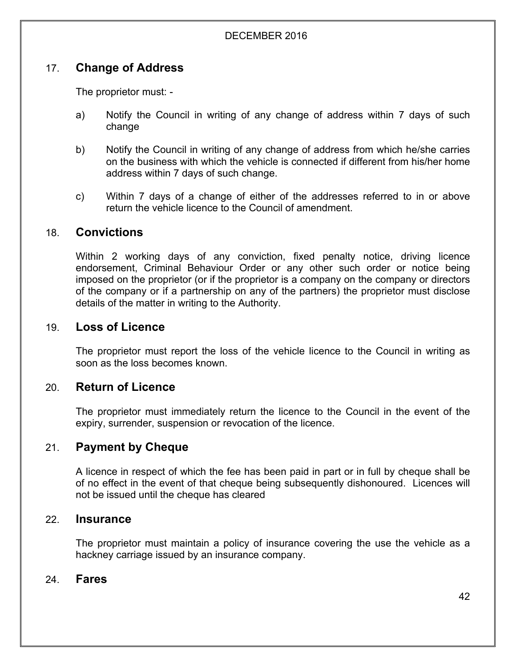# 17. **Change of Address**

The proprietor must: -

- a) Notify the Council in writing of any change of address within 7 days of such change
- b) Notify the Council in writing of any change of address from which he/she carries on the business with which the vehicle is connected if different from his/her home address within 7 days of such change.
- c) Within 7 days of a change of either of the addresses referred to in or above return the vehicle licence to the Council of amendment.

## 18. **Convictions**

Within 2 working days of any conviction, fixed penalty notice, driving licence endorsement, Criminal Behaviour Order or any other such order or notice being imposed on the proprietor (or if the proprietor is a company on the company or directors of the company or if a partnership on any of the partners) the proprietor must disclose details of the matter in writing to the Authority.

## 19. **Loss of Licence**

The proprietor must report the loss of the vehicle licence to the Council in writing as soon as the loss becomes known.

## 20. **Return of Licence**

The proprietor must immediately return the licence to the Council in the event of the expiry, surrender, suspension or revocation of the licence.

# 21. **Payment by Cheque**

A licence in respect of which the fee has been paid in part or in full by cheque shall be of no effect in the event of that cheque being subsequently dishonoured. Licences will not be issued until the cheque has cleared

#### 22. **Insurance**

The proprietor must maintain a policy of insurance covering the use the vehicle as a hackney carriage issued by an insurance company.

## 24. **Fares**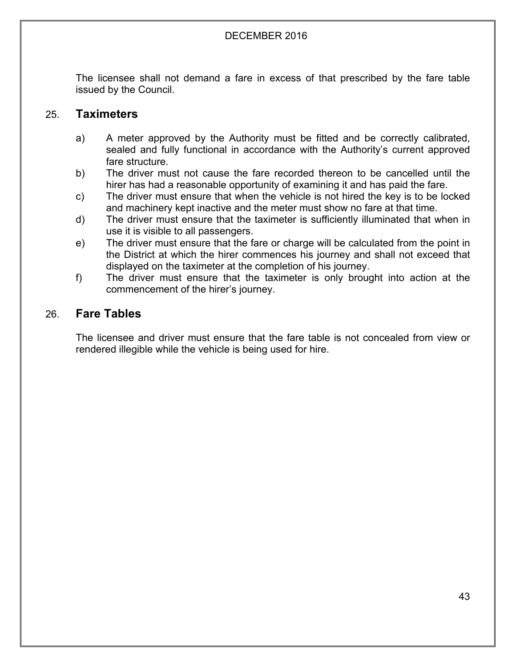The licensee shall not demand a fare in excess of that prescribed by the fare table issued by the Council.

## 25. **Taximeters**

- a) A meter approved by the Authority must be fitted and be correctly calibrated, sealed and fully functional in accordance with the Authority's current approved fare structure.
- b) The driver must not cause the fare recorded thereon to be cancelled until the hirer has had a reasonable opportunity of examining it and has paid the fare.
- c) The driver must ensure that when the vehicle is not hired the key is to be locked and machinery kept inactive and the meter must show no fare at that time.
- d) The driver must ensure that the taximeter is sufficiently illuminated that when in use it is visible to all passengers.
- e) The driver must ensure that the fare or charge will be calculated from the point in the District at which the hirer commences his journey and shall not exceed that displayed on the taximeter at the completion of his journey.
- f) The driver must ensure that the taximeter is only brought into action at the commencement of the hirer's journey.

# 26. **Fare Tables**

The licensee and driver must ensure that the fare table is not concealed from view or rendered illegible while the vehicle is being used for hire.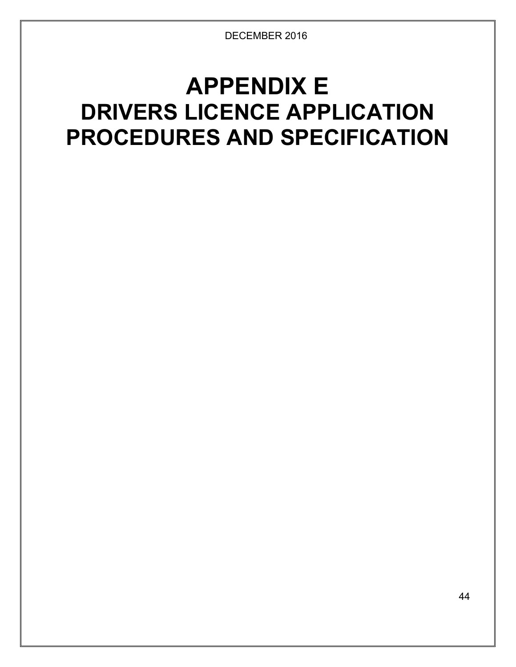# **APPENDIX E DRIVERS LICENCE APPLICATION PROCEDURES AND SPECIFICATION**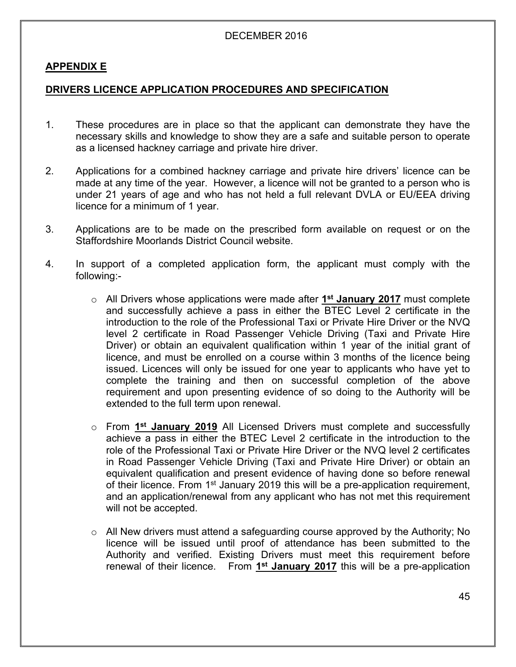#### **APPENDIX E**

#### **DRIVERS LICENCE APPLICATION PROCEDURES AND SPECIFICATION**

- 1. These procedures are in place so that the applicant can demonstrate they have the necessary skills and knowledge to show they are a safe and suitable person to operate as a licensed hackney carriage and private hire driver.
- 2. Applications for a combined hackney carriage and private hire drivers' licence can be made at any time of the year. However, a licence will not be granted to a person who is under 21 years of age and who has not held a full relevant DVLA or EU/EEA driving licence for a minimum of 1 year.
- 3. Applications are to be made on the prescribed form available on request or on the Staffordshire Moorlands District Council website.
- 4. In support of a completed application form, the applicant must comply with the following:
	- o All Drivers whose applications were made after **1 st January 2017** must complete and successfully achieve a pass in either the BTEC Level 2 certificate in the introduction to the role of the Professional Taxi or Private Hire Driver or the NVQ level 2 certificate in Road Passenger Vehicle Driving (Taxi and Private Hire Driver) or obtain an equivalent qualification within 1 year of the initial grant of licence, and must be enrolled on a course within 3 months of the licence being issued. Licences will only be issued for one year to applicants who have yet to complete the training and then on successful completion of the above requirement and upon presenting evidence of so doing to the Authority will be extended to the full term upon renewal.
	- o From **1 st January 2019** All Licensed Drivers must complete and successfully achieve a pass in either the BTEC Level 2 certificate in the introduction to the role of the Professional Taxi or Private Hire Driver or the NVQ level 2 certificates in Road Passenger Vehicle Driving (Taxi and Private Hire Driver) or obtain an equivalent qualification and present evidence of having done so before renewal of their licence. From 1<sup>st</sup> January 2019 this will be a pre-application requirement, and an application/renewal from any applicant who has not met this requirement will not be accepted.
	- o All New drivers must attend a safeguarding course approved by the Authority; No licence will be issued until proof of attendance has been submitted to the Authority and verified. Existing Drivers must meet this requirement before renewal of their licence. From **1 st January 2017** this will be a pre-application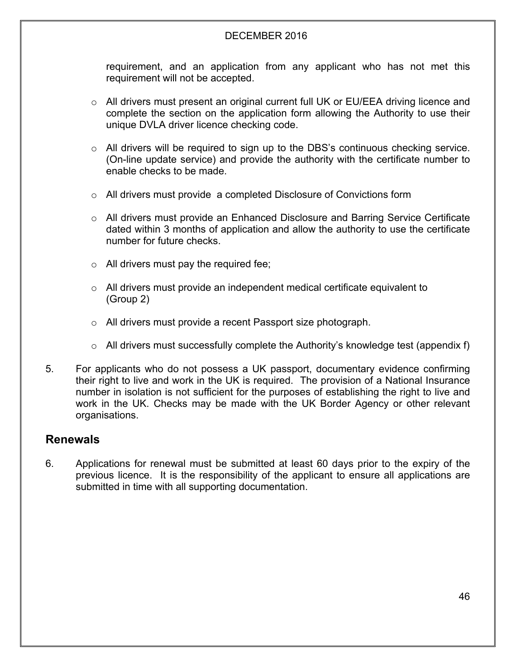requirement, and an application from any applicant who has not met this requirement will not be accepted.

- o All drivers must present an original current full UK or EU/EEA driving licence and complete the section on the application form allowing the Authority to use their unique DVLA driver licence checking code.
- o All drivers will be required to sign up to the DBS's continuous checking service. (On-line update service) and provide the authority with the certificate number to enable checks to be made.
- o All drivers must provide a completed Disclosure of Convictions form
- o All drivers must provide an Enhanced Disclosure and Barring Service Certificate dated within 3 months of application and allow the authority to use the certificate number for future checks.
- $\circ$  All drivers must pay the required fee;
- o All drivers must provide an independent medical certificate equivalent to (Group 2)
- o All drivers must provide a recent Passport size photograph.
- $\circ$  All drivers must successfully complete the Authority's knowledge test (appendix f)
- 5. For applicants who do not possess a UK passport, documentary evidence confirming their right to live and work in the UK is required. The provision of a National Insurance number in isolation is not sufficient for the purposes of establishing the right to live and work in the UK. Checks may be made with the UK Border Agency or other relevant organisations.

## **Renewals**

6. Applications for renewal must be submitted at least 60 days prior to the expiry of the previous licence. It is the responsibility of the applicant to ensure all applications are submitted in time with all supporting documentation.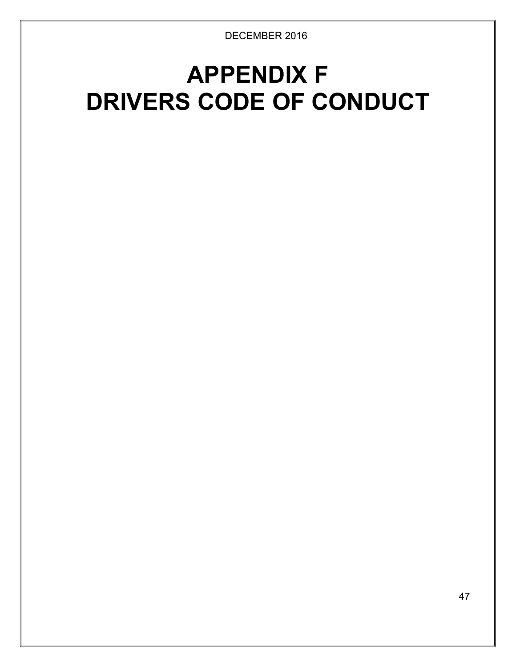# **APPENDIX F DRIVERS CODE OF CONDUCT**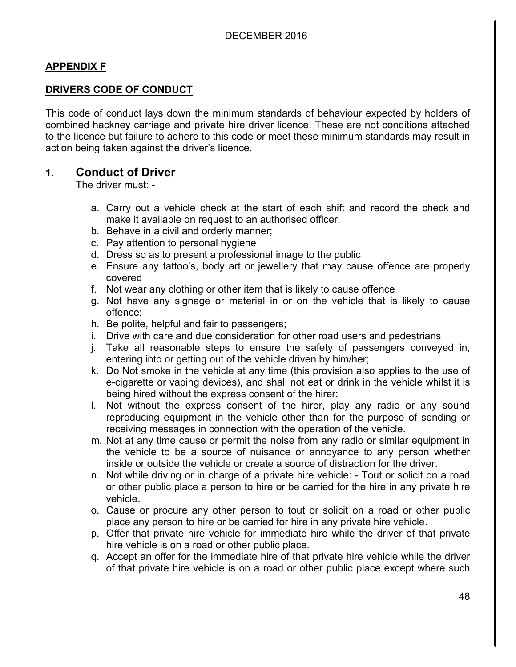## **APPENDIX F**

## **DRIVERS CODE OF CONDUCT**

This code of conduct lays down the minimum standards of behaviour expected by holders of combined hackney carriage and private hire driver licence. These are not conditions attached to the licence but failure to adhere to this code or meet these minimum standards may result in action being taken against the driver's licence.

## **1. Conduct of Driver**

The driver must: -

- a. Carry out a vehicle check at the start of each shift and record the check and make it available on request to an authorised officer.
- b. Behave in a civil and orderly manner;
- c. Pay attention to personal hygiene
- d. Dress so as to present a professional image to the public
- e. Ensure any tattoo's, body art or jewellery that may cause offence are properly covered
- f. Not wear any clothing or other item that is likely to cause offence
- g. Not have any signage or material in or on the vehicle that is likely to cause offence;
- h. Be polite, helpful and fair to passengers;
- i. Drive with care and due consideration for other road users and pedestrians
- j. Take all reasonable steps to ensure the safety of passengers conveyed in, entering into or getting out of the vehicle driven by him/her;
- k. Do Not smoke in the vehicle at any time (this provision also applies to the use of e-cigarette or vaping devices), and shall not eat or drink in the vehicle whilst it is being hired without the express consent of the hirer;
- l. Not without the express consent of the hirer, play any radio or any sound reproducing equipment in the vehicle other than for the purpose of sending or receiving messages in connection with the operation of the vehicle.
- m. Not at any time cause or permit the noise from any radio or similar equipment in the vehicle to be a source of nuisance or annoyance to any person whether inside or outside the vehicle or create a source of distraction for the driver.
- n. Not while driving or in charge of a private hire vehicle: Tout or solicit on a road or other public place a person to hire or be carried for the hire in any private hire vehicle.
- o. Cause or procure any other person to tout or solicit on a road or other public place any person to hire or be carried for hire in any private hire vehicle.
- p. Offer that private hire vehicle for immediate hire while the driver of that private hire vehicle is on a road or other public place.
- q. Accept an offer for the immediate hire of that private hire vehicle while the driver of that private hire vehicle is on a road or other public place except where such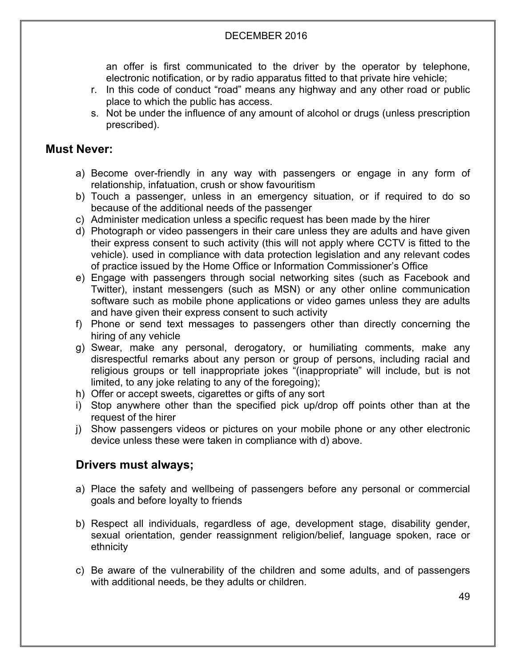an offer is first communicated to the driver by the operator by telephone, electronic notification, or by radio apparatus fitted to that private hire vehicle;

- r. In this code of conduct "road" means any highway and any other road or public place to which the public has access.
- s. Not be under the influence of any amount of alcohol or drugs (unless prescription prescribed).

# **Must Never:**

- a) Become over-friendly in any way with passengers or engage in any form of relationship, infatuation, crush or show favouritism
- b) Touch a passenger, unless in an emergency situation, or if required to do so because of the additional needs of the passenger
- c) Administer medication unless a specific request has been made by the hirer
- d) Photograph or video passengers in their care unless they are adults and have given their express consent to such activity (this will not apply where CCTV is fitted to the vehicle). used in compliance with data protection legislation and any relevant codes of practice issued by the Home Office or Information Commissioner's Office
- e) Engage with passengers through social networking sites (such as Facebook and Twitter), instant messengers (such as MSN) or any other online communication software such as mobile phone applications or video games unless they are adults and have given their express consent to such activity
- f) Phone or send text messages to passengers other than directly concerning the hiring of any vehicle
- g) Swear, make any personal, derogatory, or humiliating comments, make any disrespectful remarks about any person or group of persons, including racial and religious groups or tell inappropriate jokes "(inappropriate" will include, but is not limited, to any joke relating to any of the foregoing);
- h) Offer or accept sweets, cigarettes or gifts of any sort
- i) Stop anywhere other than the specified pick up/drop off points other than at the request of the hirer
- j) Show passengers videos or pictures on your mobile phone or any other electronic device unless these were taken in compliance with d) above.

# **Drivers must always;**

- a) Place the safety and wellbeing of passengers before any personal or commercial goals and before loyalty to friends
- b) Respect all individuals, regardless of age, development stage, disability gender, sexual orientation, gender reassignment religion/belief, language spoken, race or ethnicity
- c) Be aware of the vulnerability of the children and some adults, and of passengers with additional needs, be they adults or children.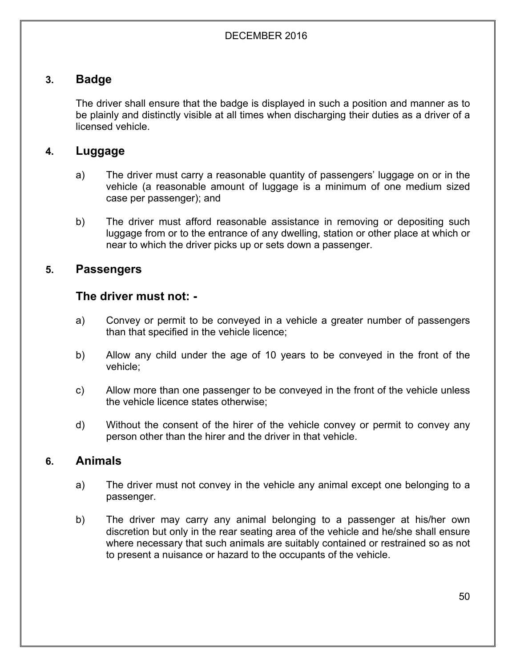# **3. Badge**

The driver shall ensure that the badge is displayed in such a position and manner as to be plainly and distinctly visible at all times when discharging their duties as a driver of a licensed vehicle.

# **4. Luggage**

- a) The driver must carry a reasonable quantity of passengers' luggage on or in the vehicle (a reasonable amount of luggage is a minimum of one medium sized case per passenger); and
- b) The driver must afford reasonable assistance in removing or depositing such luggage from or to the entrance of any dwelling, station or other place at which or near to which the driver picks up or sets down a passenger.

# **5. Passengers**

## **The driver must not: -**

- a) Convey or permit to be conveyed in a vehicle a greater number of passengers than that specified in the vehicle licence;
- b) Allow any child under the age of 10 years to be conveyed in the front of the vehicle;
- c) Allow more than one passenger to be conveyed in the front of the vehicle unless the vehicle licence states otherwise;
- d) Without the consent of the hirer of the vehicle convey or permit to convey any person other than the hirer and the driver in that vehicle.

## **6. Animals**

- a) The driver must not convey in the vehicle any animal except one belonging to a passenger.
- b) The driver may carry any animal belonging to a passenger at his/her own discretion but only in the rear seating area of the vehicle and he/she shall ensure where necessary that such animals are suitably contained or restrained so as not to present a nuisance or hazard to the occupants of the vehicle.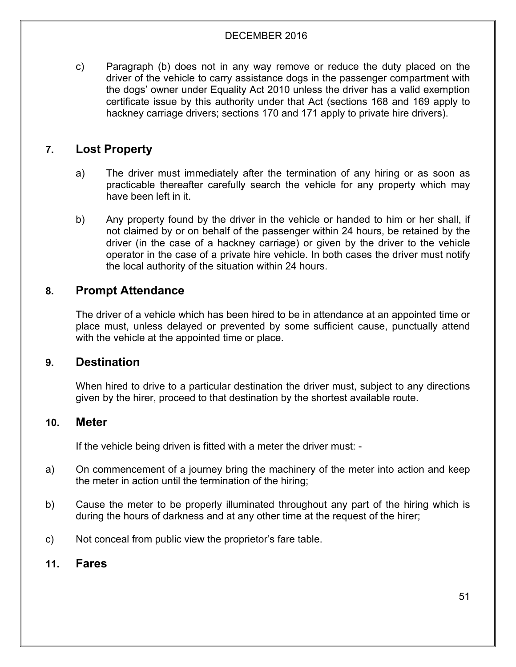c) Paragraph (b) does not in any way remove or reduce the duty placed on the driver of the vehicle to carry assistance dogs in the passenger compartment with the dogs' owner under Equality Act 2010 unless the driver has a valid exemption certificate issue by this authority under that Act (sections 168 and 169 apply to hackney carriage drivers; sections 170 and 171 apply to private hire drivers).

# **7. Lost Property**

- a) The driver must immediately after the termination of any hiring or as soon as practicable thereafter carefully search the vehicle for any property which may have been left in it.
- b) Any property found by the driver in the vehicle or handed to him or her shall, if not claimed by or on behalf of the passenger within 24 hours, be retained by the driver (in the case of a hackney carriage) or given by the driver to the vehicle operator in the case of a private hire vehicle. In both cases the driver must notify the local authority of the situation within 24 hours.

## **8. Prompt Attendance**

The driver of a vehicle which has been hired to be in attendance at an appointed time or place must, unless delayed or prevented by some sufficient cause, punctually attend with the vehicle at the appointed time or place.

## **9. Destination**

When hired to drive to a particular destination the driver must, subject to any directions given by the hirer, proceed to that destination by the shortest available route.

## **10. Meter**

If the vehicle being driven is fitted with a meter the driver must: -

- a) On commencement of a journey bring the machinery of the meter into action and keep the meter in action until the termination of the hiring;
- b) Cause the meter to be properly illuminated throughout any part of the hiring which is during the hours of darkness and at any other time at the request of the hirer;
- c) Not conceal from public view the proprietor's fare table.

## **11. Fares**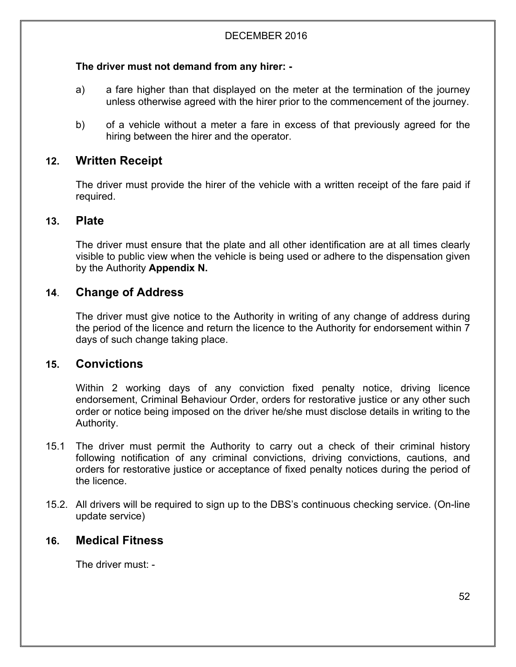## **The driver must not demand from any hirer: -**

- a) a fare higher than that displayed on the meter at the termination of the journey unless otherwise agreed with the hirer prior to the commencement of the journey.
- b) of a vehicle without a meter a fare in excess of that previously agreed for the hiring between the hirer and the operator.

# **12. Written Receipt**

The driver must provide the hirer of the vehicle with a written receipt of the fare paid if required.

## **13. Plate**

The driver must ensure that the plate and all other identification are at all times clearly visible to public view when the vehicle is being used or adhere to the dispensation given by the Authority **Appendix N.**

# **14**. **Change of Address**

The driver must give notice to the Authority in writing of any change of address during the period of the licence and return the licence to the Authority for endorsement within 7 days of such change taking place.

# **15. Convictions**

Within 2 working days of any conviction fixed penalty notice, driving licence endorsement, Criminal Behaviour Order, orders for restorative justice or any other such order or notice being imposed on the driver he/she must disclose details in writing to the Authority.

- 15.1 The driver must permit the Authority to carry out a check of their criminal history following notification of any criminal convictions, driving convictions, cautions, and orders for restorative justice or acceptance of fixed penalty notices during the period of the licence.
- 15.2. All drivers will be required to sign up to the DBS's continuous checking service. (On-line update service)

# **16. Medical Fitness**

The driver must: -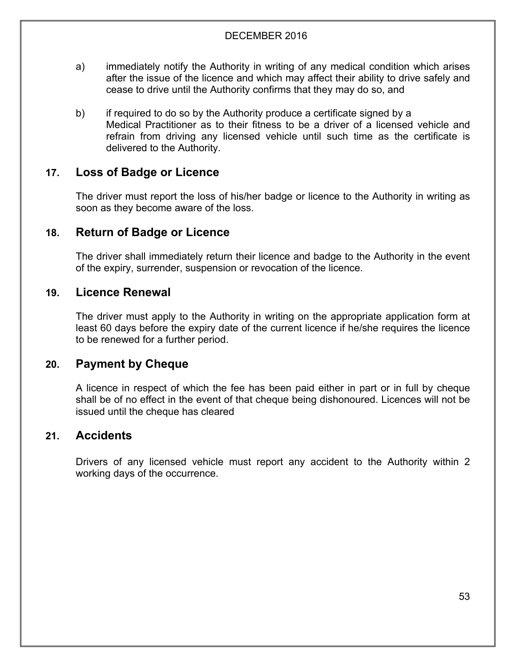- a) immediately notify the Authority in writing of any medical condition which arises after the issue of the licence and which may affect their ability to drive safely and cease to drive until the Authority confirms that they may do so, and
- b) if required to do so by the Authority produce a certificate signed by a Medical Practitioner as to their fitness to be a driver of a licensed vehicle and refrain from driving any licensed vehicle until such time as the certificate is delivered to the Authority.

# **17. Loss of Badge or Licence**

The driver must report the loss of his/her badge or licence to the Authority in writing as soon as they become aware of the loss.

# **18. Return of Badge or Licence**

The driver shall immediately return their licence and badge to the Authority in the event of the expiry, surrender, suspension or revocation of the licence.

## **19. Licence Renewal**

The driver must apply to the Authority in writing on the appropriate application form at least 60 days before the expiry date of the current licence if he/she requires the licence to be renewed for a further period.

# **20. Payment by Cheque**

A licence in respect of which the fee has been paid either in part or in full by cheque shall be of no effect in the event of that cheque being dishonoured. Licences will not be issued until the cheque has cleared

# **21. Accidents**

Drivers of any licensed vehicle must report any accident to the Authority within 2 working days of the occurrence.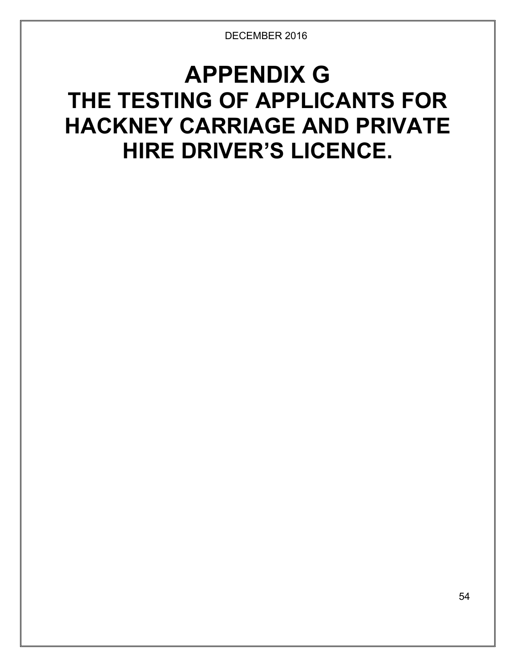# **APPENDIX G THE TESTING OF APPLICANTS FOR HACKNEY CARRIAGE AND PRIVATE HIRE DRIVER'S LICENCE.**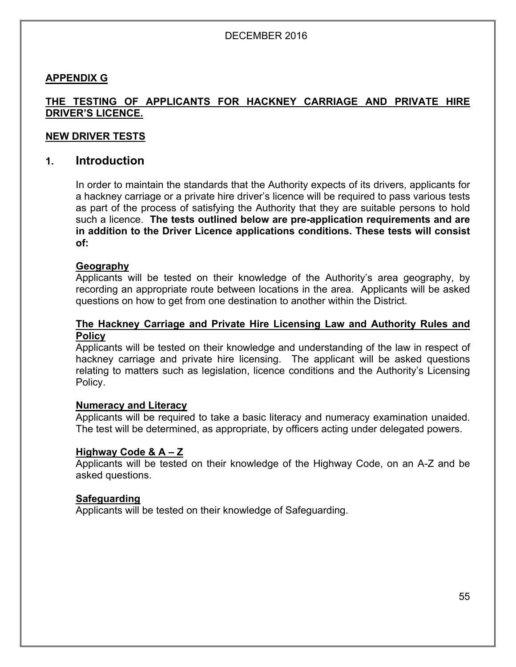#### **APPENDIX G**

## **THE TESTING OF APPLICANTS FOR HACKNEY CARRIAGE AND PRIVATE HIRE DRIVER'S LICENCE.**

#### **NEW DRIVER TESTS**

## **1. Introduction**

In order to maintain the standards that the Authority expects of its drivers, applicants for a hackney carriage or a private hire driver's licence will be required to pass various tests as part of the process of satisfying the Authority that they are suitable persons to hold such a licence. **The tests outlined below are pre-application requirements and are in addition to the Driver Licence applications conditions. These tests will consist of:**

#### **Geography**

Applicants will be tested on their knowledge of the Authority's area geography, by recording an appropriate route between locations in the area. Applicants will be asked questions on how to get from one destination to another within the District.

#### **The Hackney Carriage and Private Hire Licensing Law and Authority Rules and Policy**

Applicants will be tested on their knowledge and understanding of the law in respect of hackney carriage and private hire licensing. The applicant will be asked questions relating to matters such as legislation, licence conditions and the Authority's Licensing Policy.

#### **Numeracy and Literacy**

Applicants will be required to take a basic literacy and numeracy examination unaided. The test will be determined, as appropriate, by officers acting under delegated powers.

#### **Highway Code & A – Z**

Applicants will be tested on their knowledge of the Highway Code, on an A-Z and be asked questions.

#### **Safeguarding**

Applicants will be tested on their knowledge of Safeguarding.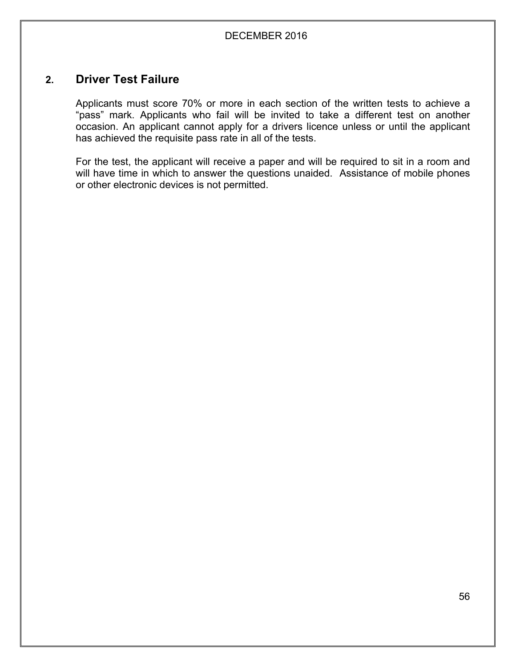## **2. Driver Test Failure**

Applicants must score 70% or more in each section of the written tests to achieve a "pass" mark. Applicants who fail will be invited to take a different test on another occasion. An applicant cannot apply for a drivers licence unless or until the applicant has achieved the requisite pass rate in all of the tests.

For the test, the applicant will receive a paper and will be required to sit in a room and will have time in which to answer the questions unaided. Assistance of mobile phones or other electronic devices is not permitted.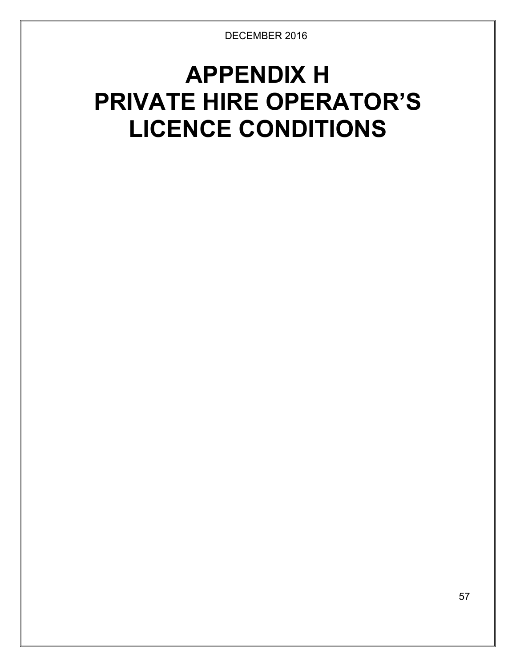# **APPENDIX H PRIVATE HIRE OPERATOR'S LICENCE CONDITIONS**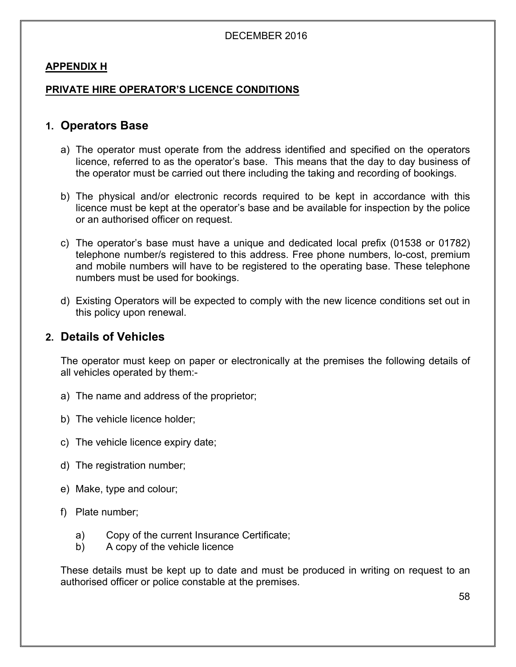## **APPENDIX H**

## **PRIVATE HIRE OPERATOR'S LICENCE CONDITIONS**

## **1. Operators Base**

- a) The operator must operate from the address identified and specified on the operators licence, referred to as the operator's base. This means that the day to day business of the operator must be carried out there including the taking and recording of bookings.
- b) The physical and/or electronic records required to be kept in accordance with this licence must be kept at the operator's base and be available for inspection by the police or an authorised officer on request.
- c) The operator's base must have a unique and dedicated local prefix (01538 or 01782) telephone number/s registered to this address. Free phone numbers, lo-cost, premium and mobile numbers will have to be registered to the operating base. These telephone numbers must be used for bookings.
- d) Existing Operators will be expected to comply with the new licence conditions set out in this policy upon renewal.

## **2. Details of Vehicles**

The operator must keep on paper or electronically at the premises the following details of all vehicles operated by them:-

- a) The name and address of the proprietor;
- b) The vehicle licence holder;
- c) The vehicle licence expiry date;
- d) The registration number;
- e) Make, type and colour;
- f) Plate number;
	- a) Copy of the current Insurance Certificate;
	- b) A copy of the vehicle licence

These details must be kept up to date and must be produced in writing on request to an authorised officer or police constable at the premises.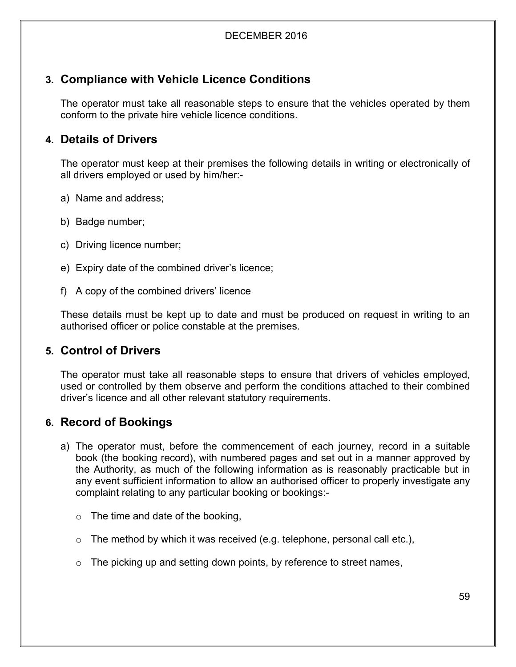# **3. Compliance with Vehicle Licence Conditions**

The operator must take all reasonable steps to ensure that the vehicles operated by them conform to the private hire vehicle licence conditions.

# **4. Details of Drivers**

The operator must keep at their premises the following details in writing or electronically of all drivers employed or used by him/her:-

- a) Name and address;
- b) Badge number;
- c) Driving licence number;
- e) Expiry date of the combined driver's licence;
- f) A copy of the combined drivers' licence

These details must be kept up to date and must be produced on request in writing to an authorised officer or police constable at the premises.

# **5. Control of Drivers**

The operator must take all reasonable steps to ensure that drivers of vehicles employed, used or controlled by them observe and perform the conditions attached to their combined driver's licence and all other relevant statutory requirements.

# **6. Record of Bookings**

- a) The operator must, before the commencement of each journey, record in a suitable book (the booking record), with numbered pages and set out in a manner approved by the Authority, as much of the following information as is reasonably practicable but in any event sufficient information to allow an authorised officer to properly investigate any complaint relating to any particular booking or bookings:-
	- $\circ$  The time and date of the booking,
	- $\circ$  The method by which it was received (e.g. telephone, personal call etc.),
	- $\circ$  The picking up and setting down points, by reference to street names,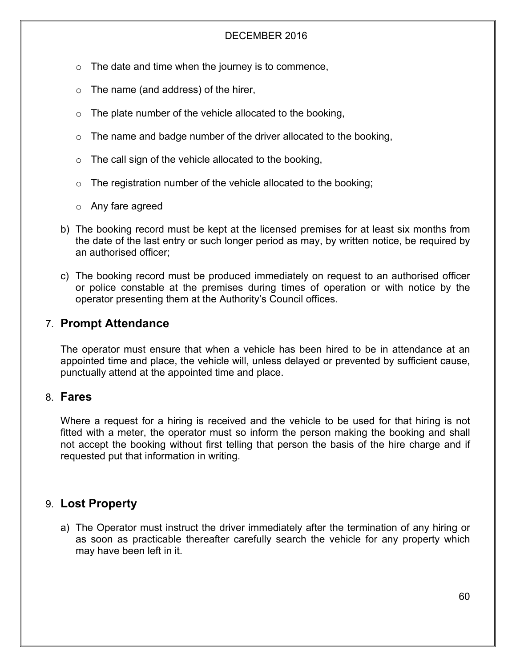- $\circ$  The date and time when the journey is to commence,
- $\circ$  The name (and address) of the hirer,
- $\circ$  The plate number of the vehicle allocated to the booking,
- $\circ$  The name and badge number of the driver allocated to the booking,
- $\circ$  The call sign of the vehicle allocated to the booking,
- $\circ$  The registration number of the vehicle allocated to the booking;
- o Any fare agreed
- b) The booking record must be kept at the licensed premises for at least six months from the date of the last entry or such longer period as may, by written notice, be required by an authorised officer;
- c) The booking record must be produced immediately on request to an authorised officer or police constable at the premises during times of operation or with notice by the operator presenting them at the Authority's Council offices.

# 7. **Prompt Attendance**

The operator must ensure that when a vehicle has been hired to be in attendance at an appointed time and place, the vehicle will, unless delayed or prevented by sufficient cause, punctually attend at the appointed time and place.

## 8. **Fares**

Where a request for a hiring is received and the vehicle to be used for that hiring is not fitted with a meter, the operator must so inform the person making the booking and shall not accept the booking without first telling that person the basis of the hire charge and if requested put that information in writing.

# 9. **Lost Property**

a) The Operator must instruct the driver immediately after the termination of any hiring or as soon as practicable thereafter carefully search the vehicle for any property which may have been left in it.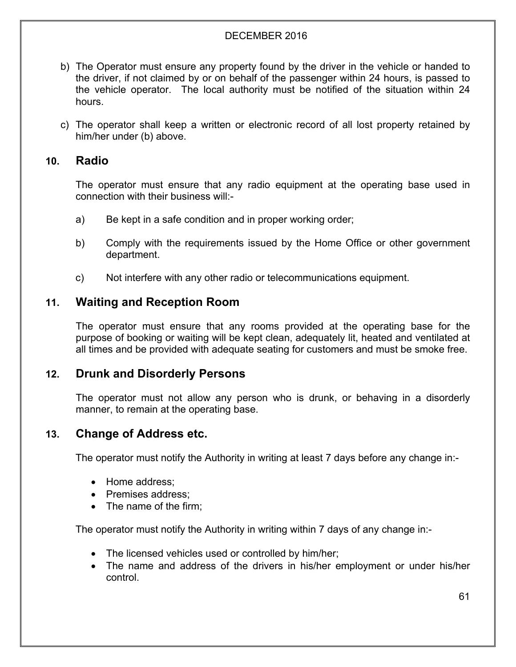- b) The Operator must ensure any property found by the driver in the vehicle or handed to the driver, if not claimed by or on behalf of the passenger within 24 hours, is passed to the vehicle operator. The local authority must be notified of the situation within 24 hours.
- c) The operator shall keep a written or electronic record of all lost property retained by him/her under (b) above.

## **10. Radio**

The operator must ensure that any radio equipment at the operating base used in connection with their business will:-

- a) Be kept in a safe condition and in proper working order;
- b) Comply with the requirements issued by the Home Office or other government department.
- c) Not interfere with any other radio or telecommunications equipment.

# **11. Waiting and Reception Room**

The operator must ensure that any rooms provided at the operating base for the purpose of booking or waiting will be kept clean, adequately lit, heated and ventilated at all times and be provided with adequate seating for customers and must be smoke free.

# **12. Drunk and Disorderly Persons**

The operator must not allow any person who is drunk, or behaving in a disorderly manner, to remain at the operating base.

# **13. Change of Address etc.**

The operator must notify the Authority in writing at least 7 days before any change in:-

- Home address;
- Premises address;
- The name of the firm:

The operator must notify the Authority in writing within 7 days of any change in:-

- The licensed vehicles used or controlled by him/her;
- The name and address of the drivers in his/her employment or under his/her control.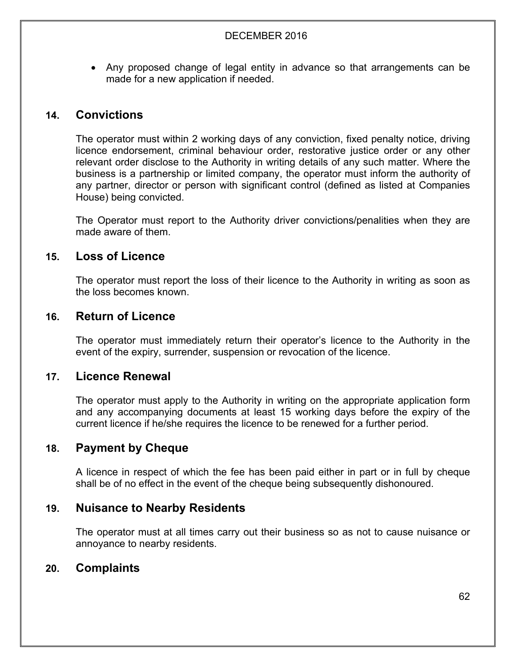Any proposed change of legal entity in advance so that arrangements can be made for a new application if needed.

# **14. Convictions**

The operator must within 2 working days of any conviction, fixed penalty notice, driving licence endorsement, criminal behaviour order, restorative justice order or any other relevant order disclose to the Authority in writing details of any such matter. Where the business is a partnership or limited company, the operator must inform the authority of any partner, director or person with significant control (defined as listed at Companies House) being convicted.

The Operator must report to the Authority driver convictions/penalities when they are made aware of them.

# **15. Loss of Licence**

The operator must report the loss of their licence to the Authority in writing as soon as the loss becomes known.

# **16. Return of Licence**

The operator must immediately return their operator's licence to the Authority in the event of the expiry, surrender, suspension or revocation of the licence.

# **17. Licence Renewal**

The operator must apply to the Authority in writing on the appropriate application form and any accompanying documents at least 15 working days before the expiry of the current licence if he/she requires the licence to be renewed for a further period.

# **18. Payment by Cheque**

A licence in respect of which the fee has been paid either in part or in full by cheque shall be of no effect in the event of the cheque being subsequently dishonoured.

# **19. Nuisance to Nearby Residents**

The operator must at all times carry out their business so as not to cause nuisance or annoyance to nearby residents.

# **20. Complaints**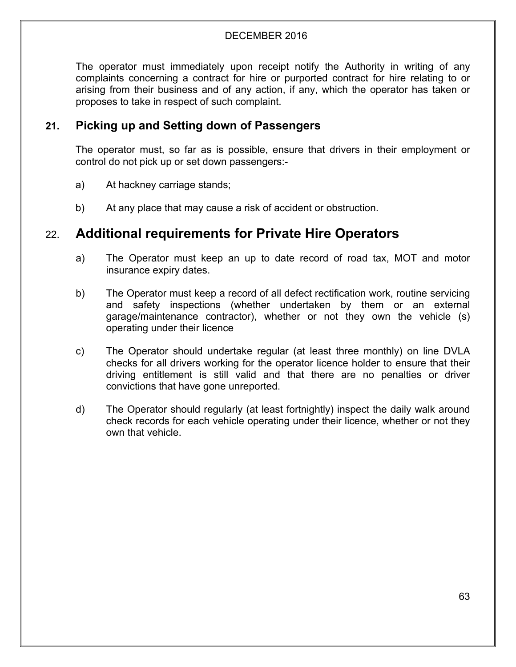The operator must immediately upon receipt notify the Authority in writing of any complaints concerning a contract for hire or purported contract for hire relating to or arising from their business and of any action, if any, which the operator has taken or proposes to take in respect of such complaint.

# **21. Picking up and Setting down of Passengers**

The operator must, so far as is possible, ensure that drivers in their employment or control do not pick up or set down passengers:-

- a) At hackney carriage stands;
- b) At any place that may cause a risk of accident or obstruction.

# 22. **Additional requirements for Private Hire Operators**

- a) The Operator must keep an up to date record of road tax, MOT and motor insurance expiry dates.
- b) The Operator must keep a record of all defect rectification work, routine servicing and safety inspections (whether undertaken by them or an external garage/maintenance contractor), whether or not they own the vehicle (s) operating under their licence
- c) The Operator should undertake regular (at least three monthly) on line DVLA checks for all drivers working for the operator licence holder to ensure that their driving entitlement is still valid and that there are no penalties or driver convictions that have gone unreported.
- d) The Operator should regularly (at least fortnightly) inspect the daily walk around check records for each vehicle operating under their licence, whether or not they own that vehicle.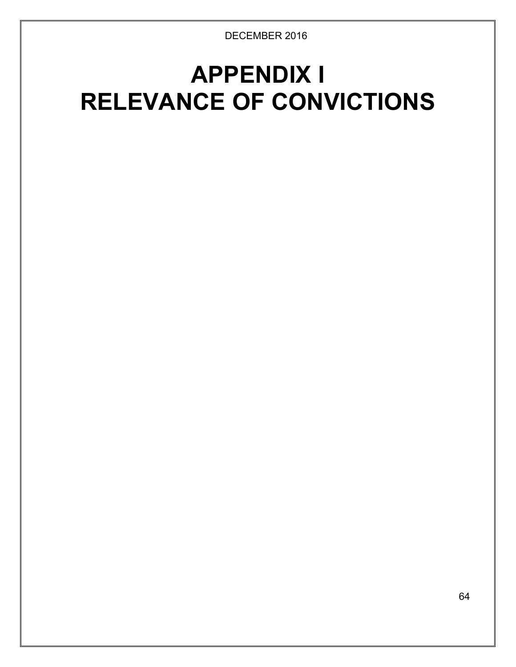# **APPENDIX I RELEVANCE OF CONVICTIONS**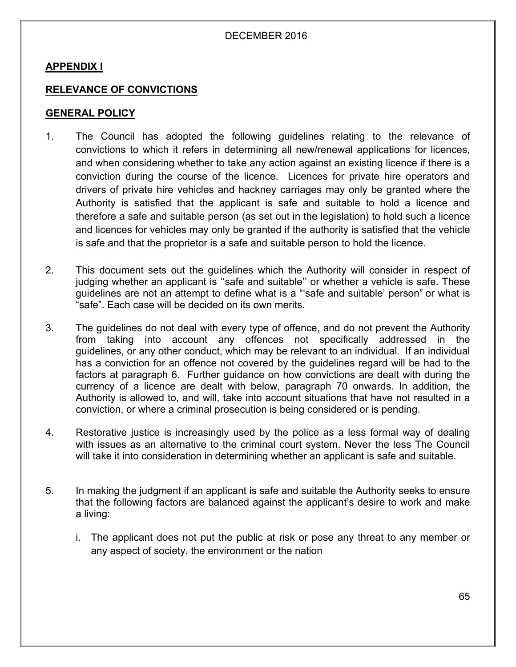## **APPENDIX I**

## **RELEVANCE OF CONVICTIONS**

## **GENERAL POLICY**

- 1. The Council has adopted the following guidelines relating to the relevance of convictions to which it refers in determining all new/renewal applications for licences, and when considering whether to take any action against an existing licence if there is a conviction during the course of the licence. Licences for private hire operators and drivers of private hire vehicles and hackney carriages may only be granted where the Authority is satisfied that the applicant is safe and suitable to hold a licence and therefore a safe and suitable person (as set out in the legislation) to hold such a licence and licences for vehicles may only be granted if the authority is satisfied that the vehicle is safe and that the proprietor is a safe and suitable person to hold the licence.
- 2. This document sets out the guidelines which the Authority will consider in respect of judging whether an applicant is ''safe and suitable'' or whether a vehicle is safe. These guidelines are not an attempt to define what is a "'safe and suitable' person" or what is "safe". Each case will be decided on its own merits.
- 3. The guidelines do not deal with every type of offence, and do not prevent the Authority from taking into account any offences not specifically addressed in the guidelines, or any other conduct, which may be relevant to an individual. If an individual has a conviction for an offence not covered by the guidelines regard will be had to the factors at paragraph 6. Further guidance on how convictions are dealt with during the currency of a licence are dealt with below, paragraph 70 onwards. In addition, the Authority is allowed to, and will, take into account situations that have not resulted in a conviction, or where a criminal prosecution is being considered or is pending.
- 4. Restorative justice is increasingly used by the police as a less formal way of dealing with issues as an alternative to the criminal court system. Never the less The Council will take it into consideration in determining whether an applicant is safe and suitable.
- 5. In making the judgment if an applicant is safe and suitable the Authority seeks to ensure that the following factors are balanced against the applicant's desire to work and make a living:
	- i. The applicant does not put the public at risk or pose any threat to any member or any aspect of society, the environment or the nation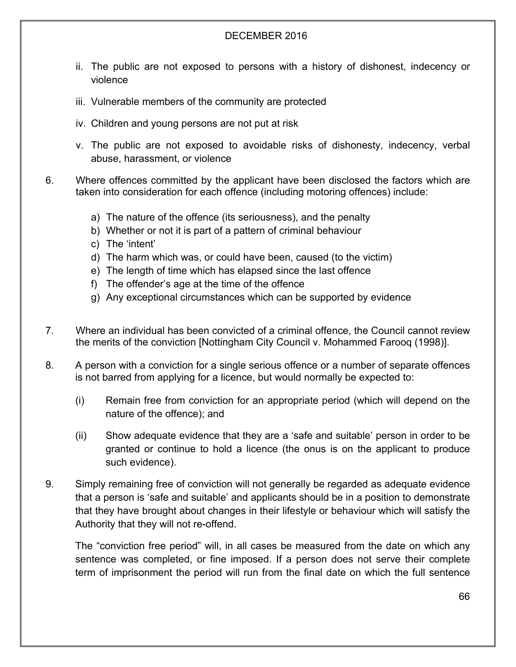- ii. The public are not exposed to persons with a history of dishonest, indecency or violence
- iii. Vulnerable members of the community are protected
- iv. Children and young persons are not put at risk
- v. The public are not exposed to avoidable risks of dishonesty, indecency, verbal abuse, harassment, or violence
- 6. Where offences committed by the applicant have been disclosed the factors which are taken into consideration for each offence (including motoring offences) include:
	- a) The nature of the offence (its seriousness), and the penalty
	- b) Whether or not it is part of a pattern of criminal behaviour
	- c) The 'intent'
	- d) The harm which was, or could have been, caused (to the victim)
	- e) The length of time which has elapsed since the last offence
	- f) The offender's age at the time of the offence
	- g) Any exceptional circumstances which can be supported by evidence
- 7. Where an individual has been convicted of a criminal offence, the Council cannot review the merits of the conviction [Nottingham City Council v. Mohammed Farooq (1998)].
- 8. A person with a conviction for a single serious offence or a number of separate offences is not barred from applying for a licence, but would normally be expected to:
	- (i) Remain free from conviction for an appropriate period (which will depend on the nature of the offence); and
	- (ii) Show adequate evidence that they are a 'safe and suitable' person in order to be granted or continue to hold a licence (the onus is on the applicant to produce such evidence).
- 9. Simply remaining free of conviction will not generally be regarded as adequate evidence that a person is 'safe and suitable' and applicants should be in a position to demonstrate that they have brought about changes in their lifestyle or behaviour which will satisfy the Authority that they will not re-offend.

The "conviction free period" will, in all cases be measured from the date on which any sentence was completed, or fine imposed. If a person does not serve their complete term of imprisonment the period will run from the final date on which the full sentence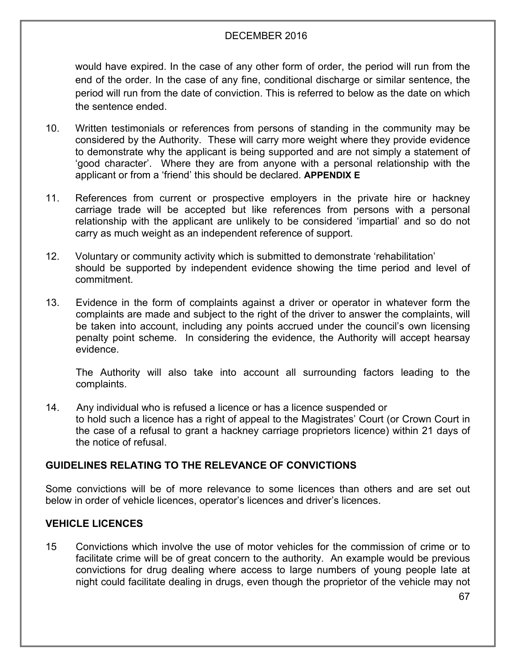would have expired. In the case of any other form of order, the period will run from the end of the order. In the case of any fine, conditional discharge or similar sentence, the period will run from the date of conviction. This is referred to below as the date on which the sentence ended.

- 10. Written testimonials or references from persons of standing in the community may be considered by the Authority. These will carry more weight where they provide evidence to demonstrate why the applicant is being supported and are not simply a statement of 'good character'. Where they are from anyone with a personal relationship with the applicant or from a 'friend' this should be declared. **APPENDIX E**
- 11. References from current or prospective employers in the private hire or hackney carriage trade will be accepted but like references from persons with a personal relationship with the applicant are unlikely to be considered 'impartial' and so do not carry as much weight as an independent reference of support.
- 12. Voluntary or community activity which is submitted to demonstrate 'rehabilitation' should be supported by independent evidence showing the time period and level of commitment.
- 13. Evidence in the form of complaints against a driver or operator in whatever form the complaints are made and subject to the right of the driver to answer the complaints, will be taken into account, including any points accrued under the council's own licensing penalty point scheme. In considering the evidence, the Authority will accept hearsay evidence.

The Authority will also take into account all surrounding factors leading to the complaints.

14. Any individual who is refused a licence or has a licence suspended or to hold such a licence has a right of appeal to the Magistrates' Court (or Crown Court in the case of a refusal to grant a hackney carriage proprietors licence) within 21 days of the notice of refusal.

## **GUIDELINES RELATING TO THE RELEVANCE OF CONVICTIONS**

Some convictions will be of more relevance to some licences than others and are set out below in order of vehicle licences, operator's licences and driver's licences.

## **VEHICLE LICENCES**

15 Convictions which involve the use of motor vehicles for the commission of crime or to facilitate crime will be of great concern to the authority. An example would be previous convictions for drug dealing where access to large numbers of young people late at night could facilitate dealing in drugs, even though the proprietor of the vehicle may not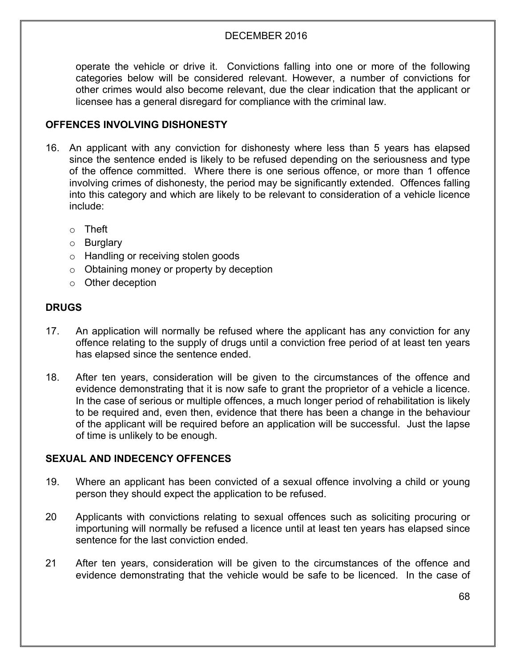operate the vehicle or drive it. Convictions falling into one or more of the following categories below will be considered relevant. However, a number of convictions for other crimes would also become relevant, due the clear indication that the applicant or licensee has a general disregard for compliance with the criminal law.

## **OFFENCES INVOLVING DISHONESTY**

- 16. An applicant with any conviction for dishonesty where less than 5 years has elapsed since the sentence ended is likely to be refused depending on the seriousness and type of the offence committed. Where there is one serious offence, or more than 1 offence involving crimes of dishonesty, the period may be significantly extended. Offences falling into this category and which are likely to be relevant to consideration of a vehicle licence include:
	- o Theft
	- o Burglary
	- o Handling or receiving stolen goods
	- o Obtaining money or property by deception
	- o Other deception

## **DRUGS**

- 17. An application will normally be refused where the applicant has any conviction for any offence relating to the supply of drugs until a conviction free period of at least ten years has elapsed since the sentence ended.
- 18. After ten years, consideration will be given to the circumstances of the offence and evidence demonstrating that it is now safe to grant the proprietor of a vehicle a licence. In the case of serious or multiple offences, a much longer period of rehabilitation is likely to be required and, even then, evidence that there has been a change in the behaviour of the applicant will be required before an application will be successful. Just the lapse of time is unlikely to be enough.

#### **SEXUAL AND INDECENCY OFFENCES**

- 19. Where an applicant has been convicted of a sexual offence involving a child or young person they should expect the application to be refused.
- 20 Applicants with convictions relating to sexual offences such as soliciting procuring or importuning will normally be refused a licence until at least ten years has elapsed since sentence for the last conviction ended.
- 21 After ten years, consideration will be given to the circumstances of the offence and evidence demonstrating that the vehicle would be safe to be licenced. In the case of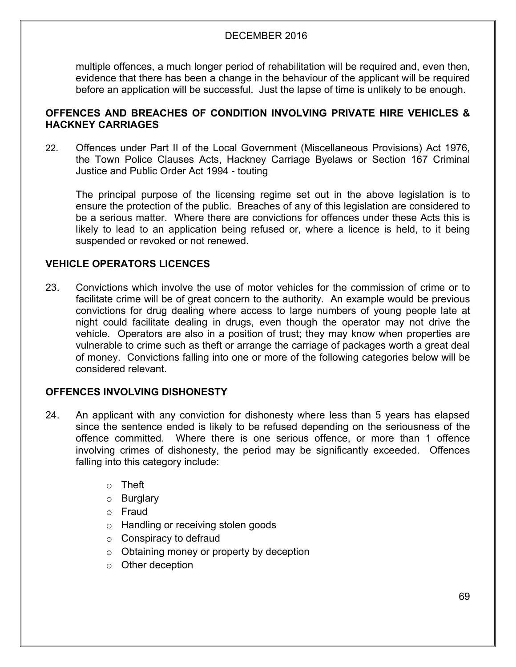multiple offences, a much longer period of rehabilitation will be required and, even then, evidence that there has been a change in the behaviour of the applicant will be required before an application will be successful. Just the lapse of time is unlikely to be enough.

## **OFFENCES AND BREACHES OF CONDITION INVOLVING PRIVATE HIRE VEHICLES & HACKNEY CARRIAGES**

22. Offences under Part II of the Local Government (Miscellaneous Provisions) Act 1976, the Town Police Clauses Acts, Hackney Carriage Byelaws or Section 167 Criminal Justice and Public Order Act 1994 - touting

The principal purpose of the licensing regime set out in the above legislation is to ensure the protection of the public. Breaches of any of this legislation are considered to be a serious matter. Where there are convictions for offences under these Acts this is likely to lead to an application being refused or, where a licence is held, to it being suspended or revoked or not renewed.

## **VEHICLE OPERATORS LICENCES**

23. Convictions which involve the use of motor vehicles for the commission of crime or to facilitate crime will be of great concern to the authority. An example would be previous convictions for drug dealing where access to large numbers of young people late at night could facilitate dealing in drugs, even though the operator may not drive the vehicle. Operators are also in a position of trust; they may know when properties are vulnerable to crime such as theft or arrange the carriage of packages worth a great deal of money. Convictions falling into one or more of the following categories below will be considered relevant.

## **OFFENCES INVOLVING DISHONESTY**

- 24. An applicant with any conviction for dishonesty where less than 5 years has elapsed since the sentence ended is likely to be refused depending on the seriousness of the offence committed. Where there is one serious offence, or more than 1 offence involving crimes of dishonesty, the period may be significantly exceeded. Offences falling into this category include:
	- $\circ$  Theft
	- o Burglary
	- o Fraud
	- o Handling or receiving stolen goods
	- $\circ$  Conspiracy to defraud
	- o Obtaining money or property by deception
	- o Other deception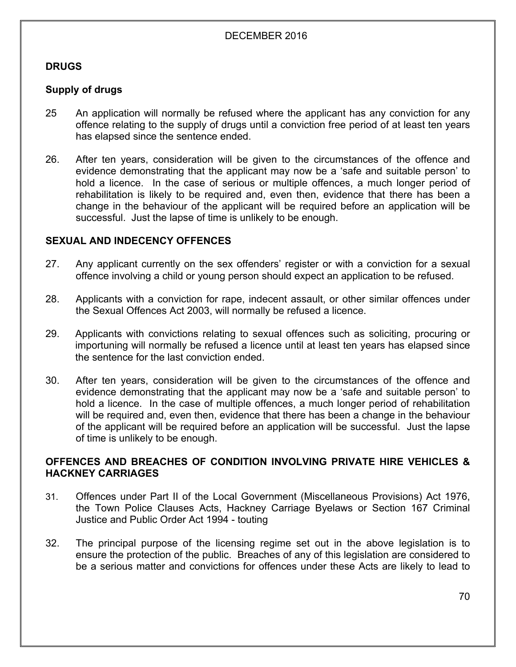## **DRUGS**

## **Supply of drugs**

- 25 An application will normally be refused where the applicant has any conviction for any offence relating to the supply of drugs until a conviction free period of at least ten years has elapsed since the sentence ended.
- 26. After ten years, consideration will be given to the circumstances of the offence and evidence demonstrating that the applicant may now be a 'safe and suitable person' to hold a licence. In the case of serious or multiple offences, a much longer period of rehabilitation is likely to be required and, even then, evidence that there has been a change in the behaviour of the applicant will be required before an application will be successful. Just the lapse of time is unlikely to be enough.

## **SEXUAL AND INDECENCY OFFENCES**

- 27. Any applicant currently on the sex offenders' register or with a conviction for a sexual offence involving a child or young person should expect an application to be refused.
- 28. Applicants with a conviction for rape, indecent assault, or other similar offences under the Sexual Offences Act 2003, will normally be refused a licence.
- 29. Applicants with convictions relating to sexual offences such as soliciting, procuring or importuning will normally be refused a licence until at least ten years has elapsed since the sentence for the last conviction ended.
- 30. After ten years, consideration will be given to the circumstances of the offence and evidence demonstrating that the applicant may now be a 'safe and suitable person' to hold a licence. In the case of multiple offences, a much longer period of rehabilitation will be required and, even then, evidence that there has been a change in the behaviour of the applicant will be required before an application will be successful. Just the lapse of time is unlikely to be enough.

## **OFFENCES AND BREACHES OF CONDITION INVOLVING PRIVATE HIRE VEHICLES & HACKNEY CARRIAGES**

- 31. Offences under Part II of the Local Government (Miscellaneous Provisions) Act 1976, the Town Police Clauses Acts, Hackney Carriage Byelaws or Section 167 Criminal Justice and Public Order Act 1994 - touting
- 32. The principal purpose of the licensing regime set out in the above legislation is to ensure the protection of the public. Breaches of any of this legislation are considered to be a serious matter and convictions for offences under these Acts are likely to lead to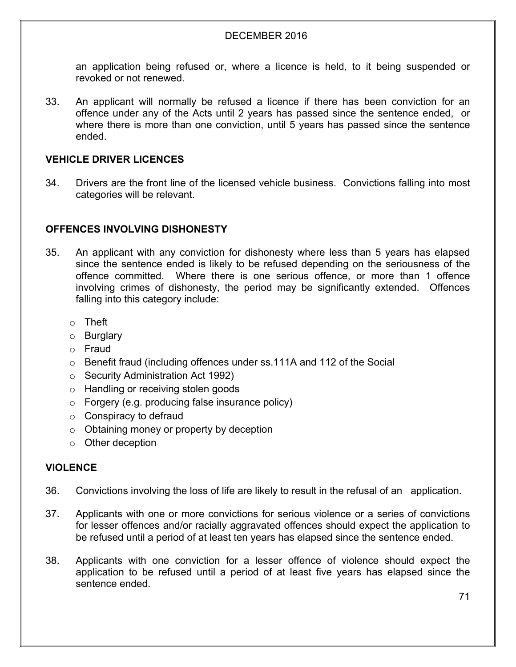an application being refused or, where a licence is held, to it being suspended or revoked or not renewed.

33. An applicant will normally be refused a licence if there has been conviction for an offence under any of the Acts until 2 years has passed since the sentence ended, or where there is more than one conviction, until 5 years has passed since the sentence ended.

#### **VEHICLE DRIVER LICENCES**

34. Drivers are the front line of the licensed vehicle business. Convictions falling into most categories will be relevant.

## **OFFENCES INVOLVING DISHONESTY**

- 35. An applicant with any conviction for dishonesty where less than 5 years has elapsed since the sentence ended is likely to be refused depending on the seriousness of the offence committed. Where there is one serious offence, or more than 1 offence involving crimes of dishonesty, the period may be significantly extended. Offences falling into this category include:
	- o Theft
	- o Burglary
	- o Fraud
	- o Benefit fraud (including offences under ss.111A and 112 of the Social
	- o Security Administration Act 1992)
	- o Handling or receiving stolen goods
	- o Forgery (e.g. producing false insurance policy)
	- $\circ$  Conspiracy to defraud
	- o Obtaining money or property by deception
	- o Other deception

#### **VIOLENCE**

- 36. Convictions involving the loss of life are likely to result in the refusal of an application.
- 37. Applicants with one or more convictions for serious violence or a series of convictions for lesser offences and/or racially aggravated offences should expect the application to be refused until a period of at least ten years has elapsed since the sentence ended.
- 38. Applicants with one conviction for a lesser offence of violence should expect the application to be refused until a period of at least five years has elapsed since the sentence ended.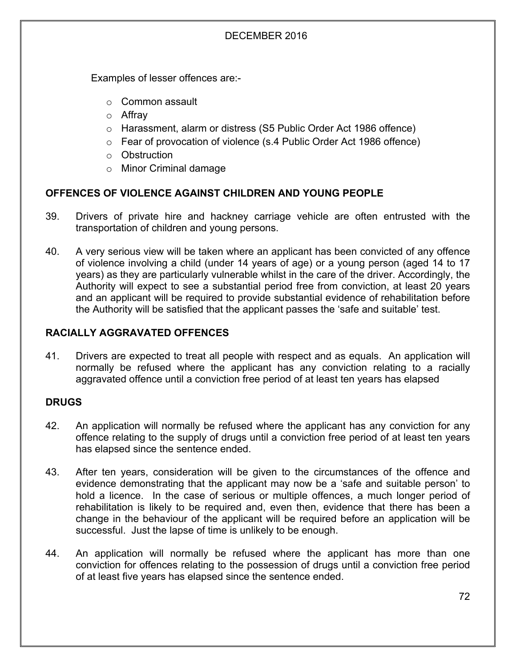Examples of lesser offences are:-

- o Common assault
- o Affray
- o Harassment, alarm or distress (S5 Public Order Act 1986 offence)
- o Fear of provocation of violence (s.4 Public Order Act 1986 offence)
- o Obstruction
- o Minor Criminal damage

## **OFFENCES OF VIOLENCE AGAINST CHILDREN AND YOUNG PEOPLE**

- 39. Drivers of private hire and hackney carriage vehicle are often entrusted with the transportation of children and young persons.
- 40. A very serious view will be taken where an applicant has been convicted of any offence of violence involving a child (under 14 years of age) or a young person (aged 14 to 17 years) as they are particularly vulnerable whilst in the care of the driver. Accordingly, the Authority will expect to see a substantial period free from conviction, at least 20 years and an applicant will be required to provide substantial evidence of rehabilitation before the Authority will be satisfied that the applicant passes the 'safe and suitable' test.

## **RACIALLY AGGRAVATED OFFENCES**

41. Drivers are expected to treat all people with respect and as equals. An application will normally be refused where the applicant has any conviction relating to a racially aggravated offence until a conviction free period of at least ten years has elapsed

#### **DRUGS**

- 42. An application will normally be refused where the applicant has any conviction for any offence relating to the supply of drugs until a conviction free period of at least ten years has elapsed since the sentence ended.
- 43. After ten years, consideration will be given to the circumstances of the offence and evidence demonstrating that the applicant may now be a 'safe and suitable person' to hold a licence. In the case of serious or multiple offences, a much longer period of rehabilitation is likely to be required and, even then, evidence that there has been a change in the behaviour of the applicant will be required before an application will be successful. Just the lapse of time is unlikely to be enough.
- 44. An application will normally be refused where the applicant has more than one conviction for offences relating to the possession of drugs until a conviction free period of at least five years has elapsed since the sentence ended.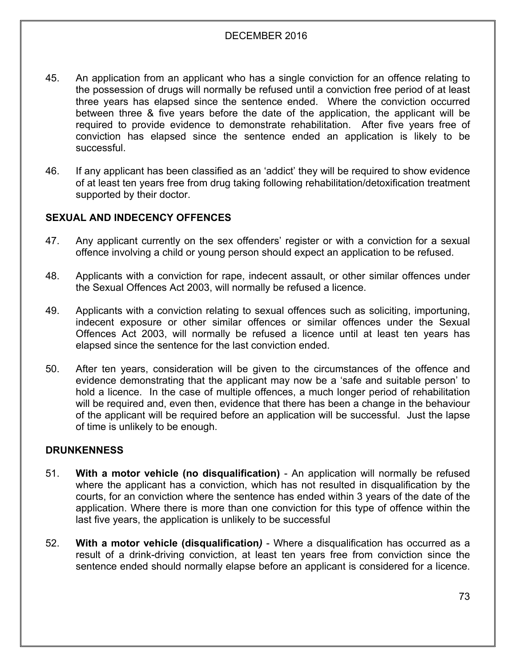- 45. An application from an applicant who has a single conviction for an offence relating to the possession of drugs will normally be refused until a conviction free period of at least three years has elapsed since the sentence ended. Where the conviction occurred between three & five years before the date of the application, the applicant will be required to provide evidence to demonstrate rehabilitation. After five years free of conviction has elapsed since the sentence ended an application is likely to be successful.
- 46. If any applicant has been classified as an 'addict' they will be required to show evidence of at least ten years free from drug taking following rehabilitation/detoxification treatment supported by their doctor.

## **SEXUAL AND INDECENCY OFFENCES**

- 47. Any applicant currently on the sex offenders' register or with a conviction for a sexual offence involving a child or young person should expect an application to be refused.
- 48. Applicants with a conviction for rape, indecent assault, or other similar offences under the Sexual Offences Act 2003, will normally be refused a licence.
- 49. Applicants with a conviction relating to sexual offences such as soliciting, importuning, indecent exposure or other similar offences or similar offences under the Sexual Offences Act 2003, will normally be refused a licence until at least ten years has elapsed since the sentence for the last conviction ended.
- 50. After ten years, consideration will be given to the circumstances of the offence and evidence demonstrating that the applicant may now be a 'safe and suitable person' to hold a licence. In the case of multiple offences, a much longer period of rehabilitation will be required and, even then, evidence that there has been a change in the behaviour of the applicant will be required before an application will be successful. Just the lapse of time is unlikely to be enough.

#### **DRUNKENNESS**

- 51. **With a motor vehicle (no disqualification)** An application will normally be refused where the applicant has a conviction, which has not resulted in disqualification by the courts, for an conviction where the sentence has ended within 3 years of the date of the application. Where there is more than one conviction for this type of offence within the last five years, the application is unlikely to be successful
- 52. **With a motor vehicle (disqualification***)* Where a disqualification has occurred as a result of a drink-driving conviction, at least ten years free from conviction since the sentence ended should normally elapse before an applicant is considered for a licence.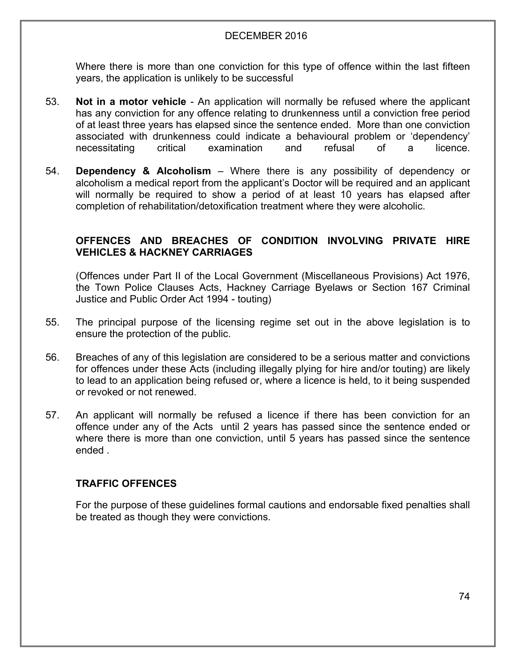Where there is more than one conviction for this type of offence within the last fifteen years, the application is unlikely to be successful

- 53. **Not in a motor vehicle** An application will normally be refused where the applicant has any conviction for any offence relating to drunkenness until a conviction free period of at least three years has elapsed since the sentence ended. More than one conviction associated with drunkenness could indicate a behavioural problem or 'dependency' necessitating critical examination and refusal of a licence.
- 54. **Dependency & Alcoholism** Where there is any possibility of dependency or alcoholism a medical report from the applicant's Doctor will be required and an applicant will normally be required to show a period of at least 10 years has elapsed after completion of rehabilitation/detoxification treatment where they were alcoholic.

# **OFFENCES AND BREACHES OF CONDITION INVOLVING PRIVATE HIRE VEHICLES & HACKNEY CARRIAGES**

(Offences under Part II of the Local Government (Miscellaneous Provisions) Act 1976, the Town Police Clauses Acts, Hackney Carriage Byelaws or Section 167 Criminal Justice and Public Order Act 1994 - touting)

- 55. The principal purpose of the licensing regime set out in the above legislation is to ensure the protection of the public.
- 56. Breaches of any of this legislation are considered to be a serious matter and convictions for offences under these Acts (including illegally plying for hire and/or touting) are likely to lead to an application being refused or, where a licence is held, to it being suspended or revoked or not renewed.
- 57. An applicant will normally be refused a licence if there has been conviction for an offence under any of the Acts until 2 years has passed since the sentence ended or where there is more than one conviction, until 5 years has passed since the sentence ended .

# **TRAFFIC OFFENCES**

For the purpose of these guidelines formal cautions and endorsable fixed penalties shall be treated as though they were convictions.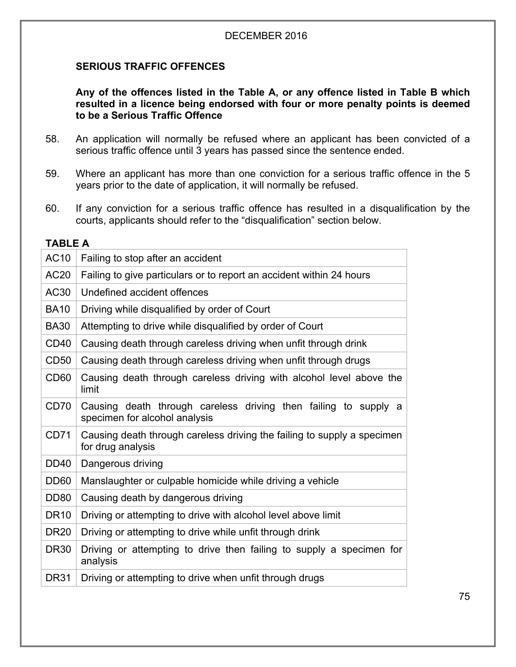# **SERIOUS TRAFFIC OFFENCES**

#### **Any of the offences listed in the Table A, or any offence listed in Table B which resulted in a licence being endorsed with four or more penalty points is deemed to be a Serious Traffic Offence**

- 58. An application will normally be refused where an applicant has been convicted of a serious traffic offence until 3 years has passed since the sentence ended.
- 59. Where an applicant has more than one conviction for a serious traffic offence in the 5 years prior to the date of application, it will normally be refused.
- 60. If any conviction for a serious traffic offence has resulted in a disqualification by the courts, applicants should refer to the "disqualification" section below.

#### **TABLE A**

| <b>AC10</b>      | Failing to stop after an accident                                                                |  |  |  |  |
|------------------|--------------------------------------------------------------------------------------------------|--|--|--|--|
| AC20             | Failing to give particulars or to report an accident within 24 hours                             |  |  |  |  |
| AC30             | Undefined accident offences                                                                      |  |  |  |  |
| <b>BA10</b>      | Driving while disqualified by order of Court                                                     |  |  |  |  |
| <b>BA30</b>      | Attempting to drive while disqualified by order of Court                                         |  |  |  |  |
| CD <sub>40</sub> | Causing death through careless driving when unfit through drink                                  |  |  |  |  |
| CD <sub>50</sub> | Causing death through careless driving when unfit through drugs                                  |  |  |  |  |
| CD <sub>60</sub> | Causing death through careless driving with alcohol level above the<br>limit                     |  |  |  |  |
| CD70             | Causing death through careless driving then failing to supply a<br>specimen for alcohol analysis |  |  |  |  |
| CD71             | Causing death through careless driving the failing to supply a specimen<br>for drug analysis     |  |  |  |  |
| <b>DD40</b>      | Dangerous driving                                                                                |  |  |  |  |
| DD <sub>60</sub> | Manslaughter or culpable homicide while driving a vehicle                                        |  |  |  |  |
| <b>DD80</b>      | Causing death by dangerous driving                                                               |  |  |  |  |
| <b>DR10</b>      | Driving or attempting to drive with alcohol level above limit                                    |  |  |  |  |
| <b>DR20</b>      | Driving or attempting to drive while unfit through drink                                         |  |  |  |  |
| <b>DR30</b>      | Driving or attempting to drive then failing to supply a specimen for<br>analysis                 |  |  |  |  |
| <b>DR31</b>      | Driving or attempting to drive when unfit through drugs                                          |  |  |  |  |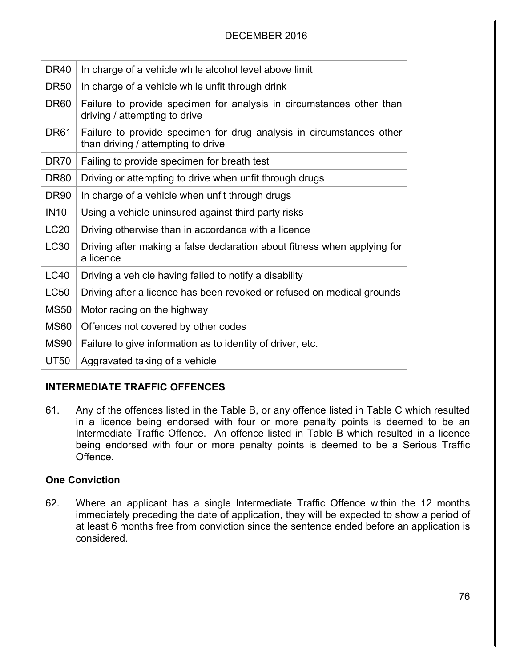| <b>DR40</b>      | In charge of a vehicle while alcohol level above limit                                                     |
|------------------|------------------------------------------------------------------------------------------------------------|
| <b>DR50</b>      | In charge of a vehicle while unfit through drink                                                           |
| DR <sub>60</sub> | Failure to provide specimen for analysis in circumstances other than<br>driving / attempting to drive      |
| <b>DR61</b>      | Failure to provide specimen for drug analysis in circumstances other<br>than driving / attempting to drive |
| DR <sub>70</sub> | Failing to provide specimen for breath test                                                                |
| DR <sub>80</sub> | Driving or attempting to drive when unfit through drugs                                                    |
| <b>DR90</b>      | In charge of a vehicle when unfit through drugs                                                            |
| <b>IN10</b>      | Using a vehicle uninsured against third party risks                                                        |
| <b>LC20</b>      | Driving otherwise than in accordance with a licence                                                        |
| <b>LC30</b>      | Driving after making a false declaration about fitness when applying for<br>a licence                      |
| <b>LC40</b>      | Driving a vehicle having failed to notify a disability                                                     |
| <b>LC50</b>      | Driving after a licence has been revoked or refused on medical grounds                                     |
| <b>MS50</b>      | Motor racing on the highway                                                                                |
| <b>MS60</b>      | Offences not covered by other codes                                                                        |
| <b>MS90</b>      | Failure to give information as to identity of driver, etc.                                                 |
| <b>UT50</b>      | Aggravated taking of a vehicle                                                                             |

# **INTERMEDIATE TRAFFIC OFFENCES**

61. Any of the offences listed in the Table B, or any offence listed in Table C which resulted in a licence being endorsed with four or more penalty points is deemed to be an Intermediate Traffic Offence. An offence listed in Table B which resulted in a licence being endorsed with four or more penalty points is deemed to be a Serious Traffic Offence.

# **One Conviction**

62. Where an applicant has a single Intermediate Traffic Offence within the 12 months immediately preceding the date of application, they will be expected to show a period of at least 6 months free from conviction since the sentence ended before an application is considered.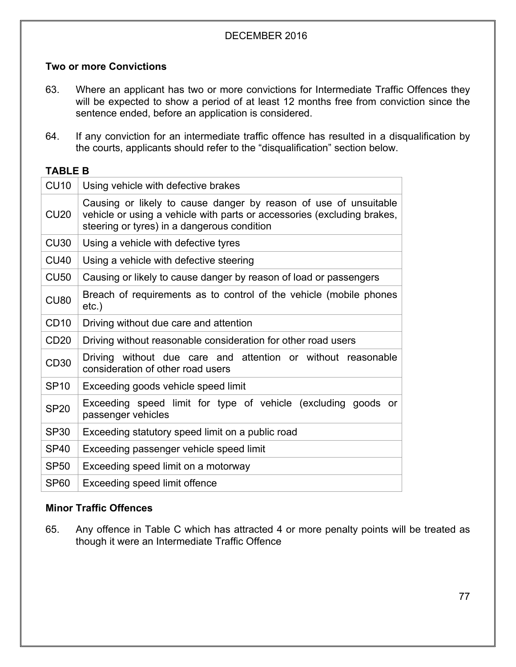# **Two or more Convictions**

- 63. Where an applicant has two or more convictions for Intermediate Traffic Offences they will be expected to show a period of at least 12 months free from conviction since the sentence ended, before an application is considered.
- 64. If any conviction for an intermediate traffic offence has resulted in a disqualification by the courts, applicants should refer to the "disqualification" section below.

# **TABLE B**

| <b>CU10</b>      | Using vehicle with defective brakes                                                                                                                                                        |  |  |  |
|------------------|--------------------------------------------------------------------------------------------------------------------------------------------------------------------------------------------|--|--|--|
| CU <sub>20</sub> | Causing or likely to cause danger by reason of use of unsuitable<br>vehicle or using a vehicle with parts or accessories (excluding brakes,<br>steering or tyres) in a dangerous condition |  |  |  |
| CU30             | Using a vehicle with defective tyres                                                                                                                                                       |  |  |  |
| <b>CU40</b>      | Using a vehicle with defective steering                                                                                                                                                    |  |  |  |
| <b>CU50</b>      | Causing or likely to cause danger by reason of load or passengers                                                                                                                          |  |  |  |
| <b>CU80</b>      | Breach of requirements as to control of the vehicle (mobile phones<br>$etc.$ )                                                                                                             |  |  |  |
| CD <sub>10</sub> | Driving without due care and attention                                                                                                                                                     |  |  |  |
| CD20             | Driving without reasonable consideration for other road users                                                                                                                              |  |  |  |
| CD <sub>30</sub> | Driving without due care and attention or without reasonable<br>consideration of other road users                                                                                          |  |  |  |
| <b>SP10</b>      | Exceeding goods vehicle speed limit                                                                                                                                                        |  |  |  |
| <b>SP20</b>      | Exceeding speed limit for type of vehicle (excluding goods or<br>passenger vehicles                                                                                                        |  |  |  |
| <b>SP30</b>      | Exceeding statutory speed limit on a public road                                                                                                                                           |  |  |  |
| <b>SP40</b>      | Exceeding passenger vehicle speed limit                                                                                                                                                    |  |  |  |
| <b>SP50</b>      | Exceeding speed limit on a motorway                                                                                                                                                        |  |  |  |
| <b>SP60</b>      | Exceeding speed limit offence                                                                                                                                                              |  |  |  |

# **Minor Traffic Offences**

65. Any offence in Table C which has attracted 4 or more penalty points will be treated as though it were an Intermediate Traffic Offence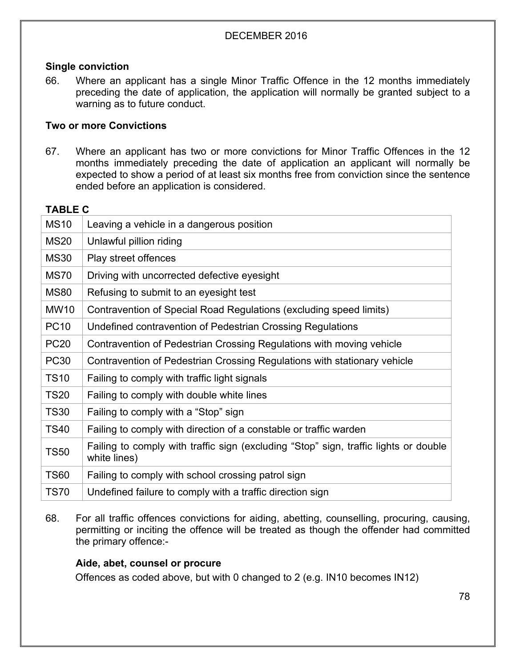## **Single conviction**

66. Where an applicant has a single Minor Traffic Offence in the 12 months immediately preceding the date of application, the application will normally be granted subject to a warning as to future conduct.

#### **Two or more Convictions**

67. Where an applicant has two or more convictions for Minor Traffic Offences in the 12 months immediately preceding the date of application an applicant will normally be expected to show a period of at least six months free from conviction since the sentence ended before an application is considered.

## **TABLE C**

68. For all traffic offences convictions for aiding, abetting, counselling, procuring, causing, permitting or inciting the offence will be treated as though the offender had committed the primary offence:-

#### **Aide, abet, counsel or procure**

Offences as coded above, but with 0 changed to 2 (e.g. IN10 becomes IN12)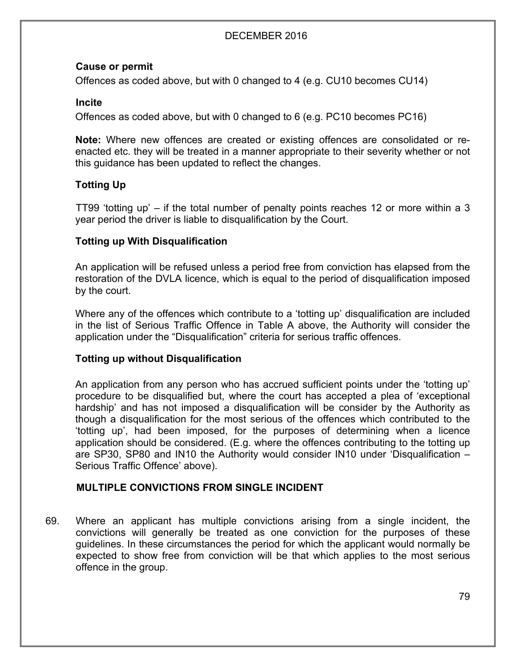## **Cause or permit**

Offences as coded above, but with 0 changed to 4 (e.g. CU10 becomes CU14)

#### **Incite**

Offences as coded above, but with 0 changed to 6 (e.g. PC10 becomes PC16)

**Note:** Where new offences are created or existing offences are consolidated or reenacted etc. they will be treated in a manner appropriate to their severity whether or not this guidance has been updated to reflect the changes.

# **Totting Up**

TT99 'totting up' – if the total number of penalty points reaches 12 or more within a 3 year period the driver is liable to disqualification by the Court.

## **Totting up With Disqualification**

An application will be refused unless a period free from conviction has elapsed from the restoration of the DVLA licence, which is equal to the period of disqualification imposed by the court.

Where any of the offences which contribute to a 'totting up' disqualification are included in the list of Serious Traffic Offence in Table A above, the Authority will consider the application under the "Disqualification" criteria for serious traffic offences.

#### **Totting up without Disqualification**

An application from any person who has accrued sufficient points under the 'totting up' procedure to be disqualified but, where the court has accepted a plea of 'exceptional hardship' and has not imposed a disqualification will be consider by the Authority as though a disqualification for the most serious of the offences which contributed to the 'totting up', had been imposed, for the purposes of determining when a licence application should be considered. (E.g. where the offences contributing to the totting up are SP30, SP80 and IN10 the Authority would consider IN10 under 'Disqualification – Serious Traffic Offence' above).

#### **MULTIPLE CONVICTIONS FROM SINGLE INCIDENT**

69. Where an applicant has multiple convictions arising from a single incident, the convictions will generally be treated as one conviction for the purposes of these guidelines. In these circumstances the period for which the applicant would normally be expected to show free from conviction will be that which applies to the most serious offence in the group.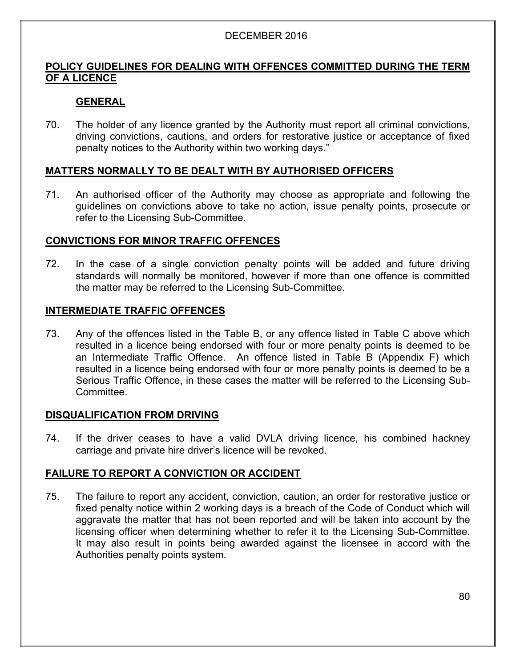## **POLICY GUIDELINES FOR DEALING WITH OFFENCES COMMITTED DURING THE TERM OF A LICENCE**

# **GENERAL**

70. The holder of any licence granted by the Authority must report all criminal convictions, driving convictions, cautions, and orders for restorative justice or acceptance of fixed penalty notices to the Authority within two working days."

# **MATTERS NORMALLY TO BE DEALT WITH BY AUTHORISED OFFICERS**

71. An authorised officer of the Authority may choose as appropriate and following the guidelines on convictions above to take no action, issue penalty points, prosecute or refer to the Licensing Sub-Committee.

## **CONVICTIONS FOR MINOR TRAFFIC OFFENCES**

72. In the case of a single conviction penalty points will be added and future driving standards will normally be monitored, however if more than one offence is committed the matter may be referred to the Licensing Sub-Committee.

## **INTERMEDIATE TRAFFIC OFFENCES**

73. Any of the offences listed in the Table B, or any offence listed in Table C above which resulted in a licence being endorsed with four or more penalty points is deemed to be an Intermediate Traffic Offence. An offence listed in Table B (Appendix F) which resulted in a licence being endorsed with four or more penalty points is deemed to be a Serious Traffic Offence, in these cases the matter will be referred to the Licensing Sub-Committee.

#### **DISQUALIFICATION FROM DRIVING**

74. If the driver ceases to have a valid DVLA driving licence, his combined hackney carriage and private hire driver's licence will be revoked.

#### **FAILURE TO REPORT A CONVICTION OR ACCIDENT**

75. The failure to report any accident, conviction, caution, an order for restorative justice or fixed penalty notice within 2 working days is a breach of the Code of Conduct which will aggravate the matter that has not been reported and will be taken into account by the licensing officer when determining whether to refer it to the Licensing Sub-Committee. It may also result in points being awarded against the licensee in accord with the Authorities penalty points system.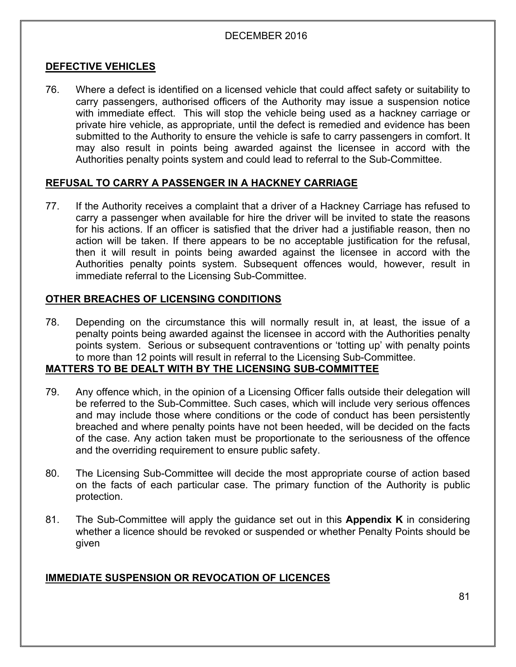## **DEFECTIVE VEHICLES**

76. Where a defect is identified on a licensed vehicle that could affect safety or suitability to carry passengers, authorised officers of the Authority may issue a suspension notice with immediate effect. This will stop the vehicle being used as a hackney carriage or private hire vehicle, as appropriate, until the defect is remedied and evidence has been submitted to the Authority to ensure the vehicle is safe to carry passengers in comfort. It may also result in points being awarded against the licensee in accord with the Authorities penalty points system and could lead to referral to the Sub-Committee.

#### **REFUSAL TO CARRY A PASSENGER IN A HACKNEY CARRIAGE**

77. If the Authority receives a complaint that a driver of a Hackney Carriage has refused to carry a passenger when available for hire the driver will be invited to state the reasons for his actions. If an officer is satisfied that the driver had a justifiable reason, then no action will be taken. If there appears to be no acceptable justification for the refusal, then it will result in points being awarded against the licensee in accord with the Authorities penalty points system. Subsequent offences would, however, result in immediate referral to the Licensing Sub-Committee.

## **OTHER BREACHES OF LICENSING CONDITIONS**

78. Depending on the circumstance this will normally result in, at least, the issue of a penalty points being awarded against the licensee in accord with the Authorities penalty points system. Serious or subsequent contraventions or 'totting up' with penalty points to more than 12 points will result in referral to the Licensing Sub-Committee.

# **MATTERS TO BE DEALT WITH BY THE LICENSING SUB-COMMITTEE**

- 79. Any offence which, in the opinion of a Licensing Officer falls outside their delegation will be referred to the Sub-Committee. Such cases, which will include very serious offences and may include those where conditions or the code of conduct has been persistently breached and where penalty points have not been heeded, will be decided on the facts of the case. Any action taken must be proportionate to the seriousness of the offence and the overriding requirement to ensure public safety.
- 80. The Licensing Sub-Committee will decide the most appropriate course of action based on the facts of each particular case. The primary function of the Authority is public protection.
- 81. The Sub-Committee will apply the guidance set out in this **Appendix K** in considering whether a licence should be revoked or suspended or whether Penalty Points should be given

# **IMMEDIATE SUSPENSION OR REVOCATION OF LICENCES**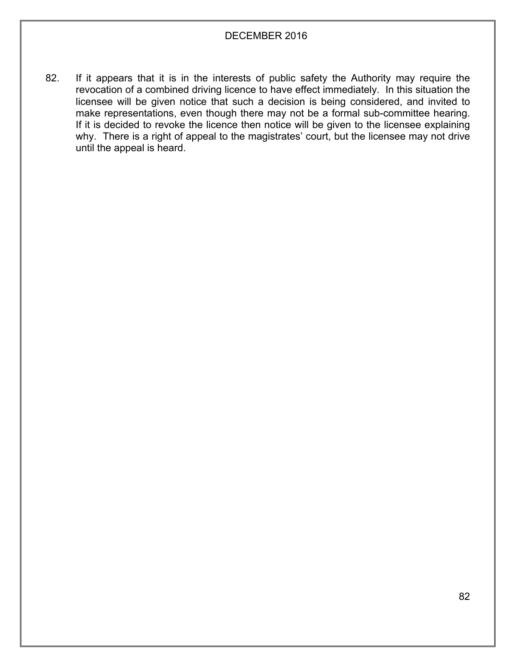82. If it appears that it is in the interests of public safety the Authority may require the revocation of a combined driving licence to have effect immediately. In this situation the licensee will be given notice that such a decision is being considered, and invited to make representations, even though there may not be a formal sub-committee hearing. If it is decided to revoke the licence then notice will be given to the licensee explaining why. There is a right of appeal to the magistrates' court, but the licensee may not drive until the appeal is heard.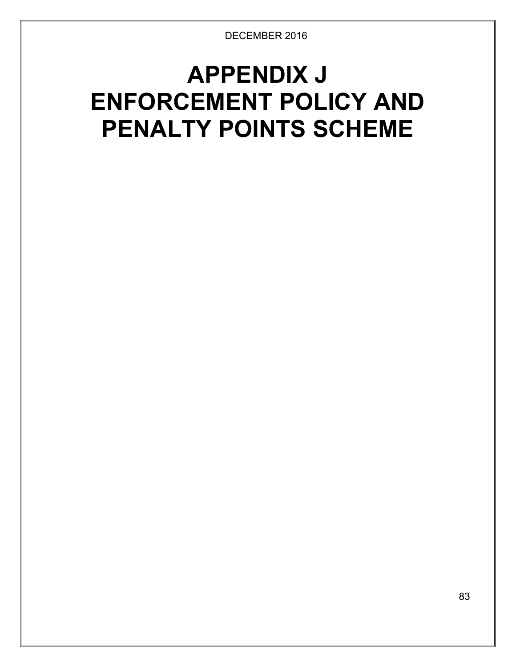# **APPENDIX J ENFORCEMENT POLICY AND PENALTY POINTS SCHEME**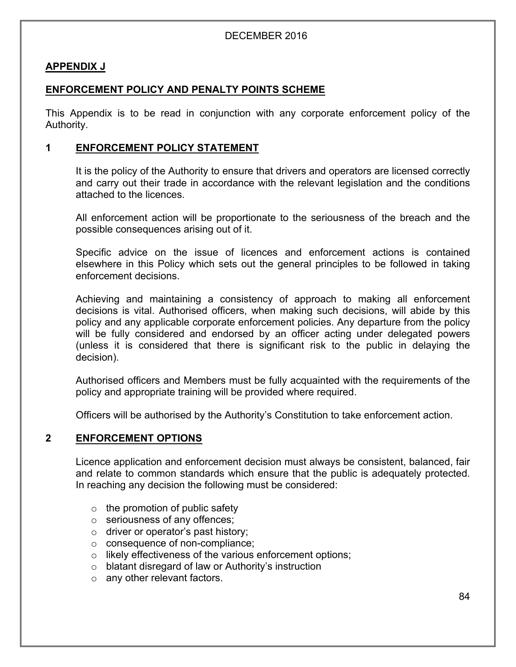#### **APPENDIX J**

# **ENFORCEMENT POLICY AND PENALTY POINTS SCHEME**

This Appendix is to be read in conjunction with any corporate enforcement policy of the Authority.

#### **1 ENFORCEMENT POLICY STATEMENT**

It is the policy of the Authority to ensure that drivers and operators are licensed correctly and carry out their trade in accordance with the relevant legislation and the conditions attached to the licences.

All enforcement action will be proportionate to the seriousness of the breach and the possible consequences arising out of it.

Specific advice on the issue of licences and enforcement actions is contained elsewhere in this Policy which sets out the general principles to be followed in taking enforcement decisions.

Achieving and maintaining a consistency of approach to making all enforcement decisions is vital. Authorised officers, when making such decisions, will abide by this policy and any applicable corporate enforcement policies. Any departure from the policy will be fully considered and endorsed by an officer acting under delegated powers (unless it is considered that there is significant risk to the public in delaying the decision).

Authorised officers and Members must be fully acquainted with the requirements of the policy and appropriate training will be provided where required.

Officers will be authorised by the Authority's Constitution to take enforcement action.

#### **2 ENFORCEMENT OPTIONS**

Licence application and enforcement decision must always be consistent, balanced, fair and relate to common standards which ensure that the public is adequately protected. In reaching any decision the following must be considered:

- $\circ$  the promotion of public safety
- o seriousness of any offences;
- o driver or operator's past history;
- o consequence of non-compliance;
- o likely effectiveness of the various enforcement options;
- o blatant disregard of law or Authority's instruction
- o any other relevant factors.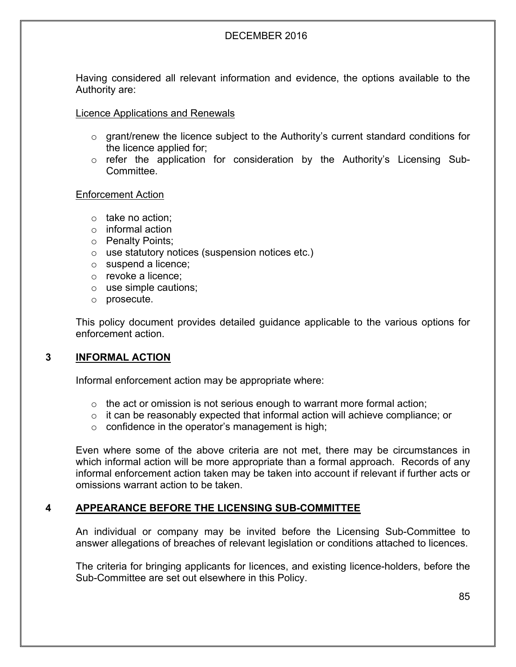Having considered all relevant information and evidence, the options available to the Authority are:

#### Licence Applications and Renewals

- $\circ$  grant/renew the licence subject to the Authority's current standard conditions for the licence applied for;
- o refer the application for consideration by the Authority's Licensing Sub-Committee.

#### Enforcement Action

- o take no action;
- o informal action
- o Penalty Points;
- o use statutory notices (suspension notices etc.)
- o suspend a licence;
- o revoke a licence;
- o use simple cautions;
- o prosecute.

This policy document provides detailed guidance applicable to the various options for enforcement action.

#### **3 INFORMAL ACTION**

Informal enforcement action may be appropriate where:

- $\circ$  the act or omission is not serious enough to warrant more formal action;
- $\circ$  it can be reasonably expected that informal action will achieve compliance; or
- $\circ$  confidence in the operator's management is high;

Even where some of the above criteria are not met, there may be circumstances in which informal action will be more appropriate than a formal approach. Records of any informal enforcement action taken may be taken into account if relevant if further acts or omissions warrant action to be taken.

#### **4 APPEARANCE BEFORE THE LICENSING SUB-COMMITTEE**

An individual or company may be invited before the Licensing Sub-Committee to answer allegations of breaches of relevant legislation or conditions attached to licences.

The criteria for bringing applicants for licences, and existing licence-holders, before the Sub-Committee are set out elsewhere in this Policy.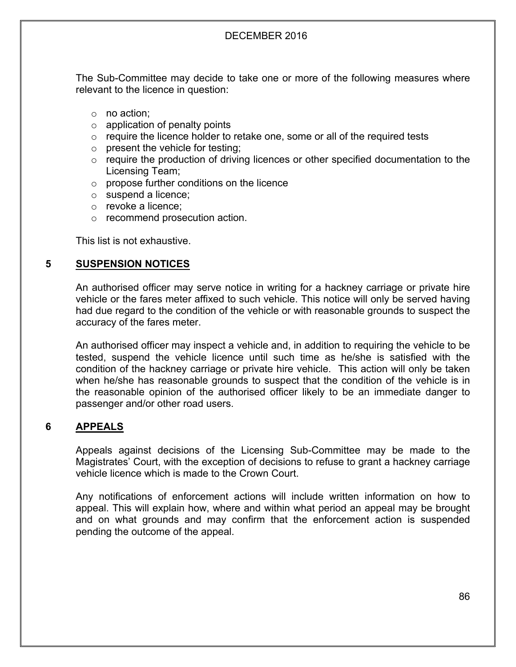The Sub-Committee may decide to take one or more of the following measures where relevant to the licence in question:

- o no action;
- $\circ$  application of penalty points
- $\circ$  require the licence holder to retake one, some or all of the required tests
- $\circ$  present the vehicle for testing;
- o require the production of driving licences or other specified documentation to the Licensing Team;
- o propose further conditions on the licence
- o suspend a licence;
- o revoke a licence;
- o recommend prosecution action.

This list is not exhaustive.

#### **5 SUSPENSION NOTICES**

An authorised officer may serve notice in writing for a hackney carriage or private hire vehicle or the fares meter affixed to such vehicle. This notice will only be served having had due regard to the condition of the vehicle or with reasonable grounds to suspect the accuracy of the fares meter.

An authorised officer may inspect a vehicle and, in addition to requiring the vehicle to be tested, suspend the vehicle licence until such time as he/she is satisfied with the condition of the hackney carriage or private hire vehicle. This action will only be taken when he/she has reasonable grounds to suspect that the condition of the vehicle is in the reasonable opinion of the authorised officer likely to be an immediate danger to passenger and/or other road users.

#### **6 APPEALS**

Appeals against decisions of the Licensing Sub-Committee may be made to the Magistrates' Court, with the exception of decisions to refuse to grant a hackney carriage vehicle licence which is made to the Crown Court.

Any notifications of enforcement actions will include written information on how to appeal. This will explain how, where and within what period an appeal may be brought and on what grounds and may confirm that the enforcement action is suspended pending the outcome of the appeal.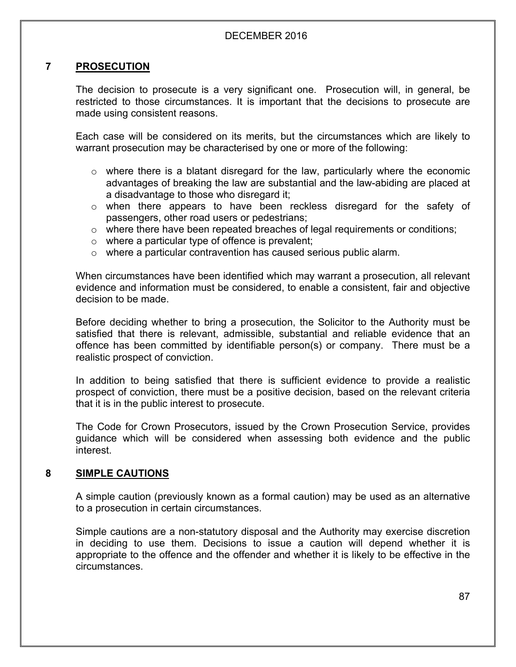## **7 PROSECUTION**

The decision to prosecute is a very significant one. Prosecution will, in general, be restricted to those circumstances. It is important that the decisions to prosecute are made using consistent reasons.

Each case will be considered on its merits, but the circumstances which are likely to warrant prosecution may be characterised by one or more of the following:

- o where there is a blatant disregard for the law, particularly where the economic advantages of breaking the law are substantial and the law-abiding are placed at a disadvantage to those who disregard it;
- $\circ$  when there appears to have been reckless disregard for the safety of passengers, other road users or pedestrians;
- $\circ$  where there have been repeated breaches of legal requirements or conditions;
- $\circ$  where a particular type of offence is prevalent;
- o where a particular contravention has caused serious public alarm.

When circumstances have been identified which may warrant a prosecution, all relevant evidence and information must be considered, to enable a consistent, fair and objective decision to be made.

Before deciding whether to bring a prosecution, the Solicitor to the Authority must be satisfied that there is relevant, admissible, substantial and reliable evidence that an offence has been committed by identifiable person(s) or company. There must be a realistic prospect of conviction.

In addition to being satisfied that there is sufficient evidence to provide a realistic prospect of conviction, there must be a positive decision, based on the relevant criteria that it is in the public interest to prosecute.

The Code for Crown Prosecutors, issued by the Crown Prosecution Service, provides guidance which will be considered when assessing both evidence and the public interest.

# **8 SIMPLE CAUTIONS**

A simple caution (previously known as a formal caution) may be used as an alternative to a prosecution in certain circumstances.

Simple cautions are a non-statutory disposal and the Authority may exercise discretion in deciding to use them. Decisions to issue a caution will depend whether it is appropriate to the offence and the offender and whether it is likely to be effective in the circumstances.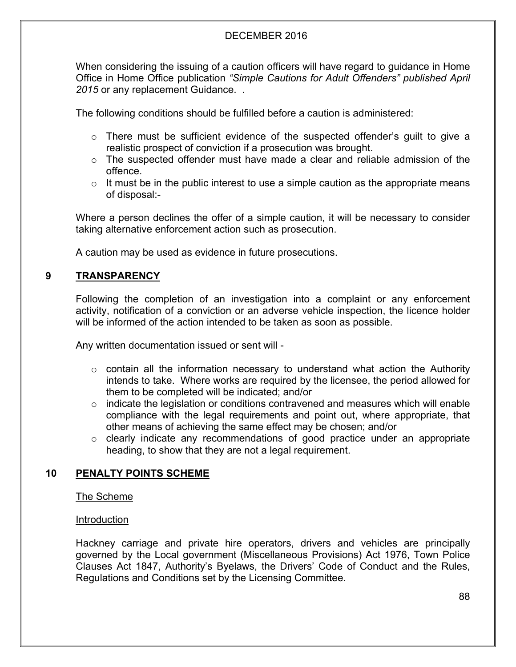When considering the issuing of a caution officers will have regard to guidance in Home Office in Home Office publication *"Simple Cautions for Adult Offenders" published April 2015* or any replacement Guidance. .

The following conditions should be fulfilled before a caution is administered:

- $\circ$  There must be sufficient evidence of the suspected offender's quilt to give a realistic prospect of conviction if a prosecution was brought.
- o The suspected offender must have made a clear and reliable admission of the offence.
- $\circ$  It must be in the public interest to use a simple caution as the appropriate means of disposal:-

Where a person declines the offer of a simple caution, it will be necessary to consider taking alternative enforcement action such as prosecution.

A caution may be used as evidence in future prosecutions.

## **9 TRANSPARENCY**

Following the completion of an investigation into a complaint or any enforcement activity, notification of a conviction or an adverse vehicle inspection, the licence holder will be informed of the action intended to be taken as soon as possible.

Any written documentation issued or sent will -

- $\circ$  contain all the information necessary to understand what action the Authority intends to take. Where works are required by the licensee, the period allowed for them to be completed will be indicated; and/or
- $\circ$  indicate the legislation or conditions contravened and measures which will enable compliance with the legal requirements and point out, where appropriate, that other means of achieving the same effect may be chosen; and/or
- $\circ$  clearly indicate any recommendations of good practice under an appropriate heading, to show that they are not a legal requirement.

#### **10 PENALTY POINTS SCHEME**

The Scheme

#### Introduction

Hackney carriage and private hire operators, drivers and vehicles are principally governed by the Local government (Miscellaneous Provisions) Act 1976, Town Police Clauses Act 1847, Authority's Byelaws, the Drivers' Code of Conduct and the Rules, Regulations and Conditions set by the Licensing Committee.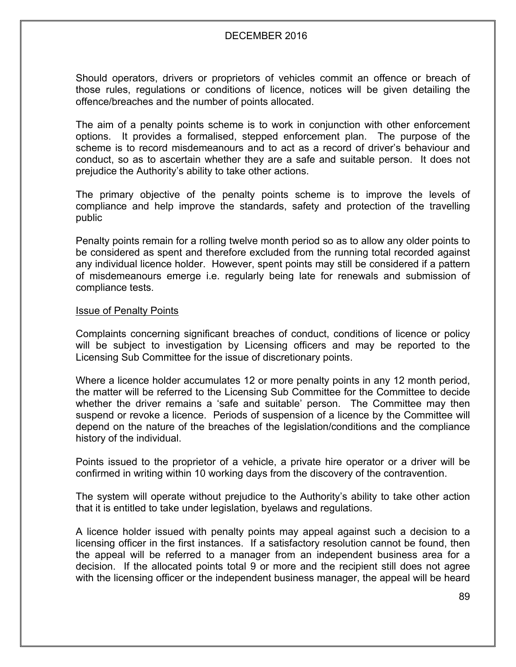Should operators, drivers or proprietors of vehicles commit an offence or breach of those rules, regulations or conditions of licence, notices will be given detailing the offence/breaches and the number of points allocated.

The aim of a penalty points scheme is to work in conjunction with other enforcement options. It provides a formalised, stepped enforcement plan. The purpose of the scheme is to record misdemeanours and to act as a record of driver's behaviour and conduct, so as to ascertain whether they are a safe and suitable person. It does not prejudice the Authority's ability to take other actions.

The primary objective of the penalty points scheme is to improve the levels of compliance and help improve the standards, safety and protection of the travelling public

Penalty points remain for a rolling twelve month period so as to allow any older points to be considered as spent and therefore excluded from the running total recorded against any individual licence holder. However, spent points may still be considered if a pattern of misdemeanours emerge i.e. regularly being late for renewals and submission of compliance tests.

#### Issue of Penalty Points

Complaints concerning significant breaches of conduct, conditions of licence or policy will be subject to investigation by Licensing officers and may be reported to the Licensing Sub Committee for the issue of discretionary points.

Where a licence holder accumulates 12 or more penalty points in any 12 month period, the matter will be referred to the Licensing Sub Committee for the Committee to decide whether the driver remains a 'safe and suitable' person. The Committee may then suspend or revoke a licence. Periods of suspension of a licence by the Committee will depend on the nature of the breaches of the legislation/conditions and the compliance history of the individual.

Points issued to the proprietor of a vehicle, a private hire operator or a driver will be confirmed in writing within 10 working days from the discovery of the contravention.

The system will operate without prejudice to the Authority's ability to take other action that it is entitled to take under legislation, byelaws and regulations.

A licence holder issued with penalty points may appeal against such a decision to a licensing officer in the first instances. If a satisfactory resolution cannot be found, then the appeal will be referred to a manager from an independent business area for a decision. If the allocated points total 9 or more and the recipient still does not agree with the licensing officer or the independent business manager, the appeal will be heard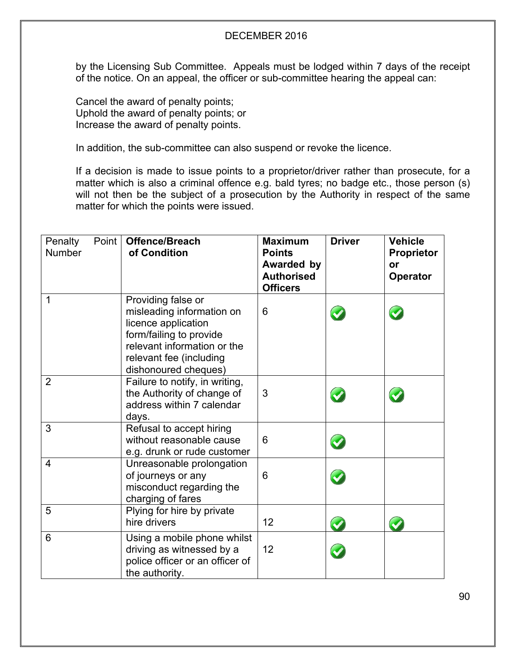by the Licensing Sub Committee. Appeals must be lodged within 7 days of the receipt of the notice. On an appeal, the officer or sub-committee hearing the appeal can:

Cancel the award of penalty points; Uphold the award of penalty points; or Increase the award of penalty points.

In addition, the sub-committee can also suspend or revoke the licence.

If a decision is made to issue points to a proprietor/driver rather than prosecute, for a matter which is also a criminal offence e.g. bald tyres; no badge etc., those person (s) will not then be the subject of a prosecution by the Authority in respect of the same matter for which the points were issued.

| Point<br>Penalty<br><b>Number</b> | <b>Offence/Breach</b><br>of Condition                                                                                                                                               | <b>Maximum</b><br><b>Points</b><br><b>Awarded by</b><br><b>Authorised</b><br><b>Officers</b> | <b>Driver</b> | <b>Vehicle</b><br><b>Proprietor</b><br>or<br><b>Operator</b> |
|-----------------------------------|-------------------------------------------------------------------------------------------------------------------------------------------------------------------------------------|----------------------------------------------------------------------------------------------|---------------|--------------------------------------------------------------|
| 1                                 | Providing false or<br>misleading information on<br>licence application<br>form/failing to provide<br>relevant information or the<br>relevant fee (including<br>dishonoured cheques) | 6                                                                                            |               |                                                              |
| $\overline{2}$                    | Failure to notify, in writing,<br>the Authority of change of<br>address within 7 calendar<br>days.                                                                                  | 3                                                                                            |               |                                                              |
| 3                                 | Refusal to accept hiring<br>without reasonable cause<br>e.g. drunk or rude customer                                                                                                 | 6                                                                                            |               |                                                              |
| $\overline{4}$                    | Unreasonable prolongation<br>of journeys or any<br>misconduct regarding the<br>charging of fares                                                                                    | 6                                                                                            |               |                                                              |
| 5                                 | Plying for hire by private<br>hire drivers                                                                                                                                          | 12                                                                                           |               |                                                              |
| 6                                 | Using a mobile phone whilst<br>driving as witnessed by a<br>police officer or an officer of<br>the authority.                                                                       | 12                                                                                           |               |                                                              |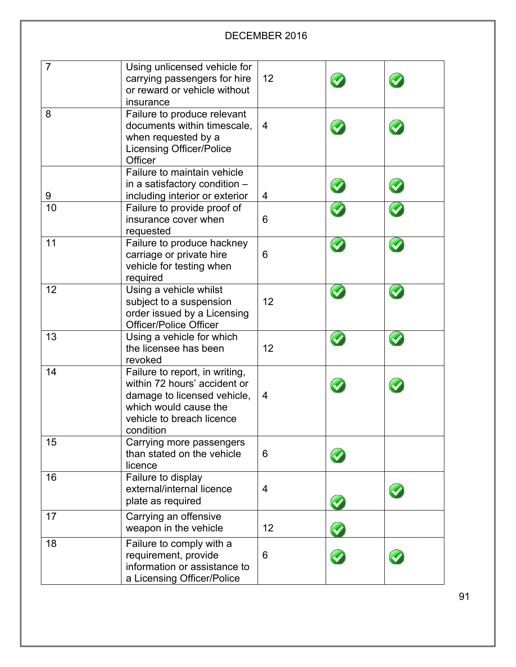| $\overline{7}$ | Using unlicensed vehicle for<br>carrying passengers for hire<br>or reward or vehicle without<br>insurance                                                        | 12 |  |
|----------------|------------------------------------------------------------------------------------------------------------------------------------------------------------------|----|--|
| 8              | Failure to produce relevant<br>documents within timescale,<br>when requested by a<br><b>Licensing Officer/Police</b><br>Officer                                  | 4  |  |
|                | Failure to maintain vehicle                                                                                                                                      |    |  |
| 9              | in a satisfactory condition -<br>including interior or exterior                                                                                                  | 4  |  |
| 10             | Failure to provide proof of<br>insurance cover when<br>requested                                                                                                 | 6  |  |
| 11             | Failure to produce hackney<br>carriage or private hire<br>vehicle for testing when<br>required                                                                   | 6  |  |
| 12             | Using a vehicle whilst<br>subject to a suspension<br>order issued by a Licensing<br><b>Officer/Police Officer</b>                                                | 12 |  |
| 13             | Using a vehicle for which<br>the licensee has been<br>revoked                                                                                                    | 12 |  |
| 14             | Failure to report, in writing,<br>within 72 hours' accident or<br>damage to licensed vehicle,<br>which would cause the<br>vehicle to breach licence<br>condition | 4  |  |
| 15             | Carrying more passengers<br>than stated on the vehicle<br>licence                                                                                                | 6  |  |
| 16             | Failure to display<br>external/internal licence<br>plate as required                                                                                             | 4  |  |
| 17             | Carrying an offensive<br>weapon in the vehicle                                                                                                                   | 12 |  |
| 18             | Failure to comply with a<br>requirement, provide<br>information or assistance to<br>a Licensing Officer/Police                                                   | 6  |  |

91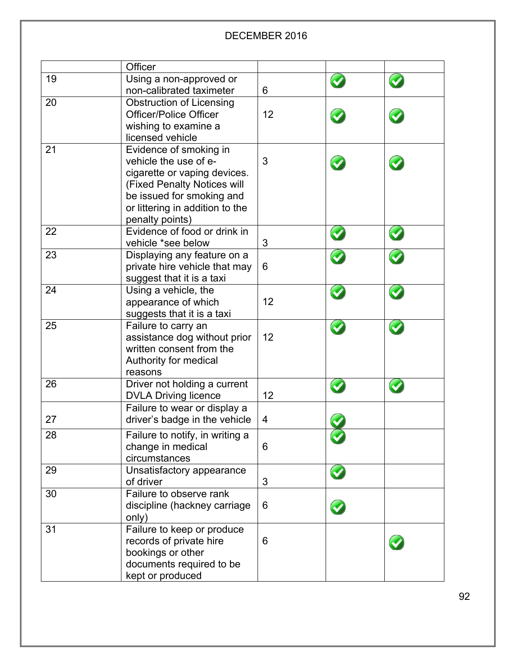|    | Officer                         |    |                 |  |
|----|---------------------------------|----|-----------------|--|
| 19 | Using a non-approved or         |    |                 |  |
|    | non-calibrated taximeter        | 6  |                 |  |
| 20 | <b>Obstruction of Licensing</b> |    |                 |  |
|    | <b>Officer/Police Officer</b>   | 12 |                 |  |
|    | wishing to examine a            |    |                 |  |
|    | licensed vehicle                |    |                 |  |
| 21 | Evidence of smoking in          |    |                 |  |
|    | vehicle the use of e-           | 3  |                 |  |
|    | cigarette or vaping devices.    |    |                 |  |
|    | (Fixed Penalty Notices will     |    |                 |  |
|    | be issued for smoking and       |    |                 |  |
|    | or littering in addition to the |    |                 |  |
|    | penalty points)                 |    |                 |  |
| 22 | Evidence of food or drink in    |    |                 |  |
|    | vehicle *see below              | 3  |                 |  |
| 23 | Displaying any feature on a     |    |                 |  |
|    | private hire vehicle that may   | 6  |                 |  |
|    | suggest that it is a taxi       |    |                 |  |
| 24 | Using a vehicle, the            |    | $\blacklozenge$ |  |
|    | appearance of which             | 12 |                 |  |
|    | suggests that it is a taxi      |    |                 |  |
| 25 | Failure to carry an             |    |                 |  |
|    | assistance dog without prior    | 12 |                 |  |
|    | written consent from the        |    |                 |  |
|    | Authority for medical           |    |                 |  |
|    | reasons                         |    |                 |  |
| 26 | Driver not holding a current    |    |                 |  |
|    | <b>DVLA Driving licence</b>     | 12 |                 |  |
|    | Failure to wear or display a    |    |                 |  |
| 27 | driver's badge in the vehicle   | 4  |                 |  |
| 28 | Failure to notify, in writing a |    |                 |  |
|    | change in medical               | 6  |                 |  |
|    | circumstances                   |    |                 |  |
| 29 | Unsatisfactory appearance       |    |                 |  |
|    | of driver                       | 3  |                 |  |
| 30 | Failure to observe rank         |    |                 |  |
|    | discipline (hackney carriage    | 6  |                 |  |
|    | only)                           |    |                 |  |
| 31 | Failure to keep or produce      |    |                 |  |
|    | records of private hire         | 6  |                 |  |
|    | bookings or other               |    |                 |  |
|    | documents required to be        |    |                 |  |
|    | kept or produced                |    |                 |  |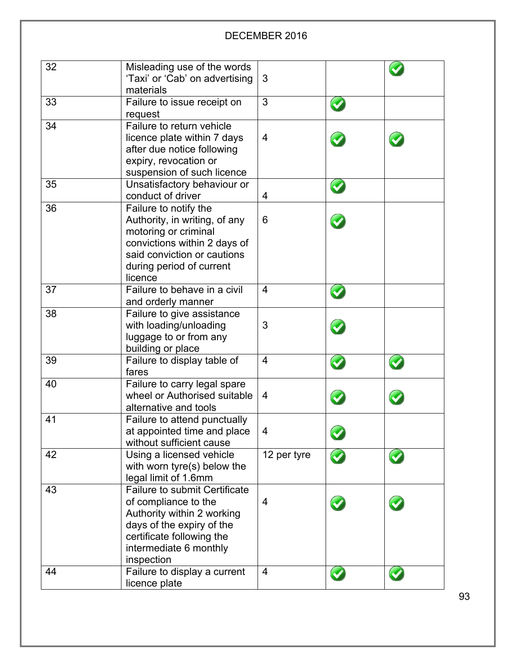| 32 | Misleading use of the words                                 |                |  |
|----|-------------------------------------------------------------|----------------|--|
|    | 'Taxi' or 'Cab' on advertising                              | 3              |  |
|    | materials                                                   |                |  |
| 33 | Failure to issue receipt on                                 | 3              |  |
|    | request                                                     |                |  |
| 34 | Failure to return vehicle                                   |                |  |
|    | licence plate within 7 days                                 | $\overline{4}$ |  |
|    | after due notice following                                  |                |  |
|    | expiry, revocation or                                       |                |  |
|    | suspension of such licence                                  |                |  |
| 35 | Unsatisfactory behaviour or                                 |                |  |
|    | conduct of driver                                           | 4              |  |
| 36 | Failure to notify the                                       |                |  |
|    | Authority, in writing, of any                               | 6              |  |
|    | motoring or criminal                                        |                |  |
|    | convictions within 2 days of<br>said conviction or cautions |                |  |
|    | during period of current                                    |                |  |
|    | licence                                                     |                |  |
| 37 | Failure to behave in a civil                                | 4              |  |
|    | and orderly manner                                          |                |  |
| 38 | Failure to give assistance                                  |                |  |
|    | with loading/unloading                                      | 3              |  |
|    | luggage to or from any                                      |                |  |
|    | building or place                                           |                |  |
| 39 | Failure to display table of                                 | 4              |  |
|    | fares                                                       |                |  |
| 40 | Failure to carry legal spare                                |                |  |
|    | wheel or Authorised suitable                                | 4              |  |
|    | alternative and tools                                       |                |  |
| 41 | Failure to attend punctually                                |                |  |
|    | at appointed time and place                                 | 4              |  |
|    | without sufficient cause                                    |                |  |
| 42 | Using a licensed vehicle                                    | 12 per tyre    |  |
|    | with worn tyre(s) below the                                 |                |  |
|    | legal limit of 1.6mm                                        |                |  |
| 43 | <b>Failure to submit Certificate</b>                        |                |  |
|    | of compliance to the                                        | 4              |  |
|    | Authority within 2 working                                  |                |  |
|    | days of the expiry of the                                   |                |  |
|    | certificate following the                                   |                |  |
|    | intermediate 6 monthly<br>inspection                        |                |  |
| 44 | Failure to display a current                                | 4              |  |
|    | licence plate                                               |                |  |
|    |                                                             |                |  |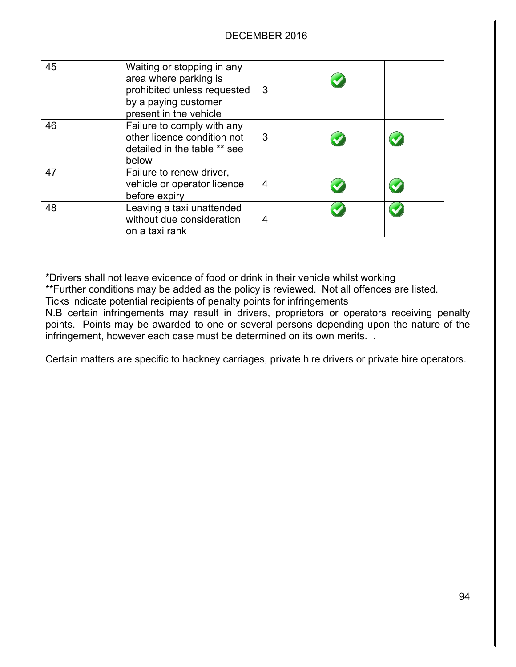| 45 | Waiting or stopping in any<br>area where parking is<br>prohibited unless requested<br>by a paying customer<br>present in the vehicle | 3 |  |
|----|--------------------------------------------------------------------------------------------------------------------------------------|---|--|
| 46 | Failure to comply with any<br>other licence condition not<br>detailed in the table ** see<br>below                                   | 3 |  |
| 47 | Failure to renew driver,<br>vehicle or operator licence<br>before expiry                                                             | 4 |  |
| 48 | Leaving a taxi unattended<br>without due consideration<br>on a taxi rank                                                             | 4 |  |

\*Drivers shall not leave evidence of food or drink in their vehicle whilst working

\*\*Further conditions may be added as the policy is reviewed. Not all offences are listed. Ticks indicate potential recipients of penalty points for infringements

N.B certain infringements may result in drivers, proprietors or operators receiving penalty points. Points may be awarded to one or several persons depending upon the nature of the infringement, however each case must be determined on its own merits. .

Certain matters are specific to hackney carriages, private hire drivers or private hire operators.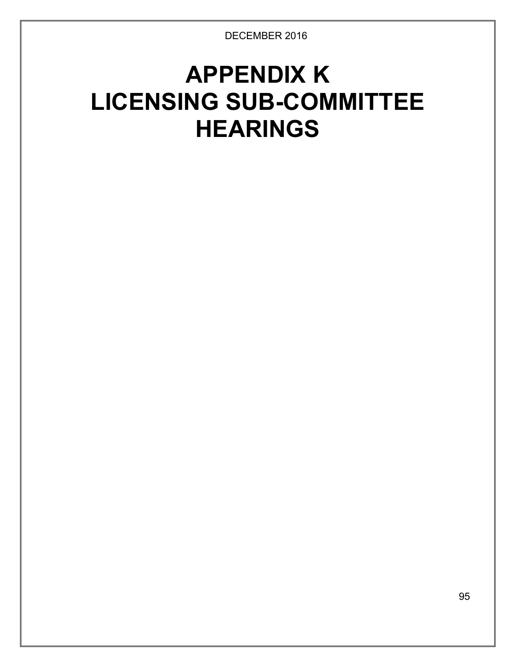# **APPENDIX K LICENSING SUB-COMMITTEE HEARINGS**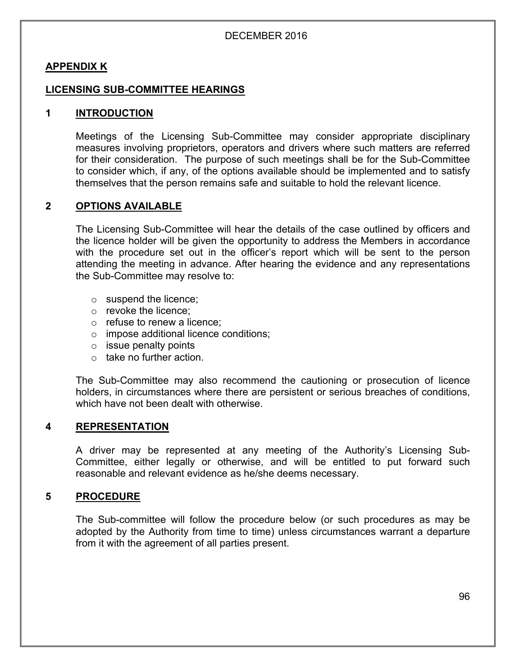#### **APPENDIX K**

#### **LICENSING SUB-COMMITTEE HEARINGS**

#### **1 INTRODUCTION**

Meetings of the Licensing Sub-Committee may consider appropriate disciplinary measures involving proprietors, operators and drivers where such matters are referred for their consideration. The purpose of such meetings shall be for the Sub-Committee to consider which, if any, of the options available should be implemented and to satisfy themselves that the person remains safe and suitable to hold the relevant licence.

#### **2 OPTIONS AVAILABLE**

The Licensing Sub-Committee will hear the details of the case outlined by officers and the licence holder will be given the opportunity to address the Members in accordance with the procedure set out in the officer's report which will be sent to the person attending the meeting in advance. After hearing the evidence and any representations the Sub-Committee may resolve to:

- o suspend the licence;
- o revoke the licence;
- o refuse to renew a licence;
- o impose additional licence conditions;
- $\circ$  issue penalty points
- $\circ$  take no further action.

The Sub-Committee may also recommend the cautioning or prosecution of licence holders, in circumstances where there are persistent or serious breaches of conditions, which have not been dealt with otherwise.

#### **4 REPRESENTATION**

A driver may be represented at any meeting of the Authority's Licensing Sub-Committee, either legally or otherwise, and will be entitled to put forward such reasonable and relevant evidence as he/she deems necessary.

#### **5 PROCEDURE**

The Sub-committee will follow the procedure below (or such procedures as may be adopted by the Authority from time to time) unless circumstances warrant a departure from it with the agreement of all parties present.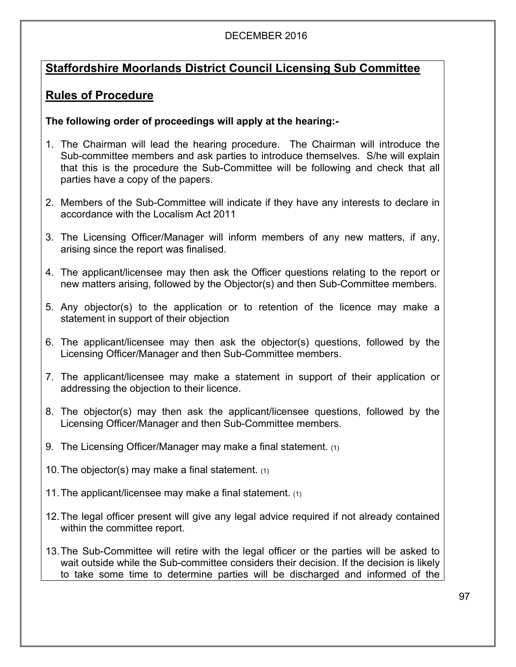# **Staffordshire Moorlands District Council Licensing Sub Committee**

# **Rules of Procedure**

# **The following order of proceedings will apply at the hearing:-**

- 1. The Chairman will lead the hearing procedure. The Chairman will introduce the Sub-committee members and ask parties to introduce themselves. S/he will explain that this is the procedure the Sub-Committee will be following and check that all parties have a copy of the papers.
- 2. Members of the Sub-Committee will indicate if they have any interests to declare in accordance with the Localism Act 2011
- 3. The Licensing Officer/Manager will inform members of any new matters, if any, arising since the report was finalised.
- 4. The applicant/licensee may then ask the Officer questions relating to the report or new matters arising, followed by the Objector(s) and then Sub-Committee members.
- 5. Any objector(s) to the application or to retention of the licence may make a statement in support of their objection
- 6. The applicant/licensee may then ask the objector(s) questions, followed by the Licensing Officer/Manager and then Sub-Committee members.
- 7. The applicant/licensee may make a statement in support of their application or addressing the objection to their licence.
- 8. The objector(s) may then ask the applicant/licensee questions, followed by the Licensing Officer/Manager and then Sub-Committee members.
- 9. The Licensing Officer/Manager may make a final statement. (1)
- 10. The objector(s) may make a final statement.  $(1)$
- 11.The applicant/licensee may make a final statement. (1)
- 12.The legal officer present will give any legal advice required if not already contained within the committee report.
- 13.The Sub-Committee will retire with the legal officer or the parties will be asked to wait outside while the Sub-committee considers their decision. If the decision is likely to take some time to determine parties will be discharged and informed of the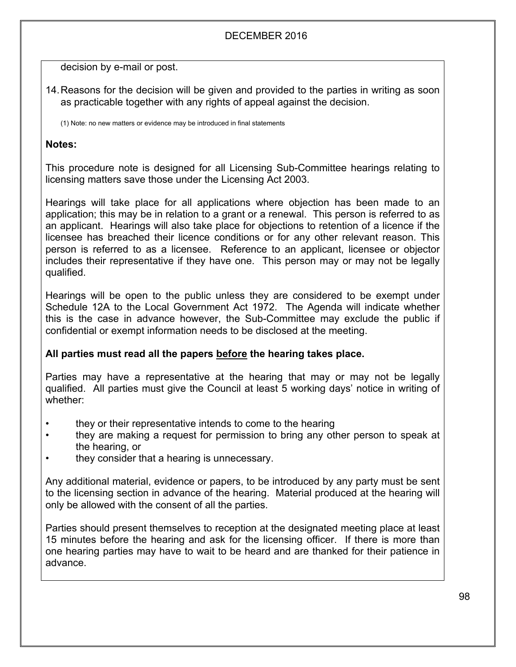decision by e-mail or post.

14.Reasons for the decision will be given and provided to the parties in writing as soon as practicable together with any rights of appeal against the decision.

(1) Note: no new matters or evidence may be introduced in final statements

## **Notes:**

This procedure note is designed for all Licensing Sub-Committee hearings relating to licensing matters save those under the Licensing Act 2003.

Hearings will take place for all applications where objection has been made to an application; this may be in relation to a grant or a renewal. This person is referred to as an applicant. Hearings will also take place for objections to retention of a licence if the licensee has breached their licence conditions or for any other relevant reason. This person is referred to as a licensee. Reference to an applicant, licensee or objector includes their representative if they have one. This person may or may not be legally qualified.

Hearings will be open to the public unless they are considered to be exempt under Schedule 12A to the Local Government Act 1972. The Agenda will indicate whether this is the case in advance however, the Sub-Committee may exclude the public if confidential or exempt information needs to be disclosed at the meeting.

# **All parties must read all the papers before the hearing takes place.**

Parties may have a representative at the hearing that may or may not be legally qualified. All parties must give the Council at least 5 working days' notice in writing of whether:

- they or their representative intends to come to the hearing
- they are making a request for permission to bring any other person to speak at the hearing, or
- they consider that a hearing is unnecessary.

Any additional material, evidence or papers, to be introduced by any party must be sent to the licensing section in advance of the hearing. Material produced at the hearing will only be allowed with the consent of all the parties.

Parties should present themselves to reception at the designated meeting place at least 15 minutes before the hearing and ask for the licensing officer. If there is more than one hearing parties may have to wait to be heard and are thanked for their patience in advance.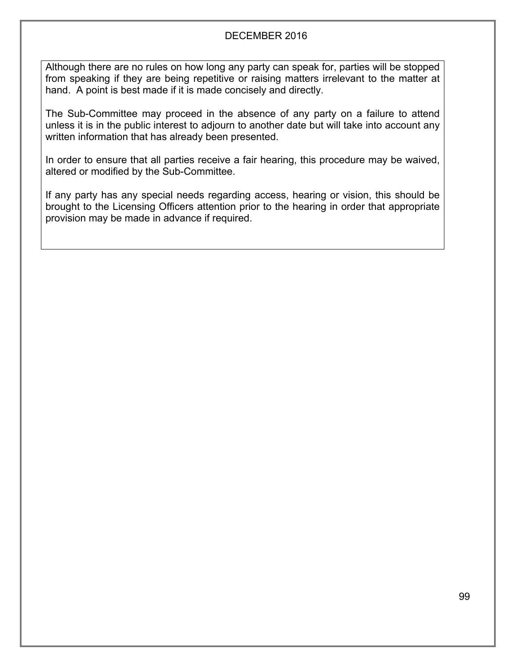Although there are no rules on how long any party can speak for, parties will be stopped from speaking if they are being repetitive or raising matters irrelevant to the matter at hand. A point is best made if it is made concisely and directly.

The Sub-Committee may proceed in the absence of any party on a failure to attend unless it is in the public interest to adjourn to another date but will take into account any written information that has already been presented.

In order to ensure that all parties receive a fair hearing, this procedure may be waived, altered or modified by the Sub-Committee.

If any party has any special needs regarding access, hearing or vision, this should be brought to the Licensing Officers attention prior to the hearing in order that appropriate provision may be made in advance if required.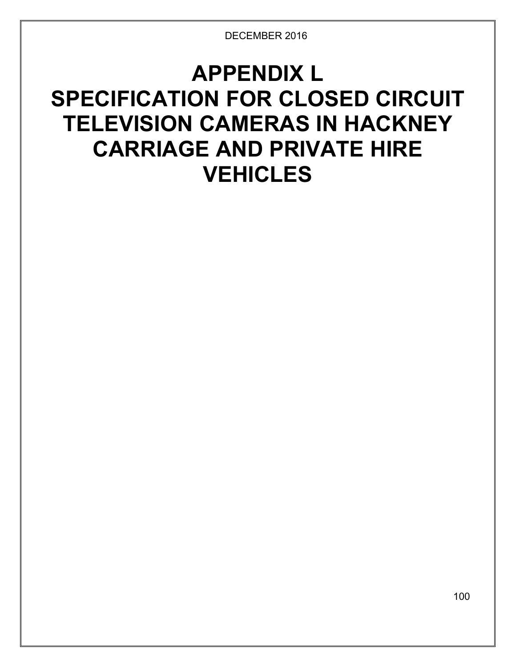# **APPENDIX L SPECIFICATION FOR CLOSED CIRCUIT TELEVISION CAMERAS IN HACKNEY CARRIAGE AND PRIVATE HIRE VEHICLES**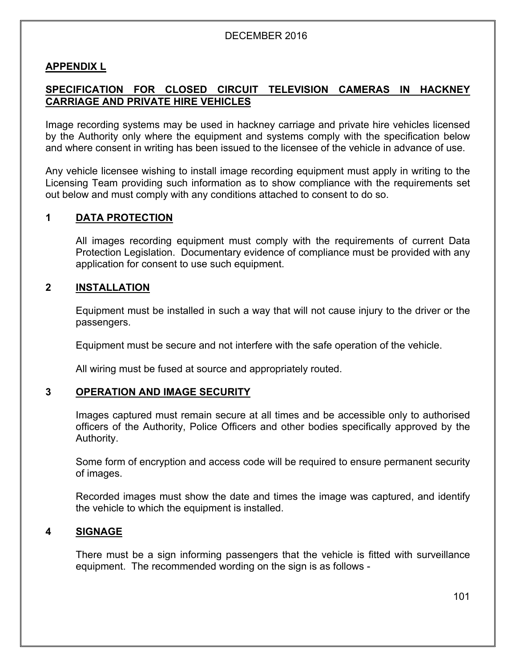#### **APPENDIX L**

## **SPECIFICATION FOR CLOSED CIRCUIT TELEVISION CAMERAS IN HACKNEY CARRIAGE AND PRIVATE HIRE VEHICLES**

Image recording systems may be used in hackney carriage and private hire vehicles licensed by the Authority only where the equipment and systems comply with the specification below and where consent in writing has been issued to the licensee of the vehicle in advance of use.

Any vehicle licensee wishing to install image recording equipment must apply in writing to the Licensing Team providing such information as to show compliance with the requirements set out below and must comply with any conditions attached to consent to do so.

#### **1 DATA PROTECTION**

All images recording equipment must comply with the requirements of current Data Protection Legislation. Documentary evidence of compliance must be provided with any application for consent to use such equipment.

#### **2 INSTALLATION**

Equipment must be installed in such a way that will not cause injury to the driver or the passengers.

Equipment must be secure and not interfere with the safe operation of the vehicle.

All wiring must be fused at source and appropriately routed.

#### **3 OPERATION AND IMAGE SECURITY**

Images captured must remain secure at all times and be accessible only to authorised officers of the Authority, Police Officers and other bodies specifically approved by the Authority.

Some form of encryption and access code will be required to ensure permanent security of images.

Recorded images must show the date and times the image was captured, and identify the vehicle to which the equipment is installed.

#### **4 SIGNAGE**

There must be a sign informing passengers that the vehicle is fitted with surveillance equipment. The recommended wording on the sign is as follows -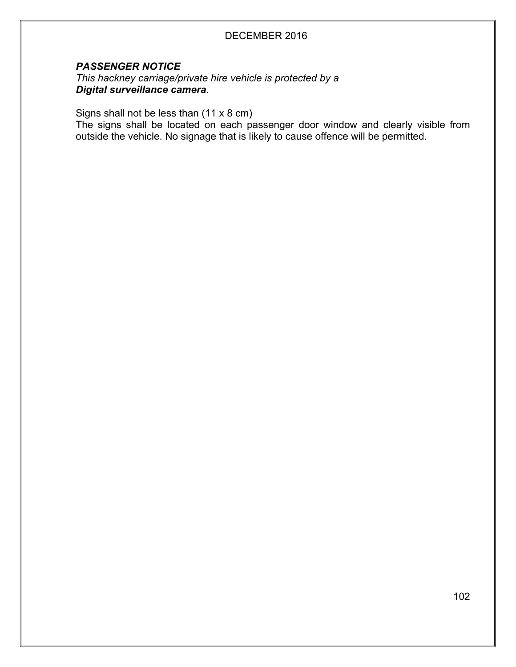#### *PASSENGER NOTICE*

*This hackney carriage/private hire vehicle is protected by a Digital surveillance camera.*

Signs shall not be less than (11 x 8 cm)

The signs shall be located on each passenger door window and clearly visible from outside the vehicle. No signage that is likely to cause offence will be permitted.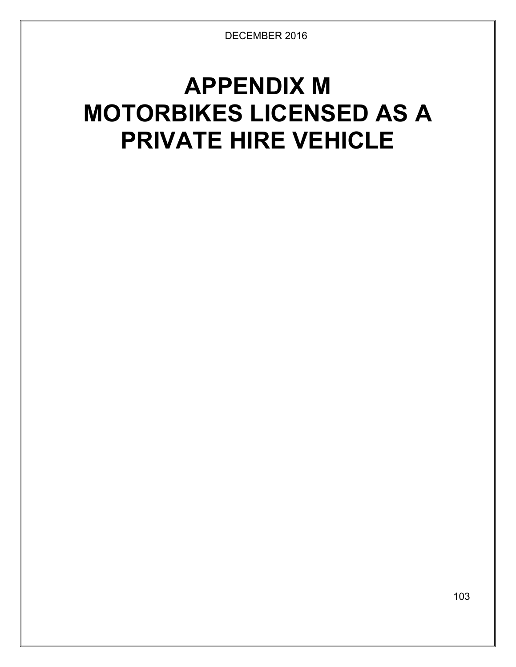# **APPENDIX M MOTORBIKES LICENSED AS A PRIVATE HIRE VEHICLE**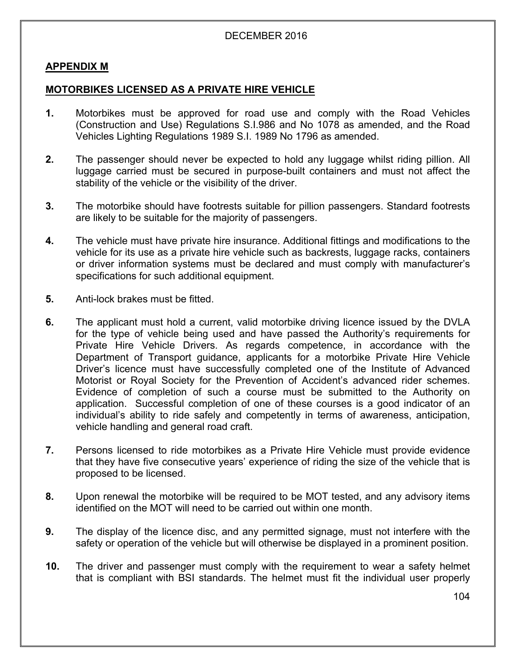#### **APPENDIX M**

#### **MOTORBIKES LICENSED AS A PRIVATE HIRE VEHICLE**

- **1.** Motorbikes must be approved for road use and comply with the Road Vehicles (Construction and Use) Regulations S.I.986 and No 1078 as amended, and the Road Vehicles Lighting Regulations 1989 S.I. 1989 No 1796 as amended.
- **2.** The passenger should never be expected to hold any luggage whilst riding pillion. All luggage carried must be secured in purpose-built containers and must not affect the stability of the vehicle or the visibility of the driver.
- **3.** The motorbike should have footrests suitable for pillion passengers. Standard footrests are likely to be suitable for the majority of passengers.
- **4.** The vehicle must have private hire insurance. Additional fittings and modifications to the vehicle for its use as a private hire vehicle such as backrests, luggage racks, containers or driver information systems must be declared and must comply with manufacturer's specifications for such additional equipment.
- **5.** Anti-lock brakes must be fitted.
- **6.** The applicant must hold a current, valid motorbike driving licence issued by the DVLA for the type of vehicle being used and have passed the Authority's requirements for Private Hire Vehicle Drivers. As regards competence, in accordance with the Department of Transport guidance, applicants for a motorbike Private Hire Vehicle Driver's licence must have successfully completed one of the Institute of Advanced Motorist or Royal Society for the Prevention of Accident's advanced rider schemes. Evidence of completion of such a course must be submitted to the Authority on application. Successful completion of one of these courses is a good indicator of an individual's ability to ride safely and competently in terms of awareness, anticipation, vehicle handling and general road craft.
- **7.** Persons licensed to ride motorbikes as a Private Hire Vehicle must provide evidence that they have five consecutive years' experience of riding the size of the vehicle that is proposed to be licensed.
- **8.** Upon renewal the motorbike will be required to be MOT tested, and any advisory items identified on the MOT will need to be carried out within one month.
- **9.** The display of the licence disc, and any permitted signage, must not interfere with the safety or operation of the vehicle but will otherwise be displayed in a prominent position.
- **10.** The driver and passenger must comply with the requirement to wear a safety helmet that is compliant with BSI standards. The helmet must fit the individual user properly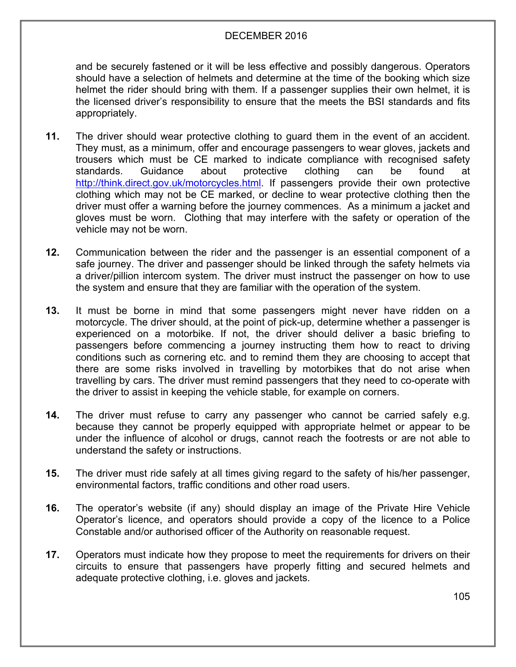and be securely fastened or it will be less effective and possibly dangerous. Operators should have a selection of helmets and determine at the time of the booking which size helmet the rider should bring with them. If a passenger supplies their own helmet, it is the licensed driver's responsibility to ensure that the meets the BSI standards and fits appropriately.

- **11.** The driver should wear protective clothing to guard them in the event of an accident. They must, as a minimum, offer and encourage passengers to wear gloves, jackets and trousers which must be CE marked to indicate compliance with recognised safety standards. Guidance about protective clothing can be found at [http://think.direct.gov.uk/motorcycles.html.](http://think.direct.gov.uk/motorcycles.html) If passengers provide their own protective clothing which may not be CE marked, or decline to wear protective clothing then the driver must offer a warning before the journey commences. As a minimum a jacket and gloves must be worn. Clothing that may interfere with the safety or operation of the vehicle may not be worn.
- **12.** Communication between the rider and the passenger is an essential component of a safe journey. The driver and passenger should be linked through the safety helmets via a driver/pillion intercom system. The driver must instruct the passenger on how to use the system and ensure that they are familiar with the operation of the system.
- **13.** It must be borne in mind that some passengers might never have ridden on a motorcycle. The driver should, at the point of pick-up, determine whether a passenger is experienced on a motorbike. If not, the driver should deliver a basic briefing to passengers before commencing a journey instructing them how to react to driving conditions such as cornering etc. and to remind them they are choosing to accept that there are some risks involved in travelling by motorbikes that do not arise when travelling by cars. The driver must remind passengers that they need to co-operate with the driver to assist in keeping the vehicle stable, for example on corners.
- **14.** The driver must refuse to carry any passenger who cannot be carried safely e.g. because they cannot be properly equipped with appropriate helmet or appear to be under the influence of alcohol or drugs, cannot reach the footrests or are not able to understand the safety or instructions.
- **15.** The driver must ride safely at all times giving regard to the safety of his/her passenger, environmental factors, traffic conditions and other road users.
- **16.** The operator's website (if any) should display an image of the Private Hire Vehicle Operator's licence, and operators should provide a copy of the licence to a Police Constable and/or authorised officer of the Authority on reasonable request.
- **17.** Operators must indicate how they propose to meet the requirements for drivers on their circuits to ensure that passengers have properly fitting and secured helmets and adequate protective clothing, i.e. gloves and jackets.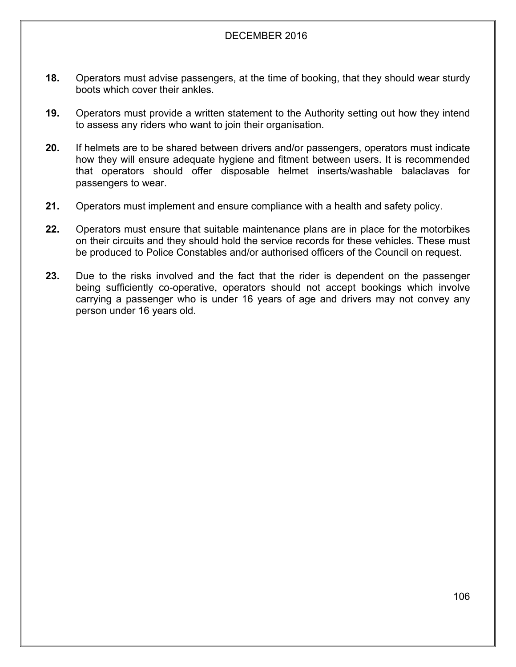- **18.** Operators must advise passengers, at the time of booking, that they should wear sturdy boots which cover their ankles.
- **19.** Operators must provide a written statement to the Authority setting out how they intend to assess any riders who want to join their organisation.
- **20.** If helmets are to be shared between drivers and/or passengers, operators must indicate how they will ensure adequate hygiene and fitment between users. It is recommended that operators should offer disposable helmet inserts/washable balaclavas for passengers to wear.
- **21.** Operators must implement and ensure compliance with a health and safety policy.
- **22.** Operators must ensure that suitable maintenance plans are in place for the motorbikes on their circuits and they should hold the service records for these vehicles. These must be produced to Police Constables and/or authorised officers of the Council on request.
- **23.** Due to the risks involved and the fact that the rider is dependent on the passenger being sufficiently co-operative, operators should not accept bookings which involve carrying a passenger who is under 16 years of age and drivers may not convey any person under 16 years old.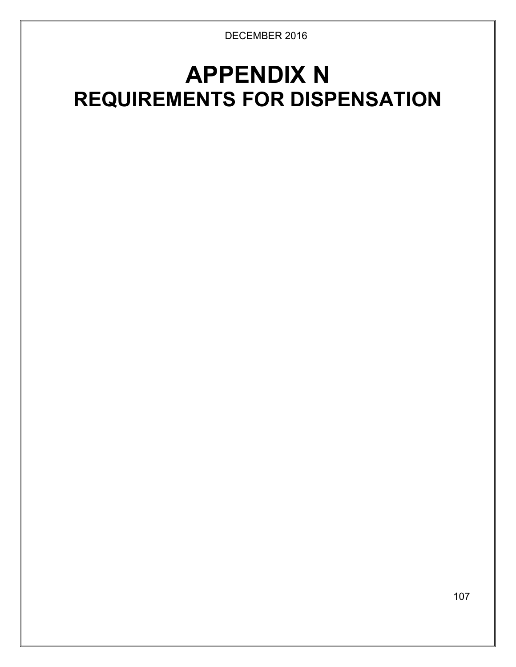# **APPENDIX N REQUIREMENTS FOR DISPENSATION**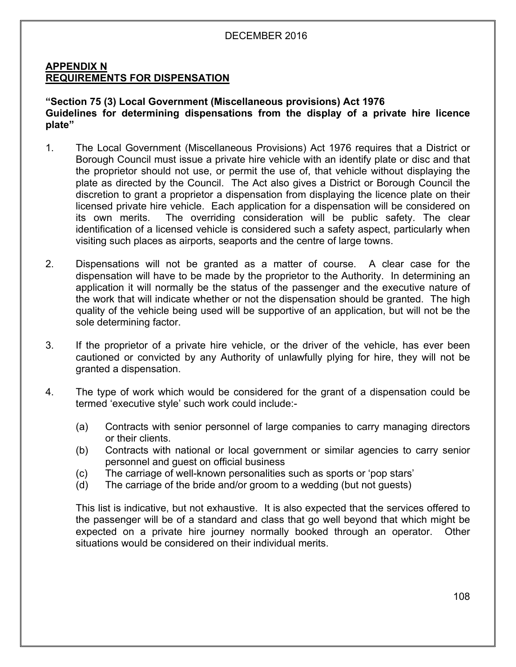#### **APPENDIX N REQUIREMENTS FOR DISPENSATION**

#### **"Section 75 (3) Local Government (Miscellaneous provisions) Act 1976 Guidelines for determining dispensations from the display of a private hire licence plate"**

- 1. The Local Government (Miscellaneous Provisions) Act 1976 requires that a District or Borough Council must issue a private hire vehicle with an identify plate or disc and that the proprietor should not use, or permit the use of, that vehicle without displaying the plate as directed by the Council. The Act also gives a District or Borough Council the discretion to grant a proprietor a dispensation from displaying the licence plate on their licensed private hire vehicle. Each application for a dispensation will be considered on its own merits. The overriding consideration will be public safety. The clear identification of a licensed vehicle is considered such a safety aspect, particularly when visiting such places as airports, seaports and the centre of large towns.
- 2. Dispensations will not be granted as a matter of course. A clear case for the dispensation will have to be made by the proprietor to the Authority. In determining an application it will normally be the status of the passenger and the executive nature of the work that will indicate whether or not the dispensation should be granted. The high quality of the vehicle being used will be supportive of an application, but will not be the sole determining factor.
- 3. If the proprietor of a private hire vehicle, or the driver of the vehicle, has ever been cautioned or convicted by any Authority of unlawfully plying for hire, they will not be granted a dispensation.
- 4. The type of work which would be considered for the grant of a dispensation could be termed 'executive style' such work could include:-
	- (a) Contracts with senior personnel of large companies to carry managing directors or their clients.
	- (b) Contracts with national or local government or similar agencies to carry senior personnel and guest on official business
	- (c) The carriage of well-known personalities such as sports or 'pop stars'
	- (d) The carriage of the bride and/or groom to a wedding (but not guests)

This list is indicative, but not exhaustive. It is also expected that the services offered to the passenger will be of a standard and class that go well beyond that which might be expected on a private hire journey normally booked through an operator. Other situations would be considered on their individual merits.